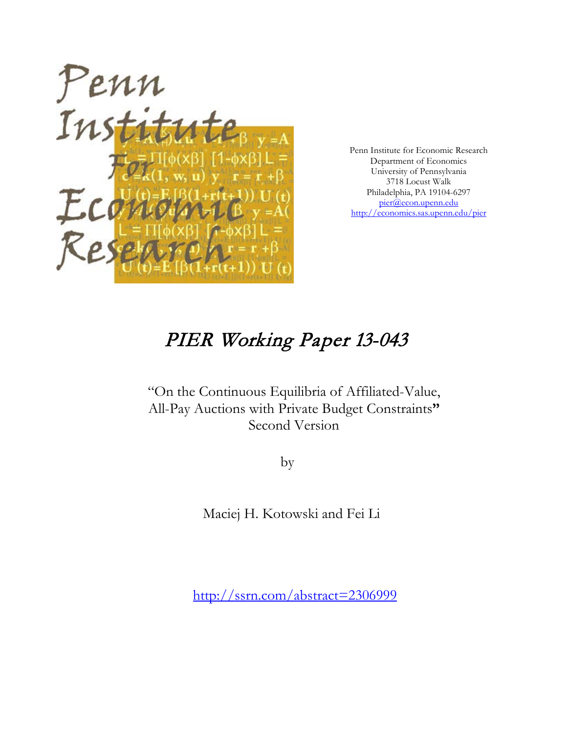

Penn Institute for Economic Research Department of Economics University of Pennsylvania 3718 Locust Walk Philadelphia, PA 19104-6297 [pier@econ.upenn.edu](mailto:pier@econ.upenn.edu) <http://economics.sas.upenn.edu/pier>

# PIER Working Paper 13-043

"On the Continuous Equilibria of Affiliated-Value, All-Pay Auctions with Private Budget Constraints**"** Second Version

by

Maciej H. Kotowski and Fei Li

[http://ssrn.com/abstract=2](http://ssrn.com/abstract_id=)306999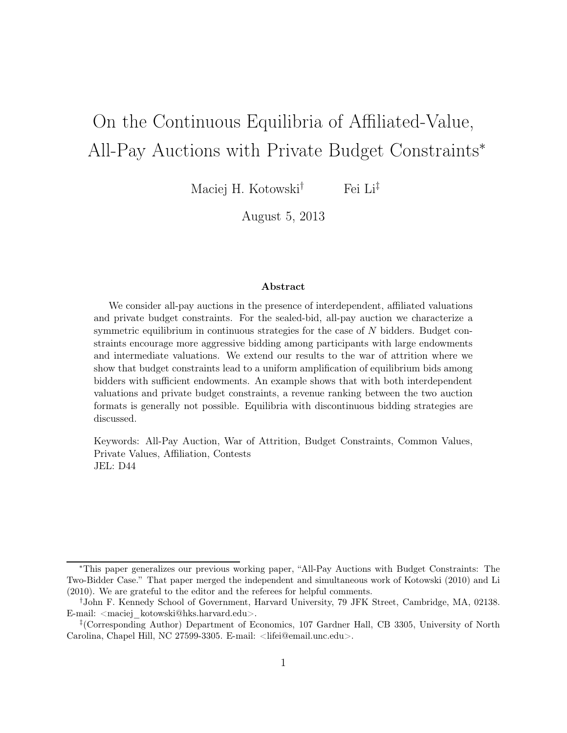# On the Continuous Equilibria of Affiliated-Value, All-Pay Auctions with Private Budget Constraints<sup>∗</sup>

Maciej H. Kotowski<sup>†</sup> Fei Li<sup>‡</sup>

August 5, 2013

#### Abstract

We consider all-pay auctions in the presence of interdependent, affiliated valuations and private budget constraints. For the sealed-bid, all-pay auction we characterize a symmetric equilibrium in continuous strategies for the case of  $N$  bidders. Budget constraints encourage more aggressive bidding among participants with large endowments and intermediate valuations. We extend our results to the war of attrition where we show that budget constraints lead to a uniform amplification of equilibrium bids among bidders with sufficient endowments. An example shows that with both interdependent valuations and private budget constraints, a revenue ranking between the two auction formats is generally not possible. Equilibria with discontinuous bidding strategies are discussed.

Keywords: All-Pay Auction, War of Attrition, Budget Constraints, Common Values, Private Values, Affiliation, Contests JEL: D44

<sup>∗</sup>This paper generalizes our previous working paper, "All-Pay Auctions with Budget Constraints: The Two-Bidder Case." That paper merged the independent and simultaneous work of Kotowski (2010) and Li (2010). We are grateful to the editor and the referees for helpful comments.

<sup>†</sup>John F. Kennedy School of Government, Harvard University, 79 JFK Street, Cambridge, MA, 02138. E-mail:  $\langle$ maciej kotowski@hks.harvard.edu>.

<sup>‡</sup> (Corresponding Author) Department of Economics, 107 Gardner Hall, CB 3305, University of North Carolina, Chapel Hill, NC 27599-3305. E-mail: <lifei@email.unc.edu>.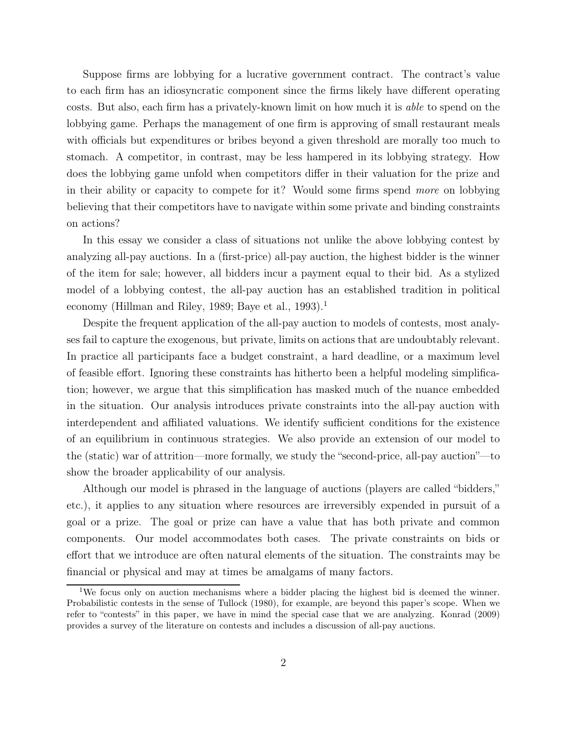Suppose firms are lobbying for a lucrative government contract. The contract's value to each firm has an idiosyncratic component since the firms likely have different operating costs. But also, each firm has a privately-known limit on how much it is able to spend on the lobbying game. Perhaps the management of one firm is approving of small restaurant meals with officials but expenditures or bribes beyond a given threshold are morally too much to stomach. A competitor, in contrast, may be less hampered in its lobbying strategy. How does the lobbying game unfold when competitors differ in their valuation for the prize and in their ability or capacity to compete for it? Would some firms spend more on lobbying believing that their competitors have to navigate within some private and binding constraints on actions?

In this essay we consider a class of situations not unlike the above lobbying contest by analyzing all-pay auctions. In a (first-price) all-pay auction, the highest bidder is the winner of the item for sale; however, all bidders incur a payment equal to their bid. As a stylized model of a lobbying contest, the all-pay auction has an established tradition in political economy (Hillman and Riley, 1989; Baye et al., 1993).<sup>1</sup>

Despite the frequent application of the all-pay auction to models of contests, most analyses fail to capture the exogenous, but private, limits on actions that are undoubtably relevant. In practice all participants face a budget constraint, a hard deadline, or a maximum level of feasible effort. Ignoring these constraints has hitherto been a helpful modeling simplification; however, we argue that this simplification has masked much of the nuance embedded in the situation. Our analysis introduces private constraints into the all-pay auction with interdependent and affiliated valuations. We identify sufficient conditions for the existence of an equilibrium in continuous strategies. We also provide an extension of our model to the (static) war of attrition—more formally, we study the "second-price, all-pay auction"—to show the broader applicability of our analysis.

Although our model is phrased in the language of auctions (players are called "bidders," etc.), it applies to any situation where resources are irreversibly expended in pursuit of a goal or a prize. The goal or prize can have a value that has both private and common components. Our model accommodates both cases. The private constraints on bids or effort that we introduce are often natural elements of the situation. The constraints may be financial or physical and may at times be amalgams of many factors.

<sup>1</sup>We focus only on auction mechanisms where a bidder placing the highest bid is deemed the winner. Probabilistic contests in the sense of Tullock (1980), for example, are beyond this paper's scope. When we refer to "contests" in this paper, we have in mind the special case that we are analyzing. Konrad (2009) provides a survey of the literature on contests and includes a discussion of all-pay auctions.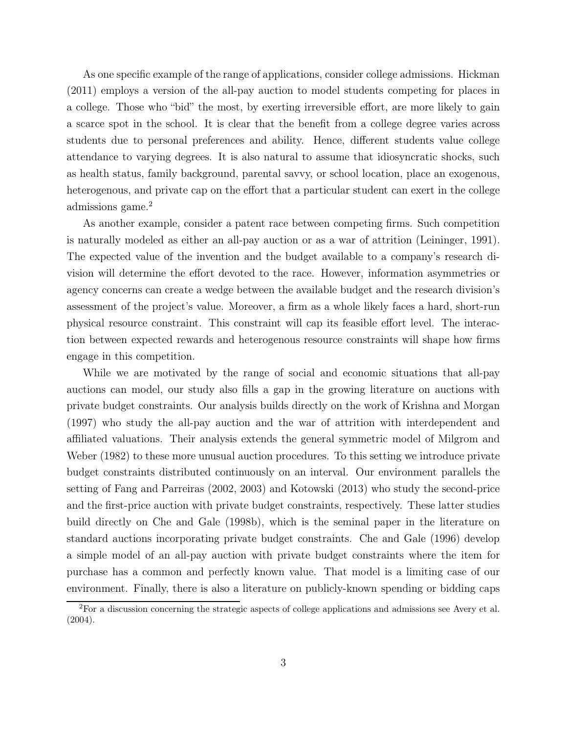As one specific example of the range of applications, consider college admissions. Hickman (2011) employs a version of the all-pay auction to model students competing for places in a college. Those who "bid" the most, by exerting irreversible effort, are more likely to gain a scarce spot in the school. It is clear that the benefit from a college degree varies across students due to personal preferences and ability. Hence, different students value college attendance to varying degrees. It is also natural to assume that idiosyncratic shocks, such as health status, family background, parental savvy, or school location, place an exogenous, heterogenous, and private cap on the effort that a particular student can exert in the college admissions game.<sup>2</sup>

As another example, consider a patent race between competing firms. Such competition is naturally modeled as either an all-pay auction or as a war of attrition (Leininger, 1991). The expected value of the invention and the budget available to a company's research division will determine the effort devoted to the race. However, information asymmetries or agency concerns can create a wedge between the available budget and the research division's assessment of the project's value. Moreover, a firm as a whole likely faces a hard, short-run physical resource constraint. This constraint will cap its feasible effort level. The interaction between expected rewards and heterogenous resource constraints will shape how firms engage in this competition.

While we are motivated by the range of social and economic situations that all-pay auctions can model, our study also fills a gap in the growing literature on auctions with private budget constraints. Our analysis builds directly on the work of Krishna and Morgan (1997) who study the all-pay auction and the war of attrition with interdependent and affiliated valuations. Their analysis extends the general symmetric model of Milgrom and Weber (1982) to these more unusual auction procedures. To this setting we introduce private budget constraints distributed continuously on an interval. Our environment parallels the setting of Fang and Parreiras (2002, 2003) and Kotowski (2013) who study the second-price and the first-price auction with private budget constraints, respectively. These latter studies build directly on Che and Gale (1998b), which is the seminal paper in the literature on standard auctions incorporating private budget constraints. Che and Gale (1996) develop a simple model of an all-pay auction with private budget constraints where the item for purchase has a common and perfectly known value. That model is a limiting case of our environment. Finally, there is also a literature on publicly-known spending or bidding caps

<sup>2</sup>For a discussion concerning the strategic aspects of college applications and admissions see Avery et al. (2004).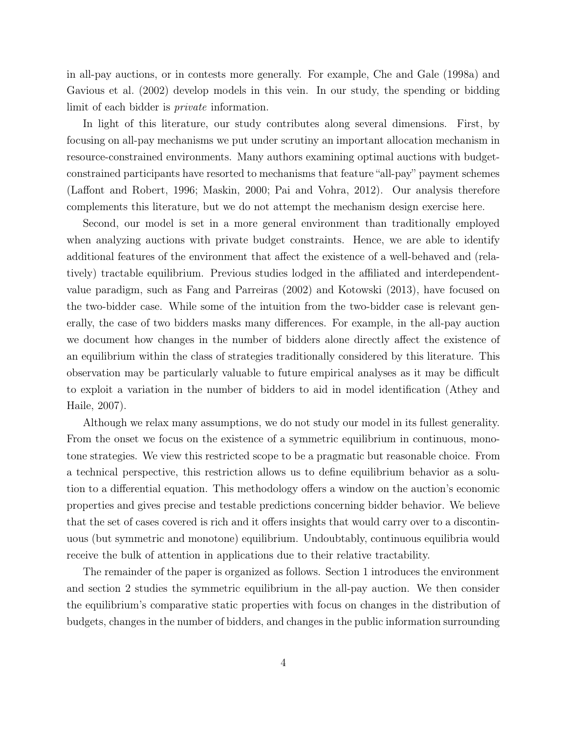in all-pay auctions, or in contests more generally. For example, Che and Gale (1998a) and Gavious et al. (2002) develop models in this vein. In our study, the spending or bidding limit of each bidder is private information.

In light of this literature, our study contributes along several dimensions. First, by focusing on all-pay mechanisms we put under scrutiny an important allocation mechanism in resource-constrained environments. Many authors examining optimal auctions with budgetconstrained participants have resorted to mechanisms that feature "all-pay" payment schemes (Laffont and Robert, 1996; Maskin, 2000; Pai and Vohra, 2012). Our analysis therefore complements this literature, but we do not attempt the mechanism design exercise here.

Second, our model is set in a more general environment than traditionally employed when analyzing auctions with private budget constraints. Hence, we are able to identify additional features of the environment that affect the existence of a well-behaved and (relatively) tractable equilibrium. Previous studies lodged in the affiliated and interdependentvalue paradigm, such as Fang and Parreiras (2002) and Kotowski (2013), have focused on the two-bidder case. While some of the intuition from the two-bidder case is relevant generally, the case of two bidders masks many differences. For example, in the all-pay auction we document how changes in the number of bidders alone directly affect the existence of an equilibrium within the class of strategies traditionally considered by this literature. This observation may be particularly valuable to future empirical analyses as it may be difficult to exploit a variation in the number of bidders to aid in model identification (Athey and Haile, 2007).

Although we relax many assumptions, we do not study our model in its fullest generality. From the onset we focus on the existence of a symmetric equilibrium in continuous, monotone strategies. We view this restricted scope to be a pragmatic but reasonable choice. From a technical perspective, this restriction allows us to define equilibrium behavior as a solution to a differential equation. This methodology offers a window on the auction's economic properties and gives precise and testable predictions concerning bidder behavior. We believe that the set of cases covered is rich and it offers insights that would carry over to a discontinuous (but symmetric and monotone) equilibrium. Undoubtably, continuous equilibria would receive the bulk of attention in applications due to their relative tractability.

The remainder of the paper is organized as follows. Section 1 introduces the environment and section 2 studies the symmetric equilibrium in the all-pay auction. We then consider the equilibrium's comparative static properties with focus on changes in the distribution of budgets, changes in the number of bidders, and changes in the public information surrounding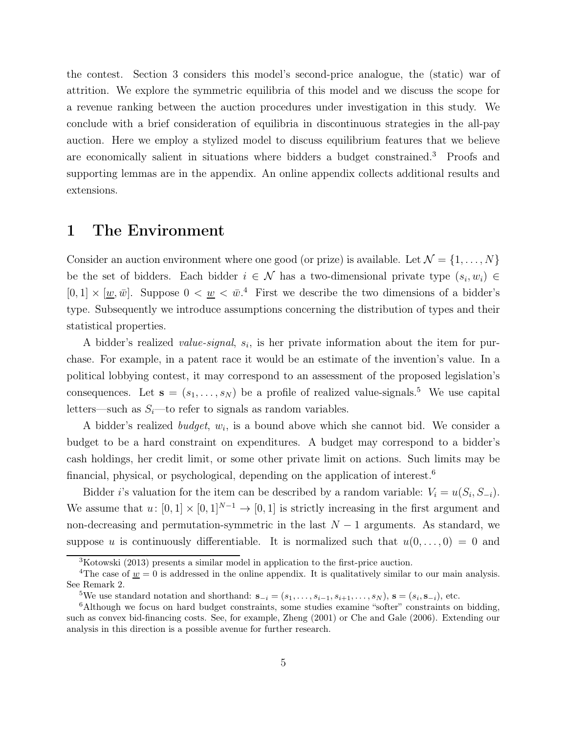the contest. Section 3 considers this model's second-price analogue, the (static) war of attrition. We explore the symmetric equilibria of this model and we discuss the scope for a revenue ranking between the auction procedures under investigation in this study. We conclude with a brief consideration of equilibria in discontinuous strategies in the all-pay auction. Here we employ a stylized model to discuss equilibrium features that we believe are economically salient in situations where bidders a budget constrained.<sup>3</sup> Proofs and supporting lemmas are in the appendix. An online appendix collects additional results and extensions.

## 1 The Environment

Consider an auction environment where one good (or prize) is available. Let  $\mathcal{N} = \{1, \ldots, N\}$ be the set of bidders. Each bidder  $i \in \mathcal{N}$  has a two-dimensional private type  $(s_i, w_i) \in$  $[0, 1] \times [\underline{w}, \overline{w}]$ . Suppose  $0 < \underline{w} < \overline{w}$ .<sup>4</sup> First we describe the two dimensions of a bidder's type. Subsequently we introduce assumptions concerning the distribution of types and their statistical properties.

A bidder's realized *value-signal*,  $s_i$ , is her private information about the item for purchase. For example, in a patent race it would be an estimate of the invention's value. In a political lobbying contest, it may correspond to an assessment of the proposed legislation's consequences. Let  $\mathbf{s} = (s_1, \ldots, s_N)$  be a profile of realized value-signals.<sup>5</sup> We use capital letters—such as  $S_i$ —to refer to signals as random variables.

A bidder's realized *budget*,  $w_i$ , is a bound above which she cannot bid. We consider a budget to be a hard constraint on expenditures. A budget may correspond to a bidder's cash holdings, her credit limit, or some other private limit on actions. Such limits may be financial, physical, or psychological, depending on the application of interest.<sup>6</sup>

Bidder *i*'s valuation for the item can be described by a random variable:  $V_i = u(S_i, S_{-i})$ . We assume that  $u: [0, 1] \times [0, 1]^{N-1} \to [0, 1]$  is strictly increasing in the first argument and non-decreasing and permutation-symmetric in the last  $N-1$  arguments. As standard, we suppose u is continuously differentiable. It is normalized such that  $u(0,\ldots,0) = 0$  and

 $3$ Kotowski (2013) presents a similar model in application to the first-price auction.

<sup>&</sup>lt;sup>4</sup>The case of  $\underline{w} = 0$  is addressed in the online appendix. It is qualitatively similar to our main analysis. See Remark 2.

<sup>&</sup>lt;sup>5</sup>We use standard notation and shorthand:  $\mathbf{s}_{-i} = (s_1, \ldots, s_{i-1}, s_{i+1}, \ldots, s_N)$ ,  $\mathbf{s} = (s_i, \mathbf{s}_{-i})$ , etc.

<sup>6</sup>Although we focus on hard budget constraints, some studies examine "softer" constraints on bidding, such as convex bid-financing costs. See, for example, Zheng (2001) or Che and Gale (2006). Extending our analysis in this direction is a possible avenue for further research.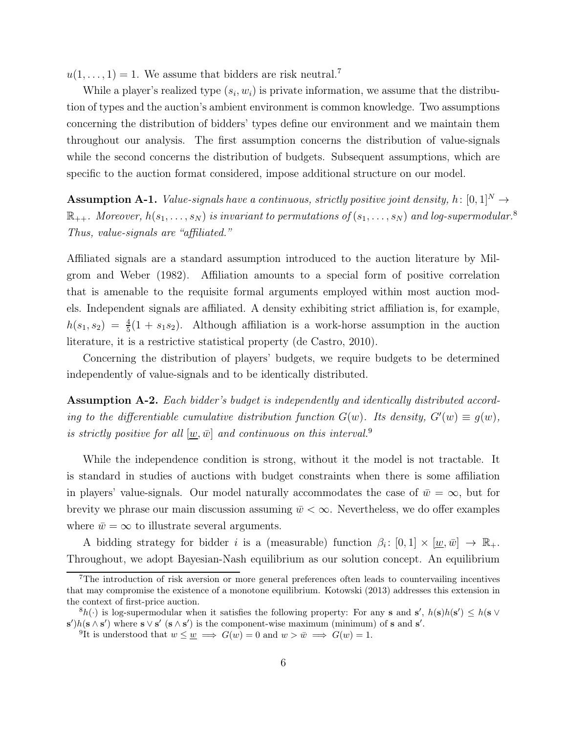$u(1,\ldots,1) = 1$ . We assume that bidders are risk neutral.<sup>7</sup>

While a player's realized type  $(s_i, w_i)$  is private information, we assume that the distribution of types and the auction's ambient environment is common knowledge. Two assumptions concerning the distribution of bidders' types define our environment and we maintain them throughout our analysis. The first assumption concerns the distribution of value-signals while the second concerns the distribution of budgets. Subsequent assumptions, which are specific to the auction format considered, impose additional structure on our model.

**Assumption A-1.** Value-signals have a continuous, strictly positive joint density, h:  $[0,1]^N \rightarrow$  $\mathbb{R}_{++}$ . Moreover,  $h(s_1, \ldots, s_N)$  is invariant to permutations of  $(s_1, \ldots, s_N)$  and log-supermodular.<sup>8</sup> Thus, value-signals are "affiliated."

Affiliated signals are a standard assumption introduced to the auction literature by Milgrom and Weber (1982). Affiliation amounts to a special form of positive correlation that is amenable to the requisite formal arguments employed within most auction models. Independent signals are affiliated. A density exhibiting strict affiliation is, for example,  $h(s_1, s_2) = \frac{4}{5}(1 + s_1 s_2)$ . Although affiliation is a work-horse assumption in the auction literature, it is a restrictive statistical property (de Castro, 2010).

Concerning the distribution of players' budgets, we require budgets to be determined independently of value-signals and to be identically distributed.

Assumption A-2. Each bidder's budget is independently and identically distributed according to the differentiable cumulative distribution function  $G(w)$ . Its density,  $G'(w) \equiv g(w)$ , is strictly positive for all  $[\underline{w},\overline{w}]$  and continuous on this interval.<sup>9</sup>

While the independence condition is strong, without it the model is not tractable. It is standard in studies of auctions with budget constraints when there is some affiliation in players' value-signals. Our model naturally accommodates the case of  $\bar{w} = \infty$ , but for brevity we phrase our main discussion assuming  $\bar{w} < \infty$ . Nevertheless, we do offer examples where  $\bar{w} = \infty$  to illustrate several arguments.

A bidding strategy for bidder *i* is a (measurable) function  $\beta_i: [0,1] \times [\underline{w}, \overline{w}] \rightarrow \mathbb{R}_+$ . Throughout, we adopt Bayesian-Nash equilibrium as our solution concept. An equilibrium

<sup>7</sup>The introduction of risk aversion or more general preferences often leads to countervailing incentives that may compromise the existence of a monotone equilibrium. Kotowski (2013) addresses this extension in the context of first-price auction.

 ${}^8h(\cdot)$  is log-supermodular when it satisfies the following property: For any s and s',  $h(\mathbf{s})h(\mathbf{s}') \leq h(\mathbf{s} \vee \mathbf{s}')$  $\mathbf{s}'$ ) $h(\mathbf{s} \wedge \mathbf{s}')$  where  $\mathbf{s} \vee \mathbf{s}'$  ( $\mathbf{s} \wedge \mathbf{s}'$ ) is the component-wise maximum (minimum) of s and  $\mathbf{s}'$ .

<sup>&</sup>lt;sup>9</sup>It is understood that  $w \leq w \implies G(w) = 0$  and  $w > w \implies G(w) = 1$ .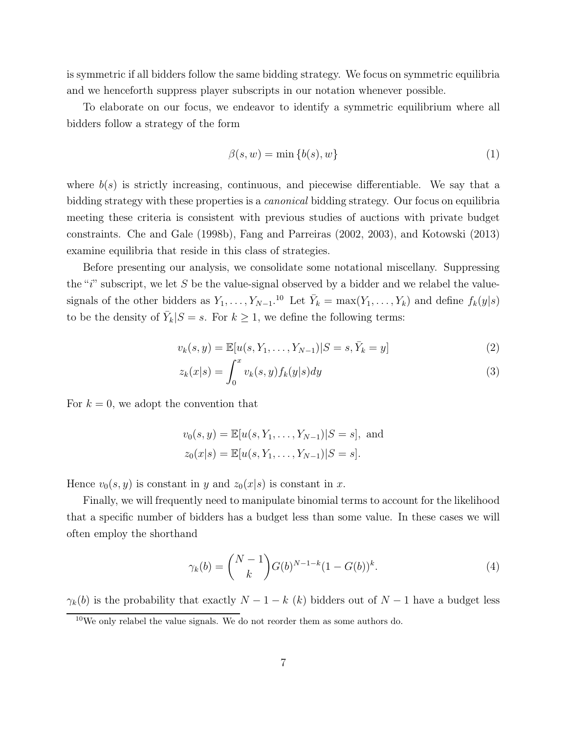is symmetric if all bidders follow the same bidding strategy. We focus on symmetric equilibria and we henceforth suppress player subscripts in our notation whenever possible.

To elaborate on our focus, we endeavor to identify a symmetric equilibrium where all bidders follow a strategy of the form

$$
\beta(s, w) = \min\{b(s), w\} \tag{1}
$$

where  $b(s)$  is strictly increasing, continuous, and piecewise differentiable. We say that a bidding strategy with these properties is a *canonical* bidding strategy. Our focus on equilibria meeting these criteria is consistent with previous studies of auctions with private budget constraints. Che and Gale (1998b), Fang and Parreiras (2002, 2003), and Kotowski (2013) examine equilibria that reside in this class of strategies.

Before presenting our analysis, we consolidate some notational miscellany. Suppressing the " $i$ " subscript, we let S be the value-signal observed by a bidder and we relabel the valuesignals of the other bidders as  $Y_1, \ldots, Y_{N-1}$ .<sup>10</sup> Let  $\bar{Y}_k = \max(Y_1, \ldots, Y_k)$  and define  $f_k(y|s)$ to be the density of  $\bar{Y}_k|S = s$ . For  $k \geq 1$ , we define the following terms:

$$
v_k(s, y) = \mathbb{E}[u(s, Y_1, \dots, Y_{N-1}) | S = s, \bar{Y}_k = y]
$$
\n(2)

$$
z_k(x|s) = \int_0^x v_k(s,y)f_k(y|s)dy
$$
\n(3)

For  $k = 0$ , we adopt the convention that

$$
v_0(s, y) = \mathbb{E}[u(s, Y_1, ..., Y_{N-1})|S = s],
$$
 and  
 $z_0(x|s) = \mathbb{E}[u(s, Y_1, ..., Y_{N-1})|S = s].$ 

Hence  $v_0(s, y)$  is constant in y and  $z_0(x|s)$  is constant in x.

Finally, we will frequently need to manipulate binomial terms to account for the likelihood that a specific number of bidders has a budget less than some value. In these cases we will often employ the shorthand

$$
\gamma_k(b) = \binom{N-1}{k} G(b)^{N-1-k} (1 - G(b))^k. \tag{4}
$$

 $\gamma_k(b)$  is the probability that exactly  $N-1-k$  (k) bidders out of  $N-1$  have a budget less

 $10$ We only relabel the value signals. We do not reorder them as some authors do.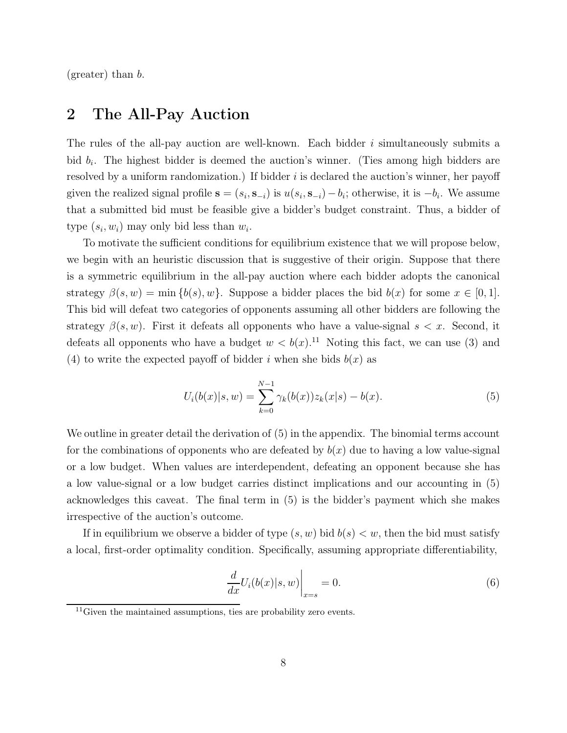(greater) than b.

### 2 The All-Pay Auction

The rules of the all-pay auction are well-known. Each bidder i simultaneously submits a bid  $b_i$ . The highest bidder is deemed the auction's winner. (Ties among high bidders are resolved by a uniform randomization.) If bidder  $i$  is declared the auction's winner, her payoff given the realized signal profile  $\mathbf{s} = (s_i, \mathbf{s}_{-i})$  is  $u(s_i, \mathbf{s}_{-i}) - b_i$ ; otherwise, it is  $-b_i$ . We assume that a submitted bid must be feasible give a bidder's budget constraint. Thus, a bidder of type  $(s_i, w_i)$  may only bid less than  $w_i$ .

To motivate the sufficient conditions for equilibrium existence that we will propose below, we begin with an heuristic discussion that is suggestive of their origin. Suppose that there is a symmetric equilibrium in the all-pay auction where each bidder adopts the canonical strategy  $\beta(s, w) = \min \{b(s), w\}$ . Suppose a bidder places the bid  $b(x)$  for some  $x \in [0, 1]$ . This bid will defeat two categories of opponents assuming all other bidders are following the strategy  $\beta(s, w)$ . First it defeats all opponents who have a value-signal  $s < x$ . Second, it defeats all opponents who have a budget  $w < b(x)$ .<sup>11</sup> Noting this fact, we can use (3) and (4) to write the expected payoff of bidder i when she bids  $b(x)$  as

$$
U_i(b(x)|s, w) = \sum_{k=0}^{N-1} \gamma_k(b(x)) z_k(x|s) - b(x).
$$
 (5)

We outline in greater detail the derivation of (5) in the appendix. The binomial terms account for the combinations of opponents who are defeated by  $b(x)$  due to having a low value-signal or a low budget. When values are interdependent, defeating an opponent because she has a low value-signal or a low budget carries distinct implications and our accounting in (5) acknowledges this caveat. The final term in (5) is the bidder's payment which she makes irrespective of the auction's outcome.

If in equilibrium we observe a bidder of type  $(s, w)$  bid  $b(s) < w$ , then the bid must satisfy a local, first-order optimality condition. Specifically, assuming appropriate differentiability,

$$
\left. \frac{d}{dx} U_i(b(x)|s, w) \right|_{x=s} = 0. \tag{6}
$$

 $11$ Given the maintained assumptions, ties are probability zero events.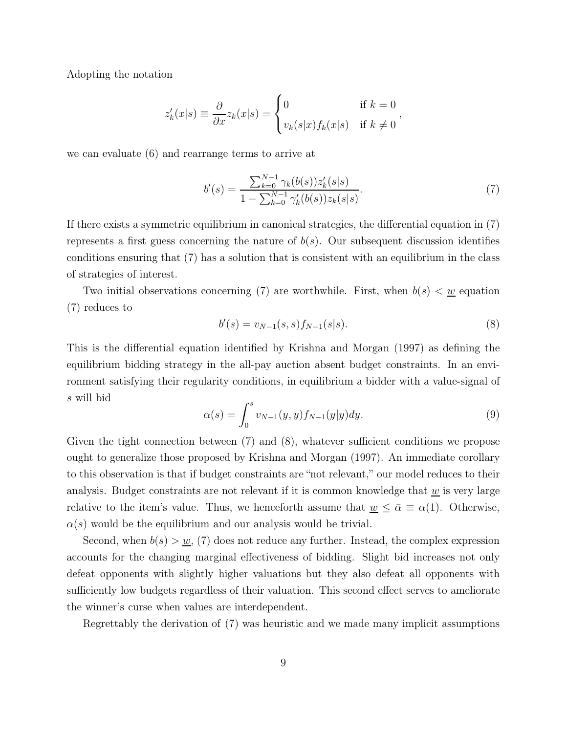Adopting the notation

$$
z'_{k}(x|s) \equiv \frac{\partial}{\partial x} z_{k}(x|s) = \begin{cases} 0 & \text{if } k = 0\\ v_{k}(s|x) f_{k}(x|s) & \text{if } k \neq 0 \end{cases},
$$

we can evaluate (6) and rearrange terms to arrive at

$$
b'(s) = \frac{\sum_{k=0}^{N-1} \gamma_k(b(s)) z'_k(s|s)}{1 - \sum_{k=0}^{N-1} \gamma'_k(b(s)) z_k(s|s)}.
$$
\n<sup>(7)</sup>

If there exists a symmetric equilibrium in canonical strategies, the differential equation in (7) represents a first guess concerning the nature of  $b(s)$ . Our subsequent discussion identifies conditions ensuring that (7) has a solution that is consistent with an equilibrium in the class of strategies of interest.

Two initial observations concerning (7) are worthwhile. First, when  $b(s) < w$  equation (7) reduces to

$$
b'(s) = v_{N-1}(s,s)f_{N-1}(s|s).
$$
\n(8)

This is the differential equation identified by Krishna and Morgan (1997) as defining the equilibrium bidding strategy in the all-pay auction absent budget constraints. In an environment satisfying their regularity conditions, in equilibrium a bidder with a value-signal of s will bid

$$
\alpha(s) = \int_0^s v_{N-1}(y, y) f_{N-1}(y|y) dy.
$$
\n(9)

Given the tight connection between (7) and (8), whatever sufficient conditions we propose ought to generalize those proposed by Krishna and Morgan (1997). An immediate corollary to this observation is that if budget constraints are "not relevant," our model reduces to their analysis. Budget constraints are not relevant if it is common knowledge that  $w$  is very large relative to the item's value. Thus, we henceforth assume that  $\underline{w} \leq \overline{\alpha} \equiv \alpha(1)$ . Otherwise,  $\alpha(s)$  would be the equilibrium and our analysis would be trivial.

Second, when  $b(s) > w$ , (7) does not reduce any further. Instead, the complex expression accounts for the changing marginal effectiveness of bidding. Slight bid increases not only defeat opponents with slightly higher valuations but they also defeat all opponents with sufficiently low budgets regardless of their valuation. This second effect serves to ameliorate the winner's curse when values are interdependent.

Regrettably the derivation of (7) was heuristic and we made many implicit assumptions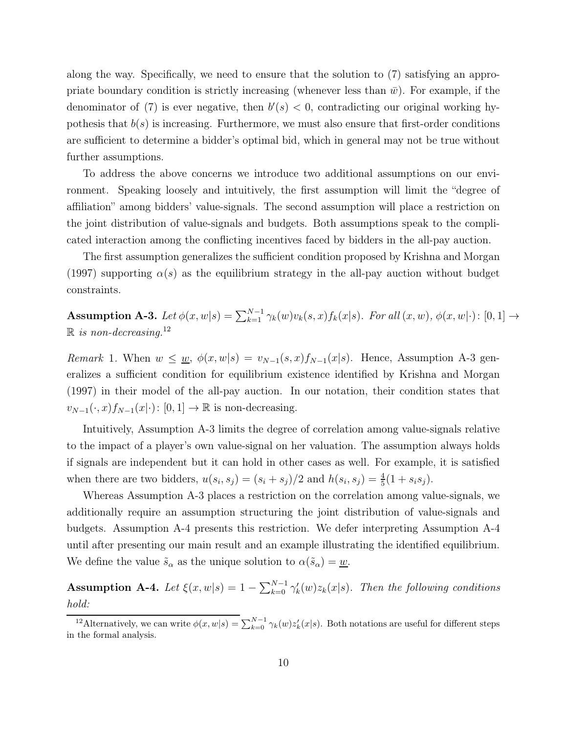along the way. Specifically, we need to ensure that the solution to (7) satisfying an appropriate boundary condition is strictly increasing (whenever less than  $\bar{w}$ ). For example, if the denominator of (7) is ever negative, then  $b'(s) < 0$ , contradicting our original working hypothesis that  $b(s)$  is increasing. Furthermore, we must also ensure that first-order conditions are sufficient to determine a bidder's optimal bid, which in general may not be true without further assumptions.

To address the above concerns we introduce two additional assumptions on our environment. Speaking loosely and intuitively, the first assumption will limit the "degree of affiliation" among bidders' value-signals. The second assumption will place a restriction on the joint distribution of value-signals and budgets. Both assumptions speak to the complicated interaction among the conflicting incentives faced by bidders in the all-pay auction.

The first assumption generalizes the sufficient condition proposed by Krishna and Morgan (1997) supporting  $\alpha(s)$  as the equilibrium strategy in the all-pay auction without budget constraints.

Assumption A-3. Let  $\phi(x, w|s) = \sum_{k=1}^{N-1} \gamma_k(w) v_k(s, x) f_k(x|s)$ . For all  $(x, w)$ ,  $\phi(x, w|\cdot)$ :  $[0, 1] \rightarrow$  $\mathbb{R}$  is non-decreasing.<sup>12</sup>

Remark 1. When  $w \leq w$ ,  $\phi(x, w|s) = v_{N-1}(s, x) f_{N-1}(x|s)$ . Hence, Assumption A-3 generalizes a sufficient condition for equilibrium existence identified by Krishna and Morgan (1997) in their model of the all-pay auction. In our notation, their condition states that  $v_{N-1}(\cdot, x) f_{N-1}(x|\cdot) : [0, 1] \to \mathbb{R}$  is non-decreasing.

Intuitively, Assumption A-3 limits the degree of correlation among value-signals relative to the impact of a player's own value-signal on her valuation. The assumption always holds if signals are independent but it can hold in other cases as well. For example, it is satisfied when there are two bidders,  $u(s_i, s_j) = (s_i + s_j)/2$  and  $h(s_i, s_j) = \frac{4}{5}(1 + s_i s_j)$ .

Whereas Assumption A-3 places a restriction on the correlation among value-signals, we additionally require an assumption structuring the joint distribution of value-signals and budgets. Assumption A-4 presents this restriction. We defer interpreting Assumption A-4 until after presenting our main result and an example illustrating the identified equilibrium. We define the value  $\tilde{s}_{\alpha}$  as the unique solution to  $\alpha(\tilde{s}_{\alpha}) = \underline{w}$ .

**Assumption A-4.** Let  $\xi(x, w|s) = 1 - \sum_{k=0}^{N-1} \gamma'_k(w) z_k(x|s)$ . Then the following conditions hold:

<sup>&</sup>lt;sup>12</sup>Alternatively, we can write  $\phi(x, w|s) = \sum_{k=0}^{N-1} \gamma_k(w) z'_k(x|s)$ . Both notations are useful for different steps in the formal analysis.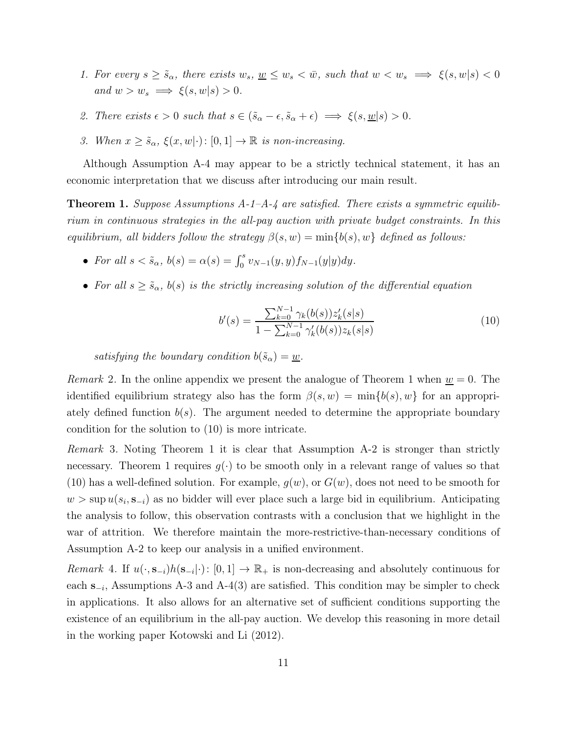- 1. For every  $s \geq \tilde{s}_{\alpha}$ , there exists  $w_s, w \leq w_s < \bar{w}$ , such that  $w < w_s \implies \xi(s, w|s) < 0$ and  $w > w_s \implies \xi(s, w|s) > 0$ .
- 2. There exists  $\epsilon > 0$  such that  $s \in (\tilde{s}_{\alpha} \epsilon, \tilde{s}_{\alpha} + \epsilon) \implies \xi(s, \underline{w}|s) > 0$ .
- 3. When  $x \geq \tilde{s}_{\alpha}, \xi(x, w|\cdot) : [0, 1] \to \mathbb{R}$  is non-increasing.

Although Assumption A-4 may appear to be a strictly technical statement, it has an economic interpretation that we discuss after introducing our main result.

**Theorem 1.** Suppose Assumptions  $A$ -1- $A$ -4 are satisfied. There exists a symmetric equilibrium in continuous strategies in the all-pay auction with private budget constraints. In this equilibrium, all bidders follow the strategy  $\beta(s, w) = \min\{b(s), w\}$  defined as follows:

- For all  $s < \tilde{s}_{\alpha}$ ,  $b(s) = \alpha(s) = \int_0^s v_{N-1}(y, y) f_{N-1}(y|y) dy$ .
- For all  $s \geq \tilde{s}_{\alpha}$ ,  $b(s)$  is the strictly increasing solution of the differential equation

$$
b'(s) = \frac{\sum_{k=0}^{N-1} \gamma_k(b(s))z'_k(s|s)}{1 - \sum_{k=0}^{N-1} \gamma'_k(b(s))z_k(s|s)}
$$
(10)

satisfying the boundary condition  $b(\tilde{s}_{\alpha}) = \underline{w}$ .

*Remark* 2. In the online appendix we present the analogue of Theorem 1 when  $\underline{w} = 0$ . The identified equilibrium strategy also has the form  $\beta(s, w) = \min\{b(s), w\}$  for an appropriately defined function  $b(s)$ . The argument needed to determine the appropriate boundary condition for the solution to (10) is more intricate.

Remark 3. Noting Theorem 1 it is clear that Assumption A-2 is stronger than strictly necessary. Theorem 1 requires  $q(\cdot)$  to be smooth only in a relevant range of values so that (10) has a well-defined solution. For example,  $g(w)$ , or  $G(w)$ , does not need to be smooth for  $w > \sup u(s_i, \mathbf{s}_{-i})$  as no bidder will ever place such a large bid in equilibrium. Anticipating the analysis to follow, this observation contrasts with a conclusion that we highlight in the war of attrition. We therefore maintain the more-restrictive-than-necessary conditions of Assumption A-2 to keep our analysis in a unified environment.

Remark 4. If  $u(\cdot, s_{-i})h(s_{-i}|\cdot): [0, 1] \to \mathbb{R}_+$  is non-decreasing and absolutely continuous for each  $\mathbf{s}_{-i}$ , Assumptions A-3 and A-4(3) are satisfied. This condition may be simpler to check in applications. It also allows for an alternative set of sufficient conditions supporting the existence of an equilibrium in the all-pay auction. We develop this reasoning in more detail in the working paper Kotowski and Li (2012).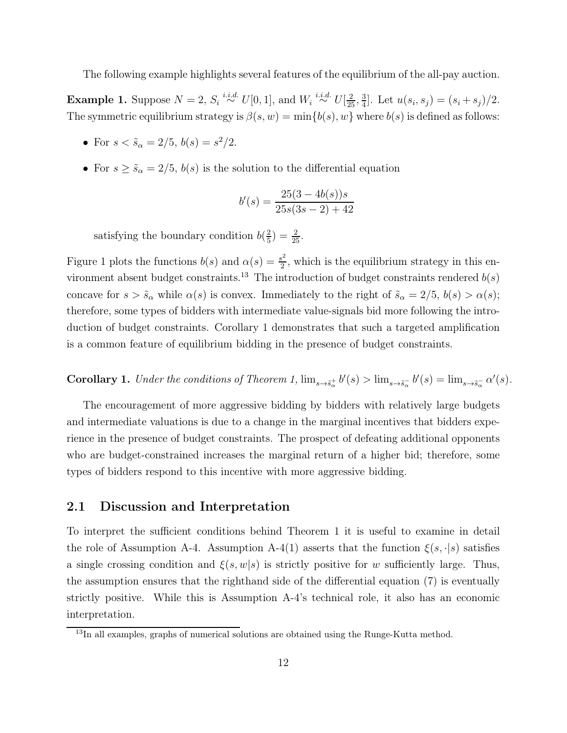The following example highlights several features of the equilibrium of the all-pay auction.

**Example 1.** Suppose  $N = 2$ ,  $S_i \stackrel{i.i.d.}{\sim} U[0,1]$ , and  $W_i \stackrel{i.i.d.}{\sim} U[\frac{2}{25}, \frac{3}{4}]$  $\frac{3}{4}$ . Let  $u(s_i, s_j) = (s_i + s_j)/2$ . The symmetric equilibrium strategy is  $\beta(s, w) = \min\{b(s), w\}$  where  $b(s)$  is defined as follows:

- For  $s < \tilde{s}_{\alpha} = 2/5$ ,  $b(s) = s^2/2$ .
- For  $s \geq \tilde{s}_{\alpha} = 2/5$ ,  $b(s)$  is the solution to the differential equation

$$
b'(s) = \frac{25(3 - 4b(s))s}{25s(3s - 2) + 42}
$$

satisfying the boundary condition  $b(\frac{2}{5})$  $(\frac{2}{5}) = \frac{2}{25}.$ 

Figure 1 plots the functions  $b(s)$  and  $\alpha(s) = \frac{s^2}{2}$  $\frac{2^2}{2}$ , which is the equilibrium strategy in this environment absent budget constraints.<sup>13</sup> The introduction of budget constraints rendered  $b(s)$ concave for  $s > \tilde{s}_{\alpha}$  while  $\alpha(s)$  is convex. Immediately to the right of  $\tilde{s}_{\alpha} = 2/5$ ,  $b(s) > \alpha(s)$ ; therefore, some types of bidders with intermediate value-signals bid more following the introduction of budget constraints. Corollary 1 demonstrates that such a targeted amplification is a common feature of equilibrium bidding in the presence of budget constraints.

**Corollary 1.** Under the conditions of Theorem 1,  $\lim_{s\to \tilde{s}_\alpha^+} b'(s) > \lim_{s\to \tilde{s}_\alpha^-} b'(s) = \lim_{s\to \tilde{s}_\alpha^-} \alpha'(s)$ .

The encouragement of more aggressive bidding by bidders with relatively large budgets and intermediate valuations is due to a change in the marginal incentives that bidders experience in the presence of budget constraints. The prospect of defeating additional opponents who are budget-constrained increases the marginal return of a higher bid; therefore, some types of bidders respond to this incentive with more aggressive bidding.

### 2.1 Discussion and Interpretation

To interpret the sufficient conditions behind Theorem 1 it is useful to examine in detail the role of Assumption A-4. Assumption A-4(1) asserts that the function  $\xi(s, \cdot|s)$  satisfies a single crossing condition and  $\xi(s, w|s)$  is strictly positive for w sufficiently large. Thus, the assumption ensures that the righthand side of the differential equation (7) is eventually strictly positive. While this is Assumption A-4's technical role, it also has an economic interpretation.

<sup>&</sup>lt;sup>13</sup>In all examples, graphs of numerical solutions are obtained using the Runge-Kutta method.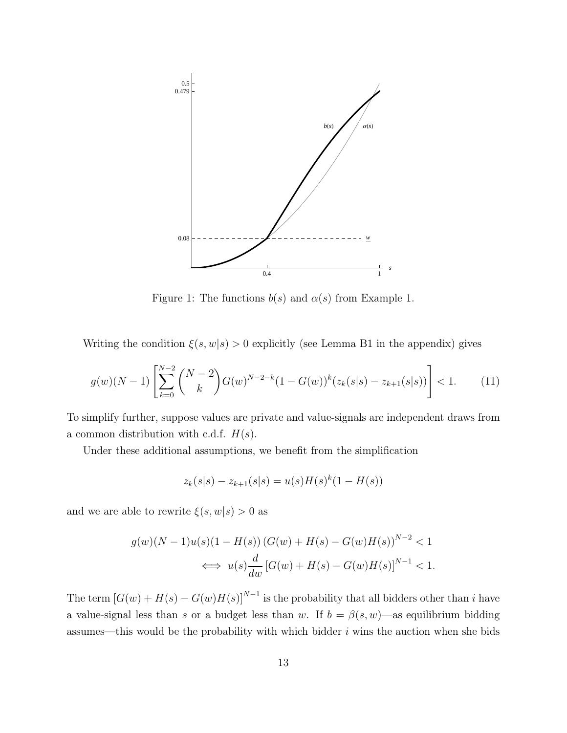

Figure 1: The functions  $b(s)$  and  $\alpha(s)$  from Example 1.

Writing the condition  $\xi(s, w|s) > 0$  explicitly (see Lemma B1 in the appendix) gives

$$
g(w)(N-1)\left[\sum_{k=0}^{N-2} \binom{N-2}{k} G(w)^{N-2-k} (1-G(w))^k (z_k(s)|-z_{k+1}(s|s))\right] < 1. \tag{11}
$$

To simplify further, suppose values are private and value-signals are independent draws from a common distribution with c.d.f.  $H(s)$ .

Under these additional assumptions, we benefit from the simplification

$$
z_k(s|s) - z_{k+1}(s|s) = u(s)H(s)^k(1 - H(s))
$$

and we are able to rewrite  $\xi(s, w|s) > 0$  as

$$
g(w)(N-1)u(s)(1 - H(s)) (G(w) + H(s) - G(w)H(s))^{N-2} < 1
$$
  

$$
\iff u(s)\frac{d}{dw} [G(w) + H(s) - G(w)H(s)]^{N-1} < 1.
$$

The term  $[G(w) + H(s) - G(w)H(s)]^{N-1}$  is the probability that all bidders other than i have a value-signal less than s or a budget less than w. If  $b = \beta(s, w)$ —as equilibrium bidding assumes—this would be the probability with which bidder  $i$  wins the auction when she bids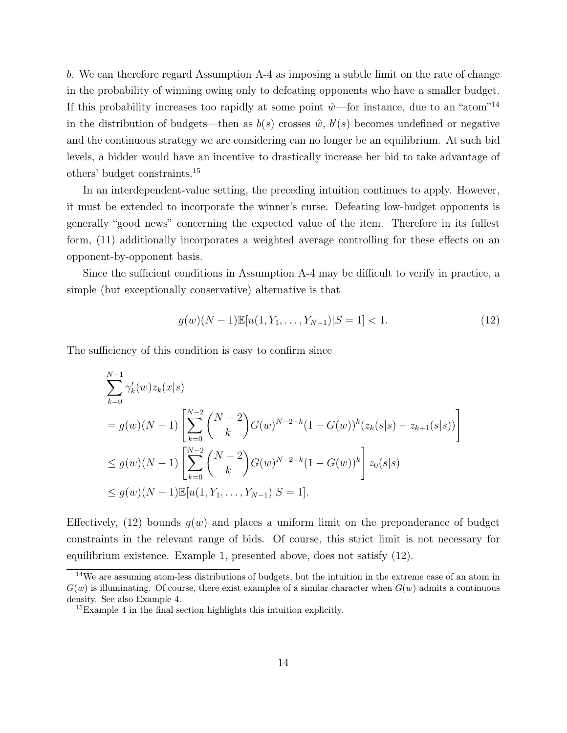b. We can therefore regard Assumption A-4 as imposing a subtle limit on the rate of change in the probability of winning owing only to defeating opponents who have a smaller budget. If this probability increases too rapidly at some point  $\hat{w}$ —for instance, due to an "atom"<sup>14</sup> in the distribution of budgets—then as  $b(s)$  crosses  $\hat{w}$ ,  $b'(s)$  becomes undefined or negative and the continuous strategy we are considering can no longer be an equilibrium. At such bid levels, a bidder would have an incentive to drastically increase her bid to take advantage of others' budget constraints.<sup>15</sup>

In an interdependent-value setting, the preceding intuition continues to apply. However, it must be extended to incorporate the winner's curse. Defeating low-budget opponents is generally "good news" concerning the expected value of the item. Therefore in its fullest form, (11) additionally incorporates a weighted average controlling for these effects on an opponent-by-opponent basis.

Since the sufficient conditions in Assumption A-4 may be difficult to verify in practice, a simple (but exceptionally conservative) alternative is that

$$
g(w)(N-1)\mathbb{E}[u(1, Y_1, \dots, Y_{N-1})|S=1] < 1. \tag{12}
$$

The sufficiency of this condition is easy to confirm since

$$
\sum_{k=0}^{N-1} \gamma'_k(w) z_k(x|s)
$$
  
=  $g(w)(N-1) \left[ \sum_{k=0}^{N-2} {N-2 \choose k} G(w)^{N-2-k} (1 - G(w))^k (z_k(s|s) - z_{k+1}(s|s)) \right]$   
 $\leq g(w)(N-1) \left[ \sum_{k=0}^{N-2} {N-2 \choose k} G(w)^{N-2-k} (1 - G(w))^k \right] z_0(s|s)$   
 $\leq g(w)(N-1) \mathbb{E}[u(1, Y_1, ..., Y_{N-1})|S = 1].$ 

Effectively,  $(12)$  bounds  $g(w)$  and places a uniform limit on the preponderance of budget constraints in the relevant range of bids. Of course, this strict limit is not necessary for equilibrium existence. Example 1, presented above, does not satisfy (12).

<sup>&</sup>lt;sup>14</sup>We are assuming atom-less distributions of budgets, but the intuition in the extreme case of an atom in  $G(w)$  is illuminating. Of course, there exist examples of a similar character when  $G(w)$  admits a continuous density. See also Example 4.

<sup>15</sup>Example 4 in the final section highlights this intuition explicitly.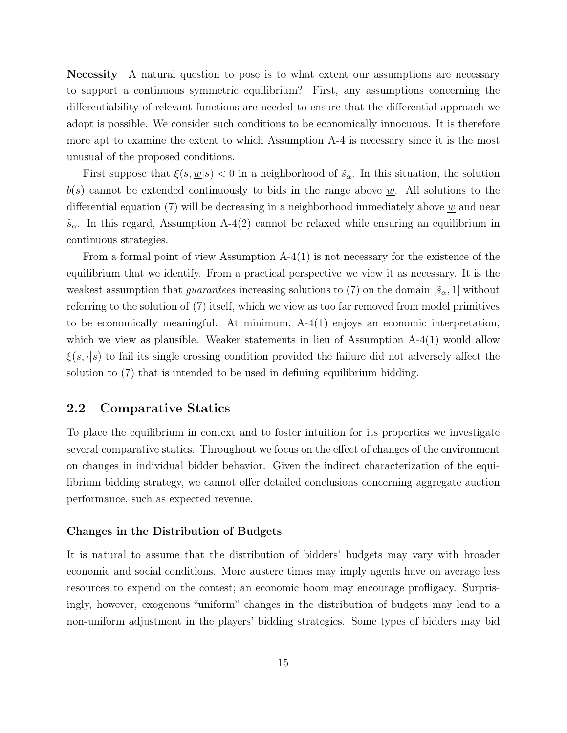Necessity A natural question to pose is to what extent our assumptions are necessary to support a continuous symmetric equilibrium? First, any assumptions concerning the differentiability of relevant functions are needed to ensure that the differential approach we adopt is possible. We consider such conditions to be economically innocuous. It is therefore more apt to examine the extent to which Assumption A-4 is necessary since it is the most unusual of the proposed conditions.

First suppose that  $\xi(s, \underline{w}|s) < 0$  in a neighborhood of  $\tilde{s}_{\alpha}$ . In this situation, the solution  $b(s)$  cannot be extended continuously to bids in the range above w. All solutions to the differential equation (7) will be decreasing in a neighborhood immediately above w and near  $\tilde{s}_{\alpha}$ . In this regard, Assumption A-4(2) cannot be relaxed while ensuring an equilibrium in continuous strategies.

From a formal point of view Assumption A-4(1) is not necessary for the existence of the equilibrium that we identify. From a practical perspective we view it as necessary. It is the weakest assumption that *guarantees* increasing solutions to (7) on the domain  $[\tilde{s}_{\alpha}, 1]$  without referring to the solution of (7) itself, which we view as too far removed from model primitives to be economically meaningful. At minimum, A-4(1) enjoys an economic interpretation, which we view as plausible. Weaker statements in lieu of Assumption  $A-4(1)$  would allow  $\xi(s, \cdot|s)$  to fail its single crossing condition provided the failure did not adversely affect the solution to (7) that is intended to be used in defining equilibrium bidding.

### 2.2 Comparative Statics

To place the equilibrium in context and to foster intuition for its properties we investigate several comparative statics. Throughout we focus on the effect of changes of the environment on changes in individual bidder behavior. Given the indirect characterization of the equilibrium bidding strategy, we cannot offer detailed conclusions concerning aggregate auction performance, such as expected revenue.

#### Changes in the Distribution of Budgets

It is natural to assume that the distribution of bidders' budgets may vary with broader economic and social conditions. More austere times may imply agents have on average less resources to expend on the contest; an economic boom may encourage profligacy. Surprisingly, however, exogenous "uniform" changes in the distribution of budgets may lead to a non-uniform adjustment in the players' bidding strategies. Some types of bidders may bid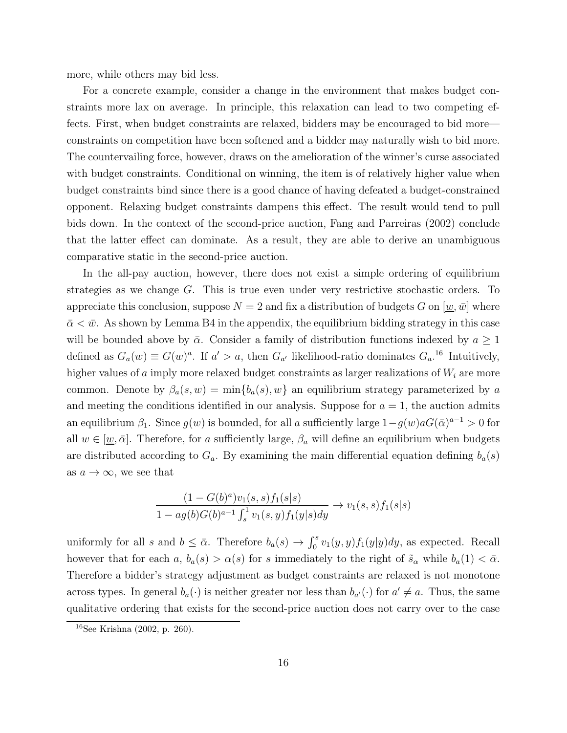more, while others may bid less.

For a concrete example, consider a change in the environment that makes budget constraints more lax on average. In principle, this relaxation can lead to two competing effects. First, when budget constraints are relaxed, bidders may be encouraged to bid more constraints on competition have been softened and a bidder may naturally wish to bid more. The countervailing force, however, draws on the amelioration of the winner's curse associated with budget constraints. Conditional on winning, the item is of relatively higher value when budget constraints bind since there is a good chance of having defeated a budget-constrained opponent. Relaxing budget constraints dampens this effect. The result would tend to pull bids down. In the context of the second-price auction, Fang and Parreiras (2002) conclude that the latter effect can dominate. As a result, they are able to derive an unambiguous comparative static in the second-price auction.

In the all-pay auction, however, there does not exist a simple ordering of equilibrium strategies as we change G. This is true even under very restrictive stochastic orders. To appreciate this conclusion, suppose  $N = 2$  and fix a distribution of budgets G on  $[w, \bar{w}]$  where  $\bar{\alpha} < \bar{w}$ . As shown by Lemma B4 in the appendix, the equilibrium bidding strategy in this case will be bounded above by  $\bar{\alpha}$ . Consider a family of distribution functions indexed by  $a \geq 1$ defined as  $G_a(w) \equiv G(w)^a$ . If  $a' > a$ , then  $G_{a'}$  likelihood-ratio dominates  $G_{a'}^{16}$  Intuitively, higher values of a imply more relaxed budget constraints as larger realizations of  $W_i$  are more common. Denote by  $\beta_a(s, w) = \min\{b_a(s), w\}$  an equilibrium strategy parameterized by a and meeting the conditions identified in our analysis. Suppose for  $a = 1$ , the auction admits an equilibrium  $\beta_1$ . Since  $g(w)$  is bounded, for all a sufficiently large  $1-g(w)aG(\bar{\alpha})^{a-1} > 0$  for all  $w \in [\underline{w}, \bar{\alpha}]$ . Therefore, for a sufficiently large,  $\beta_a$  will define an equilibrium when budgets are distributed according to  $G_a$ . By examining the main differential equation defining  $b_a(s)$ as  $a \to \infty$ , we see that

$$
\frac{(1-G(b)^a)v_1(s,s)f_1(s|s)}{1-ag(b)G(b)^{a-1}\int_s^1 v_1(s,y)f_1(y|s)dy} \to v_1(s,s)f_1(s|s)
$$

uniformly for all s and  $b \leq \bar{\alpha}$ . Therefore  $b_a(s) \to \int_0^s v_1(y, y) f_1(y|y) dy$ , as expected. Recall however that for each  $a, b_a(s) > \alpha(s)$  for s immediately to the right of  $\tilde{s}_\alpha$  while  $b_a(1) < \bar{\alpha}$ . Therefore a bidder's strategy adjustment as budget constraints are relaxed is not monotone across types. In general  $b_a(\cdot)$  is neither greater nor less than  $b_{a'}(\cdot)$  for  $a' \neq a$ . Thus, the same qualitative ordering that exists for the second-price auction does not carry over to the case

<sup>16</sup>See Krishna (2002, p. 260).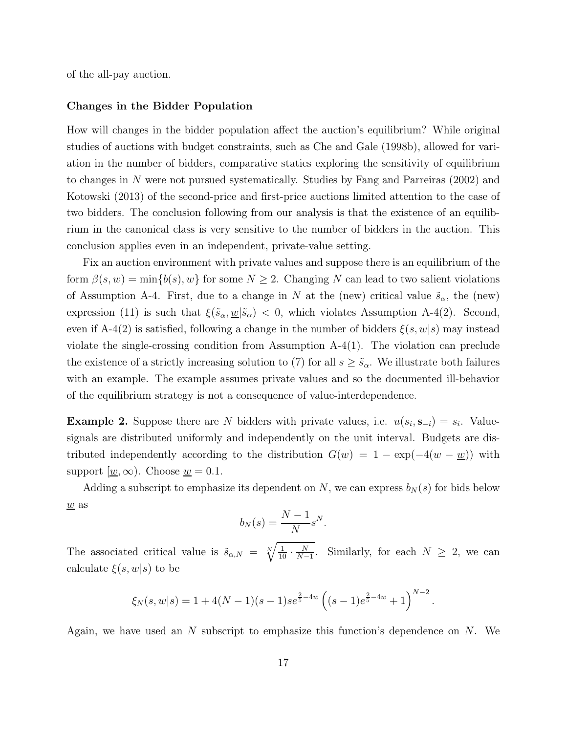of the all-pay auction.

#### Changes in the Bidder Population

How will changes in the bidder population affect the auction's equilibrium? While original studies of auctions with budget constraints, such as Che and Gale (1998b), allowed for variation in the number of bidders, comparative statics exploring the sensitivity of equilibrium to changes in N were not pursued systematically. Studies by Fang and Parreiras (2002) and Kotowski (2013) of the second-price and first-price auctions limited attention to the case of two bidders. The conclusion following from our analysis is that the existence of an equilibrium in the canonical class is very sensitive to the number of bidders in the auction. This conclusion applies even in an independent, private-value setting.

Fix an auction environment with private values and suppose there is an equilibrium of the form  $\beta(s, w) = \min\{b(s), w\}$  for some  $N \geq 2$ . Changing N can lead to two salient violations of Assumption A-4. First, due to a change in N at the (new) critical value  $\tilde{s}_{\alpha}$ , the (new) expression (11) is such that  $\xi(\tilde{s}_{\alpha}, \underline{w}|\tilde{s}_{\alpha}) < 0$ , which violates Assumption A-4(2). Second, even if A-4(2) is satisfied, following a change in the number of bidders  $\xi(s, w|s)$  may instead violate the single-crossing condition from Assumption A-4(1). The violation can preclude the existence of a strictly increasing solution to (7) for all  $s \geq \tilde{s}_{\alpha}$ . We illustrate both failures with an example. The example assumes private values and so the documented ill-behavior of the equilibrium strategy is not a consequence of value-interdependence.

**Example 2.** Suppose there are N bidders with private values, i.e.  $u(s_i, \mathbf{s}_{-i}) = s_i$ . Valuesignals are distributed uniformly and independently on the unit interval. Budgets are distributed independently according to the distribution  $G(w) = 1 - \exp(-4(w - w))$  with support  $\langle \underline{w}, \infty \rangle$ . Choose  $\underline{w} = 0.1$ .

Adding a subscript to emphasize its dependent on N, we can express  $b_N(s)$  for bids below  $\underline{w}$  as

$$
b_N(s) = \frac{N-1}{N} s^N.
$$

The associated critical value is  $\tilde{s}_{\alpha,N} = \sqrt[N]{\frac{1}{10}}$  $\frac{1}{10} \cdot \frac{N}{N-}$  $\frac{N}{N-1}$ . Similarly, for each  $N \geq 2$ , we can calculate  $\xi(s,w|s)$  to be

$$
\xi_N(s,w|s) = 1 + 4(N-1)(s-1)s e^{\frac{2}{5}-4w} \left( (s-1)e^{\frac{2}{5}-4w} + 1 \right)^{N-2}.
$$

Again, we have used an  $N$  subscript to emphasize this function's dependence on  $N$ . We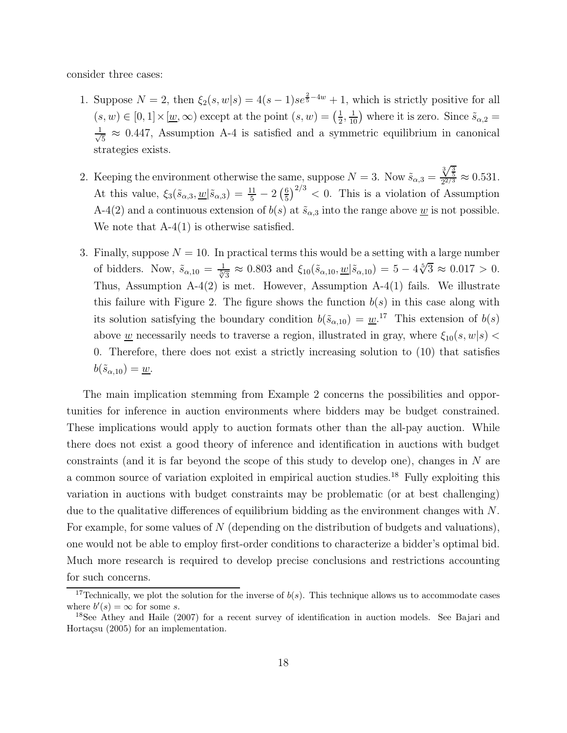consider three cases:

- 1. Suppose  $N = 2$ , then  $\xi_2(s, w|s) = 4(s-1)s e^{\frac{2}{5}-4w} + 1$ , which is strictly positive for all  $(s, w) \in [0, 1] \times [\underline{w}, \infty)$  except at the point  $(s, w) = (\frac{1}{2})$  $(\frac{1}{2}, \frac{1}{10})$  where it is zero. Since  $\tilde{s}_{\alpha,2}$  = √ 1  $\frac{1}{5} \approx 0.447$ , Assumption A-4 is satisfied and a symmetric equilibrium in canonical strategies exists.
- 2. Keeping the environment otherwise the same, suppose  $N = 3$ . Now  $\tilde{s}_{\alpha,3} =$  $\frac{\sqrt[3]{\frac{3}{5}}}{2^{2/3}} \approx 0.531.$ At this value,  $\xi_3(\tilde{s}_{\alpha,3}, \underline{w} | \tilde{s}_{\alpha,3}) = \frac{11}{5} - 2 \left( \frac{6}{5} \right)$  $\frac{6}{5}$ )<sup>2/3</sup> < 0. This is a violation of Assumption A-4(2) and a continuous extension of  $b(s)$  at  $\tilde{s}_{\alpha,3}$  into the range above <u>w</u> is not possible. We note that  $A-4(1)$  is otherwise satisfied.
- 3. Finally, suppose  $N = 10$ . In practical terms this would be a setting with a large number of bidders. Now,  $\tilde{s}_{\alpha,10} = \frac{1}{\sqrt[5]{3}} \approx 0.803$  and  $\xi_{10}(\tilde{s}_{\alpha,10}, \underline{w} | \tilde{s}_{\alpha,10}) = 5 - 4\sqrt[5]{3} \approx 0.017 > 0$ . Thus, Assumption  $A-4(2)$  is met. However, Assumption  $A-4(1)$  fails. We illustrate this failure with Figure 2. The figure shows the function  $b(s)$  in this case along with its solution satisfying the boundary condition  $b(\tilde{s}_{\alpha,10}) = \underline{w}^{17}$ . This extension of  $b(s)$ above <u>w</u> necessarily needs to traverse a region, illustrated in gray, where  $\xi_{10}(s, w|s)$  < 0. Therefore, there does not exist a strictly increasing solution to (10) that satisfies  $b(\tilde{s}_{\alpha,10})=\underline{w}.$

The main implication stemming from Example 2 concerns the possibilities and opportunities for inference in auction environments where bidders may be budget constrained. These implications would apply to auction formats other than the all-pay auction. While there does not exist a good theory of inference and identification in auctions with budget constraints (and it is far beyond the scope of this study to develop one), changes in  $N$  are a common source of variation exploited in empirical auction studies.<sup>18</sup> Fully exploiting this variation in auctions with budget constraints may be problematic (or at best challenging) due to the qualitative differences of equilibrium bidding as the environment changes with N. For example, for some values of N (depending on the distribution of budgets and valuations), one would not be able to employ first-order conditions to characterize a bidder's optimal bid. Much more research is required to develop precise conclusions and restrictions accounting for such concerns.

<sup>&</sup>lt;sup>17</sup>Technically, we plot the solution for the inverse of  $b(s)$ . This technique allows us to accommodate cases where  $b'(s) = \infty$  for some s.

<sup>&</sup>lt;sup>18</sup>See Athey and Haile (2007) for a recent survey of identification in auction models. See Bajari and Hortaçsu (2005) for an implementation.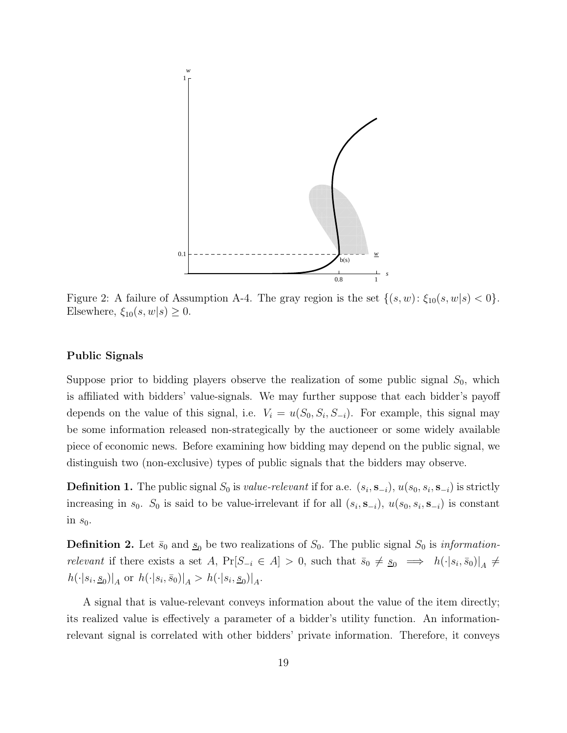

Figure 2: A failure of Assumption A-4. The gray region is the set  $\{(s, w): \xi_{10}(s, w | s) < 0\}.$ Elsewhere,  $\xi_{10}(s, w|s) \geq 0$ .

#### Public Signals

Suppose prior to bidding players observe the realization of some public signal  $S_0$ , which is affiliated with bidders' value-signals. We may further suppose that each bidder's payoff depends on the value of this signal, i.e.  $V_i = u(S_0, S_i, S_{-i})$ . For example, this signal may be some information released non-strategically by the auctioneer or some widely available piece of economic news. Before examining how bidding may depend on the public signal, we distinguish two (non-exclusive) types of public signals that the bidders may observe.

**Definition 1.** The public signal  $S_0$  is *value-relevant* if for a.e.  $(s_i, \mathbf{s}_{-i})$ ,  $u(s_0, s_i, \mathbf{s}_{-i})$  is strictly increasing in  $s_0$ .  $S_0$  is said to be value-irrelevant if for all  $(s_i, \mathbf{s}_{-i})$ ,  $u(s_0, s_i, \mathbf{s}_{-i})$  is constant in  $s_0$ .

**Definition 2.** Let  $\bar{s}_0$  and  $\underline{s}_0$  be two realizations of  $S_0$ . The public signal  $S_0$  is *information*relevant if there exists a set A,  $Pr[S_{-i} \in A] > 0$ , such that  $\bar{s}_0 \neq \underline{s}_0 \implies h(\cdot|s_i, \bar{s}_0)|_A \neq$  $h(\cdot|s_i, s_0)|_A$  or  $h(\cdot|s_i, \bar{s}_0)|_A > h(\cdot|s_i, s_0)|_A$ .

A signal that is value-relevant conveys information about the value of the item directly; its realized value is effectively a parameter of a bidder's utility function. An informationrelevant signal is correlated with other bidders' private information. Therefore, it conveys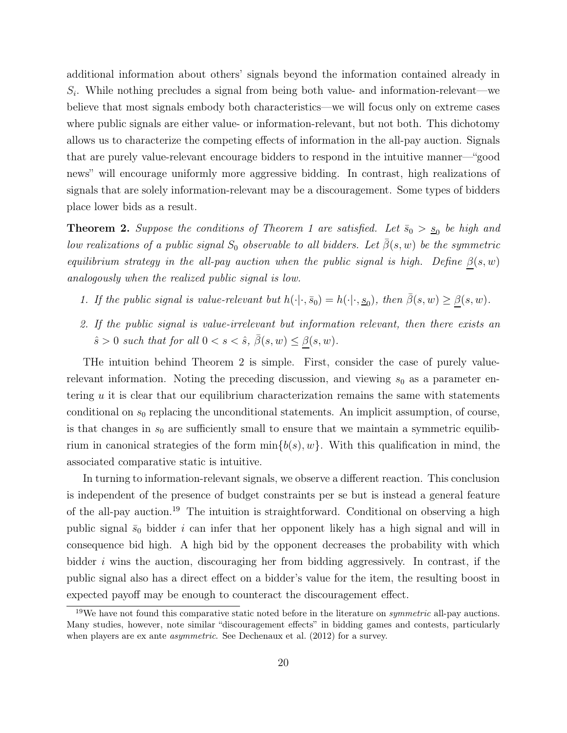additional information about others' signals beyond the information contained already in  $S_i$ . While nothing precludes a signal from being both value- and information-relevant—we believe that most signals embody both characteristics—we will focus only on extreme cases where public signals are either value- or information-relevant, but not both. This dichotomy allows us to characterize the competing effects of information in the all-pay auction. Signals that are purely value-relevant encourage bidders to respond in the intuitive manner—"good news" will encourage uniformly more aggressive bidding. In contrast, high realizations of signals that are solely information-relevant may be a discouragement. Some types of bidders place lower bids as a result.

**Theorem 2.** Suppose the conditions of Theorem 1 are satisfied. Let  $\bar{s}_0 > s_0$  be high and low realizations of a public signal  $S_0$  observable to all bidders. Let  $\bar{\beta}(s, w)$  be the symmetric equilibrium strategy in the all-pay auction when the public signal is high. Define  $\beta(s, w)$ analogously when the realized public signal is low.

- 1. If the public signal is value-relevant but  $h(\cdot | \cdot, \bar{s}_0) = h(\cdot | \cdot, \underline{s}_0)$ , then  $\bar{\beta}(s, w) \geq \underline{\beta}(s, w)$ .
- 2. If the public signal is value-irrelevant but information relevant, then there exists an  $\hat{s} > 0$  such that for all  $0 < s < \hat{s}$ ,  $\bar{\beta}(s, w) \leq \beta(s, w)$ .

THe intuition behind Theorem 2 is simple. First, consider the case of purely valuerelevant information. Noting the preceding discussion, and viewing  $s_0$  as a parameter entering u it is clear that our equilibrium characterization remains the same with statements conditional on  $s_0$  replacing the unconditional statements. An implicit assumption, of course, is that changes in  $s_0$  are sufficiently small to ensure that we maintain a symmetric equilibrium in canonical strategies of the form  $\min\{b(s), w\}$ . With this qualification in mind, the associated comparative static is intuitive.

In turning to information-relevant signals, we observe a different reaction. This conclusion is independent of the presence of budget constraints per se but is instead a general feature of the all-pay auction.<sup>19</sup> The intuition is straightforward. Conditional on observing a high public signal  $\bar{s}_0$  bidder i can infer that her opponent likely has a high signal and will in consequence bid high. A high bid by the opponent decreases the probability with which bidder i wins the auction, discouraging her from bidding aggressively. In contrast, if the public signal also has a direct effect on a bidder's value for the item, the resulting boost in expected payoff may be enough to counteract the discouragement effect.

<sup>&</sup>lt;sup>19</sup>We have not found this comparative static noted before in the literature on *symmetric* all-pay auctions. Many studies, however, note similar "discouragement effects" in bidding games and contests, particularly when players are ex ante *asymmetric*. See Dechenaux et al. (2012) for a survey.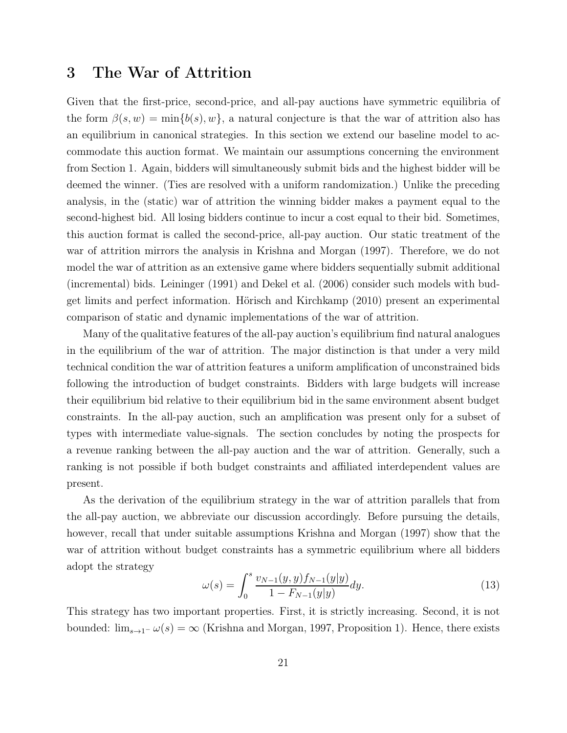### 3 The War of Attrition

Given that the first-price, second-price, and all-pay auctions have symmetric equilibria of the form  $\beta(s, w) = \min\{b(s), w\}$ , a natural conjecture is that the war of attrition also has an equilibrium in canonical strategies. In this section we extend our baseline model to accommodate this auction format. We maintain our assumptions concerning the environment from Section 1. Again, bidders will simultaneously submit bids and the highest bidder will be deemed the winner. (Ties are resolved with a uniform randomization.) Unlike the preceding analysis, in the (static) war of attrition the winning bidder makes a payment equal to the second-highest bid. All losing bidders continue to incur a cost equal to their bid. Sometimes, this auction format is called the second-price, all-pay auction. Our static treatment of the war of attrition mirrors the analysis in Krishna and Morgan (1997). Therefore, we do not model the war of attrition as an extensive game where bidders sequentially submit additional (incremental) bids. Leininger (1991) and Dekel et al. (2006) consider such models with budget limits and perfect information. Hörisch and Kirchkamp (2010) present an experimental comparison of static and dynamic implementations of the war of attrition.

Many of the qualitative features of the all-pay auction's equilibrium find natural analogues in the equilibrium of the war of attrition. The major distinction is that under a very mild technical condition the war of attrition features a uniform amplification of unconstrained bids following the introduction of budget constraints. Bidders with large budgets will increase their equilibrium bid relative to their equilibrium bid in the same environment absent budget constraints. In the all-pay auction, such an amplification was present only for a subset of types with intermediate value-signals. The section concludes by noting the prospects for a revenue ranking between the all-pay auction and the war of attrition. Generally, such a ranking is not possible if both budget constraints and affiliated interdependent values are present.

As the derivation of the equilibrium strategy in the war of attrition parallels that from the all-pay auction, we abbreviate our discussion accordingly. Before pursuing the details, however, recall that under suitable assumptions Krishna and Morgan (1997) show that the war of attrition without budget constraints has a symmetric equilibrium where all bidders adopt the strategy

$$
\omega(s) = \int_0^s \frac{v_{N-1}(y, y) f_{N-1}(y|y)}{1 - F_{N-1}(y|y)} dy.
$$
\n(13)

This strategy has two important properties. First, it is strictly increasing. Second, it is not bounded:  $\lim_{s\to 1^-} \omega(s) = \infty$  (Krishna and Morgan, 1997, Proposition 1). Hence, there exists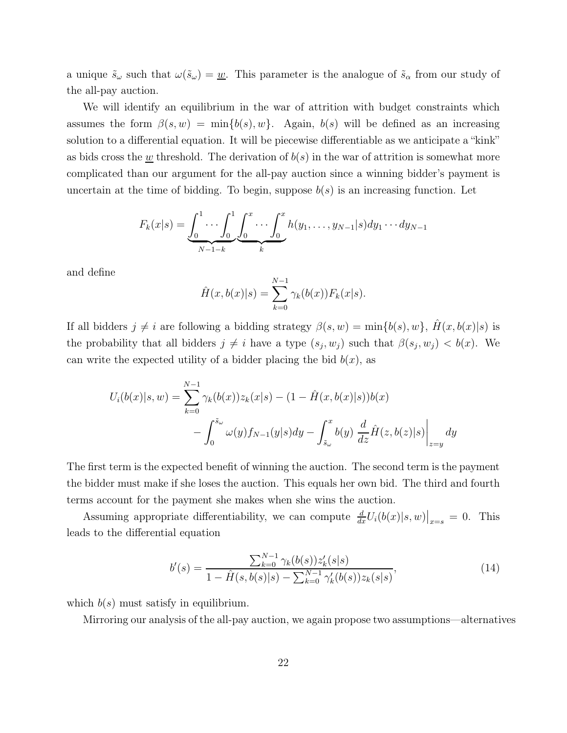a unique  $\tilde{s}_{\omega}$  such that  $\omega(\tilde{s}_{\omega}) = \underline{w}$ . This parameter is the analogue of  $\tilde{s}_{\alpha}$  from our study of the all-pay auction.

We will identify an equilibrium in the war of attrition with budget constraints which assumes the form  $\beta(s, w) = \min\{b(s), w\}$ . Again,  $b(s)$  will be defined as an increasing solution to a differential equation. It will be piecewise differentiable as we anticipate a "kink" as bids cross the  $\underline{w}$  threshold. The derivation of  $b(s)$  in the war of attrition is somewhat more complicated than our argument for the all-pay auction since a winning bidder's payment is uncertain at the time of bidding. To begin, suppose  $b(s)$  is an increasing function. Let

$$
F_k(x|s) = \underbrace{\int_0^1 \cdots \int_0^1}_{N-1-k} \underbrace{\int_0^x \cdots \int_0^x}_{k} h(y_1, \ldots, y_{N-1}|s) dy_1 \cdots dy_{N-1}
$$

and define

$$
\hat{H}(x, b(x)|s) = \sum_{k=0}^{N-1} \gamma_k(b(x)) F_k(x|s).
$$

If all bidders  $j \neq i$  are following a bidding strategy  $\beta(s, w) = \min\{b(s), w\}, \hat{H}(x, b(x)|s)$  is the probability that all bidders  $j \neq i$  have a type  $(s_j, w_j)$  such that  $\beta(s_j, w_j) < b(x)$ . We can write the expected utility of a bidder placing the bid  $b(x)$ , as

$$
U_i(b(x)|s, w) = \sum_{k=0}^{N-1} \gamma_k(b(x))z_k(x|s) - (1 - \hat{H}(x, b(x)|s))b(x) - \int_0^{\tilde{s}_{\omega}} \omega(y)f_{N-1}(y|s)dy - \int_{\tilde{s}_{\omega}}^x b(y)\left. \frac{d}{dz}\hat{H}(z, b(z)|s) \right|_{z=y} dy
$$

The first term is the expected benefit of winning the auction. The second term is the payment the bidder must make if she loses the auction. This equals her own bid. The third and fourth terms account for the payment she makes when she wins the auction.

Assuming appropriate differentiability, we can compute  $\frac{d}{dx}U_i(b(x)|s,w)|_{x=s} = 0$ . This leads to the differential equation

$$
b'(s) = \frac{\sum_{k=0}^{N-1} \gamma_k(b(s))z'_k(s|s)}{1 - \hat{H}(s, b(s)|s) - \sum_{k=0}^{N-1} \gamma'_k(b(s))z_k(s|s)},\tag{14}
$$

which  $b(s)$  must satisfy in equilibrium.

Mirroring our analysis of the all-pay auction, we again propose two assumptions—alternatives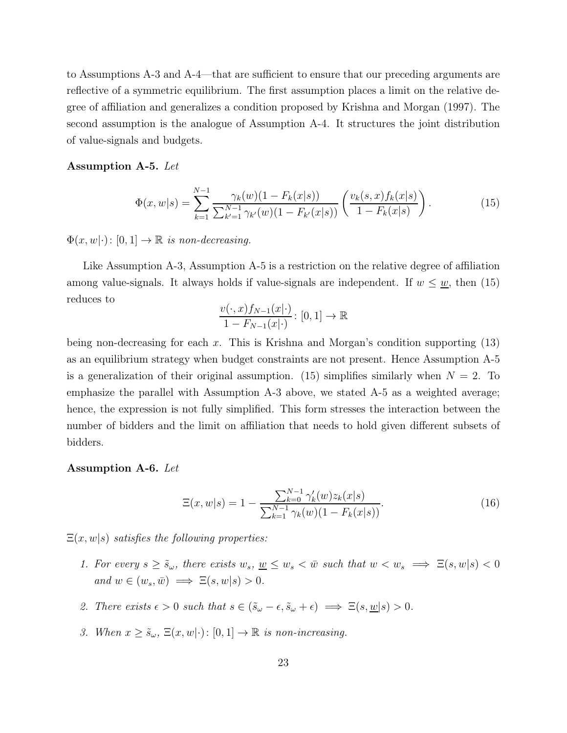to Assumptions A-3 and A-4—that are sufficient to ensure that our preceding arguments are reflective of a symmetric equilibrium. The first assumption places a limit on the relative degree of affiliation and generalizes a condition proposed by Krishna and Morgan (1997). The second assumption is the analogue of Assumption A-4. It structures the joint distribution of value-signals and budgets.

#### Assumption A-5. Let

$$
\Phi(x, w|s) = \sum_{k=1}^{N-1} \frac{\gamma_k(w)(1 - F_k(x|s))}{\sum_{k'=1}^{N-1} \gamma_{k'}(w)(1 - F_{k'}(x|s))} \left(\frac{v_k(s, x) f_k(x|s)}{1 - F_k(x|s)}\right).
$$
(15)

 $\Phi(x, w|\cdot) : [0, 1] \to \mathbb{R}$  is non-decreasing.

Like Assumption A-3, Assumption A-5 is a restriction on the relative degree of affiliation among value-signals. It always holds if value-signals are independent. If  $w \leq w$ , then (15) reduces to

$$
\frac{v(\cdot,x)f_{N-1}(x|\cdot)}{1-F_{N-1}(x|\cdot)}\colon [0,1]\to\mathbb{R}
$$

being non-decreasing for each x. This is Krishna and Morgan's condition supporting  $(13)$ as an equilibrium strategy when budget constraints are not present. Hence Assumption A-5 is a generalization of their original assumption. (15) simplifies similarly when  $N = 2$ . To emphasize the parallel with Assumption A-3 above, we stated A-5 as a weighted average; hence, the expression is not fully simplified. This form stresses the interaction between the number of bidders and the limit on affiliation that needs to hold given different subsets of bidders.

#### Assumption A-6. Let

$$
\Xi(x, w|s) = 1 - \frac{\sum_{k=0}^{N-1} \gamma'_k(w) z_k(x|s)}{\sum_{k=1}^{N-1} \gamma_k(w)(1 - F_k(x|s))}.
$$
\n(16)

 $\Xi(x, w|s)$  satisfies the following properties:

- 1. For every  $s \geq \tilde{s}_{\omega}$ , there exists  $w_s, w \leq w_s < \bar{w}$  such that  $w < w_s \implies \Xi(s, w|s) < 0$ and  $w \in (w_s, \bar{w}) \implies \Xi(s, w|s) > 0.$
- 2. There exists  $\epsilon > 0$  such that  $s \in (\tilde{s}_{\omega} \epsilon, \tilde{s}_{\omega} + \epsilon) \implies \Xi(s, \underline{w}|s) > 0$ .
- 3. When  $x \ge \tilde{s}_{\omega}$ ,  $\Xi(x, w|\cdot)$ :  $[0, 1] \to \mathbb{R}$  is non-increasing.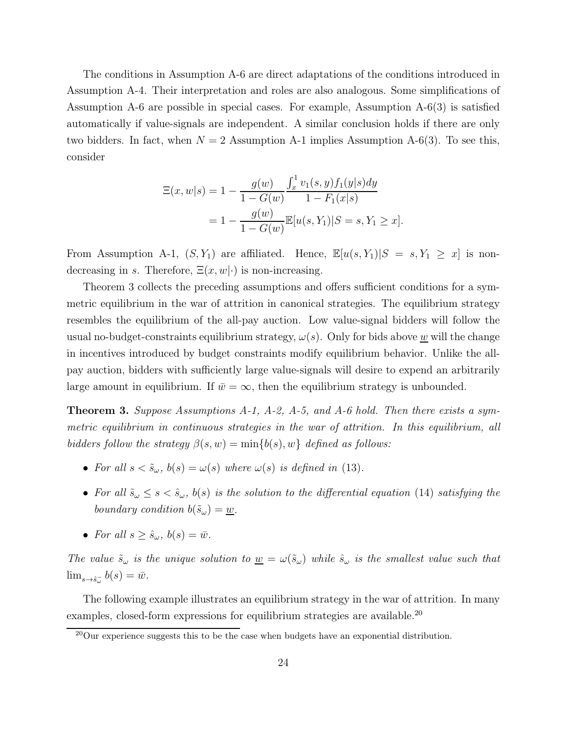The conditions in Assumption A-6 are direct adaptations of the conditions introduced in Assumption A-4. Their interpretation and roles are also analogous. Some simplifications of Assumption A-6 are possible in special cases. For example, Assumption A-6(3) is satisfied automatically if value-signals are independent. A similar conclusion holds if there are only two bidders. In fact, when  $N = 2$  Assumption A-1 implies Assumption A-6(3). To see this, consider

$$
\begin{aligned} \Xi(x, w|s) &= 1 - \frac{g(w)}{1 - G(w)} \frac{\int_x^1 v_1(s, y) f_1(y|s) dy}{1 - F_1(x|s)} \\ &= 1 - \frac{g(w)}{1 - G(w)} \mathbb{E}[u(s, Y_1)|S = s, Y_1 \ge x]. \end{aligned}
$$

From Assumption A-1,  $(S, Y_1)$  are affiliated. Hence,  $\mathbb{E}[u(s, Y_1)|S = s, Y_1 \geq x]$  is nondecreasing in s. Therefore,  $\Xi(x, w|\cdot)$  is non-increasing.

Theorem 3 collects the preceding assumptions and offers sufficient conditions for a symmetric equilibrium in the war of attrition in canonical strategies. The equilibrium strategy resembles the equilibrium of the all-pay auction. Low value-signal bidders will follow the usual no-budget-constraints equilibrium strategy,  $\omega(s)$ . Only for bids above w will the change in incentives introduced by budget constraints modify equilibrium behavior. Unlike the allpay auction, bidders with sufficiently large value-signals will desire to expend an arbitrarily large amount in equilibrium. If  $\bar{w} = \infty$ , then the equilibrium strategy is unbounded.

**Theorem 3.** Suppose Assumptions A-1, A-2, A-5, and A-6 hold. Then there exists a symmetric equilibrium in continuous strategies in the war of attrition. In this equilibrium, all bidders follow the strategy  $\beta(s, w) = \min\{b(s), w\}$  defined as follows:

- For all  $s < \tilde{s}_{\omega}$ ,  $b(s) = \omega(s)$  where  $\omega(s)$  is defined in (13).
- For all  $\tilde{s}_\omega \leq s < \hat{s}_\omega$ ,  $b(s)$  is the solution to the differential equation (14) satisfying the boundary condition  $b(\tilde{s}_\omega) = \underline{w}$ .
- For all  $s > \hat{s}_{\omega}, b(s) = \bar{w}.$

The value  $\tilde{s}_{\omega}$  is the unique solution to  $\underline{w} = \omega(\tilde{s}_{\omega})$  while  $\hat{s}_{\omega}$  is the smallest value such that  $\lim_{s \to \hat{s}^-_{\omega}} b(s) = \bar{w}.$ 

The following example illustrates an equilibrium strategy in the war of attrition. In many examples, closed-form expressions for equilibrium strategies are available.<sup>20</sup>

<sup>&</sup>lt;sup>20</sup>Our experience suggests this to be the case when budgets have an exponential distribution.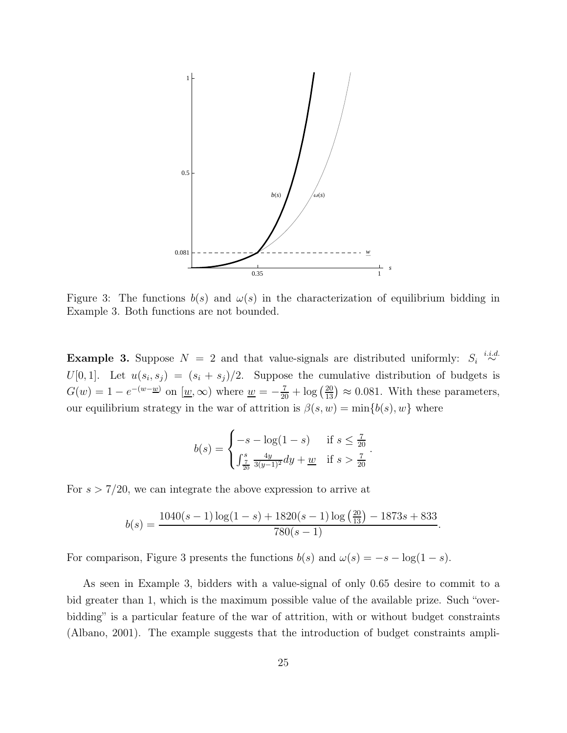

Figure 3: The functions  $b(s)$  and  $\omega(s)$  in the characterization of equilibrium bidding in Example 3. Both functions are not bounded.

**Example 3.** Suppose  $N = 2$  and that value-signals are distributed uniformly:  $S_i \stackrel{i.i.d.}{\sim}$  $U[0,1]$ . Let  $u(s_i,s_j) = (s_i + s_j)/2$ . Suppose the cumulative distribution of budgets is  $G(w) = 1 - e^{-(w - w)}$  on  $\boxed{w, \infty}$  where  $w = -\frac{7}{20} + \log(\frac{20}{13}) \approx 0.081$ . With these parameters, our equilibrium strategy in the war of attrition is  $\beta(s, w) = \min\{b(s), w\}$  where

$$
b(s) = \begin{cases} -s - \log(1 - s) & \text{if } s \le \frac{7}{20} \\ \int_{\frac{7}{20}}^{s} \frac{4y}{3(y - 1)^2} dy + \underline{w} & \text{if } s > \frac{7}{20} \end{cases}
$$

.

For  $s > 7/20$ , we can integrate the above expression to arrive at

$$
b(s) = \frac{1040(s-1)\log(1-s) + 1820(s-1)\log\left(\frac{20}{13}\right) - 1873s + 833}{780(s-1)}.
$$

For comparison, Figure 3 presents the functions  $b(s)$  and  $\omega(s) = -s - \log(1 - s)$ .

As seen in Example 3, bidders with a value-signal of only 0.65 desire to commit to a bid greater than 1, which is the maximum possible value of the available prize. Such "overbidding" is a particular feature of the war of attrition, with or without budget constraints (Albano, 2001). The example suggests that the introduction of budget constraints ampli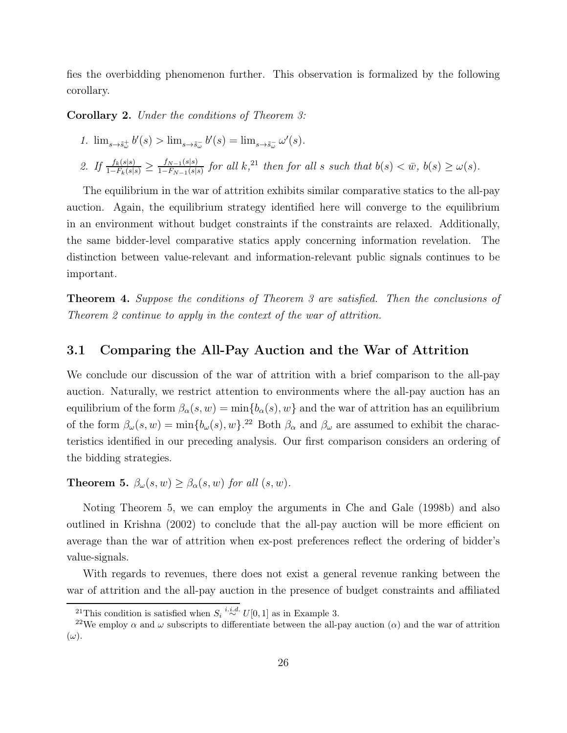fies the overbidding phenomenon further. This observation is formalized by the following corollary.

Corollary 2. Under the conditions of Theorem 3:

1. 
$$
\lim_{s \to \tilde{s}_\omega^+} b'(s) > \lim_{s \to \tilde{s}_\omega^-} b'(s) = \lim_{s \to \tilde{s}_\omega^-} \omega'(s).
$$

2. If  $\frac{f_k(s|s)}{1-F_k(s|s)} \geq \frac{f_{N-1}(s|s)}{1-F_{N-1}(s|s)}$  $\frac{f_{N-1}(s|s)}{1-F_{N-1}(s|s)}$  for all k,<sup>21</sup> then for all s such that  $b(s) < \bar{w}$ ,  $b(s) \ge \omega(s)$ .

The equilibrium in the war of attrition exhibits similar comparative statics to the all-pay auction. Again, the equilibrium strategy identified here will converge to the equilibrium in an environment without budget constraints if the constraints are relaxed. Additionally, the same bidder-level comparative statics apply concerning information revelation. The distinction between value-relevant and information-relevant public signals continues to be important.

Theorem 4. Suppose the conditions of Theorem 3 are satisfied. Then the conclusions of Theorem 2 continue to apply in the context of the war of attrition.

### 3.1 Comparing the All-Pay Auction and the War of Attrition

We conclude our discussion of the war of attrition with a brief comparison to the all-pay auction. Naturally, we restrict attention to environments where the all-pay auction has an equilibrium of the form  $\beta_{\alpha}(s, w) = \min\{b_{\alpha}(s), w\}$  and the war of attrition has an equilibrium of the form  $\beta_{\omega}(s, w) = \min\{b_{\omega}(s), w\}$ .<sup>22</sup> Both  $\beta_{\alpha}$  and  $\beta_{\omega}$  are assumed to exhibit the characteristics identified in our preceding analysis. Our first comparison considers an ordering of the bidding strategies.

**Theorem 5.**  $\beta_{\omega}(s, w) \geq \beta_{\alpha}(s, w)$  for all  $(s, w)$ .

Noting Theorem 5, we can employ the arguments in Che and Gale (1998b) and also outlined in Krishna (2002) to conclude that the all-pay auction will be more efficient on average than the war of attrition when ex-post preferences reflect the ordering of bidder's value-signals.

With regards to revenues, there does not exist a general revenue ranking between the war of attrition and the all-pay auction in the presence of budget constraints and affiliated

<sup>&</sup>lt;sup>21</sup>This condition is satisfied when  $S_i \stackrel{i.i.d.}{\sim} U[0,1]$  as in Example 3.

<sup>&</sup>lt;sup>22</sup>We employ  $\alpha$  and  $\omega$  subscripts to differentiate between the all-pay auction  $(\alpha)$  and the war of attrition  $(\omega)$ .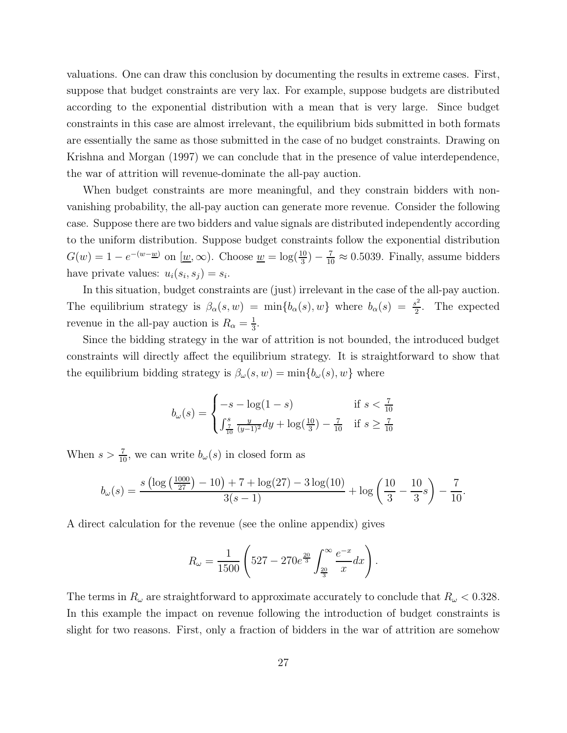valuations. One can draw this conclusion by documenting the results in extreme cases. First, suppose that budget constraints are very lax. For example, suppose budgets are distributed according to the exponential distribution with a mean that is very large. Since budget constraints in this case are almost irrelevant, the equilibrium bids submitted in both formats are essentially the same as those submitted in the case of no budget constraints. Drawing on Krishna and Morgan (1997) we can conclude that in the presence of value interdependence, the war of attrition will revenue-dominate the all-pay auction.

When budget constraints are more meaningful, and they constrain bidders with nonvanishing probability, the all-pay auction can generate more revenue. Consider the following case. Suppose there are two bidders and value signals are distributed independently according to the uniform distribution. Suppose budget constraints follow the exponential distribution  $G(w) = 1 - e^{-(w - w)}$  on  $(w, \infty)$ . Choose  $w = \log(\frac{10}{3}) - \frac{7}{10} \approx 0.5039$ . Finally, assume bidders have private values:  $u_i(s_i, s_j) = s_i$ .

In this situation, budget constraints are (just) irrelevant in the case of the all-pay auction. The equilibrium strategy is  $\beta_{\alpha}(s, w) = \min\{b_{\alpha}(s), w\}$  where  $b_{\alpha}(s) = \frac{s^2}{2}$  $\frac{s^2}{2}$ . The expected revenue in the all-pay auction is  $R_{\alpha} = \frac{1}{3}$  $\frac{1}{3}$ .

Since the bidding strategy in the war of attrition is not bounded, the introduced budget constraints will directly affect the equilibrium strategy. It is straightforward to show that the equilibrium bidding strategy is  $\beta_{\omega}(s,w) = \min\{b_{\omega}(s),w\}$  where

$$
b_{\omega}(s) = \begin{cases} -s - \log(1 - s) & \text{if } s < \frac{7}{10} \\ \int_{\frac{7}{10}}^{s} \frac{y}{(y - 1)^2} dy + \log(\frac{10}{3}) - \frac{7}{10} & \text{if } s \ge \frac{7}{10} \end{cases}
$$

When  $s > \frac{7}{10}$ , we can write  $b_{\omega}(s)$  in closed form as

$$
b_{\omega}(s) = \frac{s \left(\log\left(\frac{1000}{27}\right) - 10\right) + 7 + \log(27) - 3\log(10)}{3(s-1)} + \log\left(\frac{10}{3} - \frac{10}{3}s\right) - \frac{7}{10}.
$$

A direct calculation for the revenue (see the online appendix) gives

$$
R_{\omega} = \frac{1}{1500} \left( 527 - 270e^{\frac{20}{3}} \int_{\frac{20}{3}}^{\infty} \frac{e^{-x}}{x} dx \right).
$$

The terms in  $R_{\omega}$  are straightforward to approximate accurately to conclude that  $R_{\omega} < 0.328$ . In this example the impact on revenue following the introduction of budget constraints is slight for two reasons. First, only a fraction of bidders in the war of attrition are somehow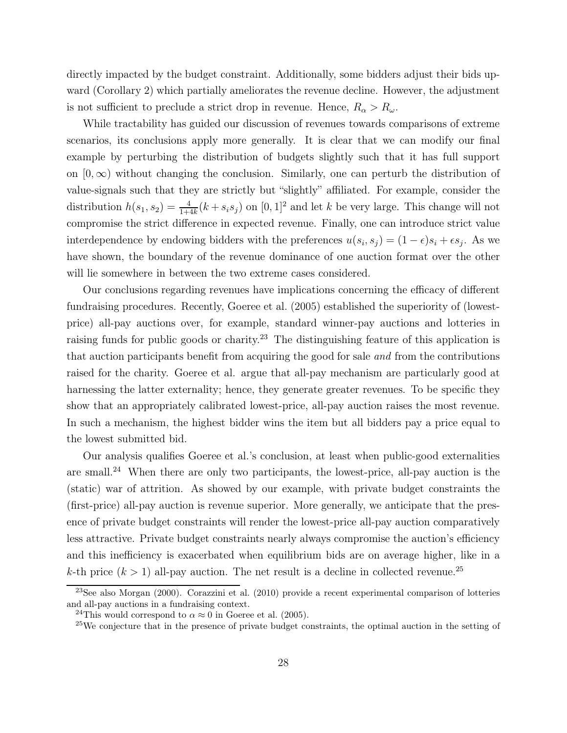directly impacted by the budget constraint. Additionally, some bidders adjust their bids upward (Corollary 2) which partially ameliorates the revenue decline. However, the adjustment is not sufficient to preclude a strict drop in revenue. Hence,  $R_{\alpha} > R_{\omega}$ .

While tractability has guided our discussion of revenues towards comparisons of extreme scenarios, its conclusions apply more generally. It is clear that we can modify our final example by perturbing the distribution of budgets slightly such that it has full support on  $[0, \infty)$  without changing the conclusion. Similarly, one can perturb the distribution of value-signals such that they are strictly but "slightly" affiliated. For example, consider the distribution  $h(s_1, s_2) = \frac{4}{1+4k}(k + s_i s_j)$  on  $[0, 1]^2$  and let k be very large. This change will not compromise the strict difference in expected revenue. Finally, one can introduce strict value interdependence by endowing bidders with the preferences  $u(s_i, s_j) = (1 - \epsilon)s_i + \epsilon s_j$ . As we have shown, the boundary of the revenue dominance of one auction format over the other will lie somewhere in between the two extreme cases considered.

Our conclusions regarding revenues have implications concerning the efficacy of different fundraising procedures. Recently, Goeree et al. (2005) established the superiority of (lowestprice) all-pay auctions over, for example, standard winner-pay auctions and lotteries in raising funds for public goods or charity.<sup>23</sup> The distinguishing feature of this application is that auction participants benefit from acquiring the good for sale and from the contributions raised for the charity. Goeree et al. argue that all-pay mechanism are particularly good at harnessing the latter externality; hence, they generate greater revenues. To be specific they show that an appropriately calibrated lowest-price, all-pay auction raises the most revenue. In such a mechanism, the highest bidder wins the item but all bidders pay a price equal to the lowest submitted bid.

Our analysis qualifies Goeree et al.'s conclusion, at least when public-good externalities are small.<sup>24</sup> When there are only two participants, the lowest-price, all-pay auction is the (static) war of attrition. As showed by our example, with private budget constraints the (first-price) all-pay auction is revenue superior. More generally, we anticipate that the presence of private budget constraints will render the lowest-price all-pay auction comparatively less attractive. Private budget constraints nearly always compromise the auction's efficiency and this inefficiency is exacerbated when equilibrium bids are on average higher, like in a k-th price  $(k > 1)$  all-pay auction. The net result is a decline in collected revenue.<sup>25</sup>

<sup>23</sup>See also Morgan (2000). Corazzini et al. (2010) provide a recent experimental comparison of lotteries and all-pay auctions in a fundraising context.

<sup>&</sup>lt;sup>24</sup>This would correspond to  $\alpha \approx 0$  in Goeree et al. (2005).

<sup>&</sup>lt;sup>25</sup>We conjecture that in the presence of private budget constraints, the optimal auction in the setting of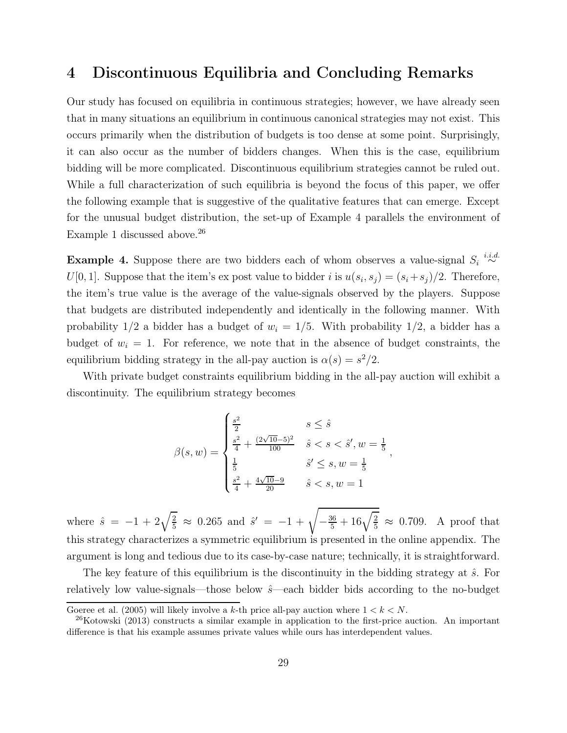## 4 Discontinuous Equilibria and Concluding Remarks

Our study has focused on equilibria in continuous strategies; however, we have already seen that in many situations an equilibrium in continuous canonical strategies may not exist. This occurs primarily when the distribution of budgets is too dense at some point. Surprisingly, it can also occur as the number of bidders changes. When this is the case, equilibrium bidding will be more complicated. Discontinuous equilibrium strategies cannot be ruled out. While a full characterization of such equilibria is beyond the focus of this paper, we offer the following example that is suggestive of the qualitative features that can emerge. Except for the unusual budget distribution, the set-up of Example 4 parallels the environment of Example 1 discussed above.<sup>26</sup>

**Example 4.** Suppose there are two bidders each of whom observes a value-signal  $S_i \stackrel{i.i.d.}{\sim}$  $U[0,1]$ . Suppose that the item's expost value to bidder i is  $u(s_i,s_j) = (s_i + s_j)/2$ . Therefore, the item's true value is the average of the value-signals observed by the players. Suppose that budgets are distributed independently and identically in the following manner. With probability  $1/2$  a bidder has a budget of  $w_i = 1/5$ . With probability  $1/2$ , a bidder has a budget of  $w_i = 1$ . For reference, we note that in the absence of budget constraints, the equilibrium bidding strategy in the all-pay auction is  $\alpha(s) = s^2/2$ .

With private budget constraints equilibrium bidding in the all-pay auction will exhibit a discontinuity. The equilibrium strategy becomes

$$
\beta(s, w) = \begin{cases}\n\frac{s^2}{2} & s \leq \hat{s} \\
\frac{s^2}{4} + \frac{(2\sqrt{10}-5)^2}{100} & \hat{s} < s < \hat{s}', w = \frac{1}{5} \\
\frac{1}{5} & \hat{s}' \leq s, w = \frac{1}{5} \\
\frac{s^2}{4} + \frac{4\sqrt{10}-9}{20} & \hat{s} < s, w = 1\n\end{cases}
$$

,

where  $\hat{s} = -1 + 2\sqrt{\frac{2}{5}} \approx 0.265$  and  $\hat{s}' = -1 + \sqrt{-\frac{36}{5} + 16\sqrt{\frac{2}{5}}} \approx 0.709$ . A proof that this strategy characterizes a symmetric equilibrium is presented in the online appendix. The argument is long and tedious due to its case-by-case nature; technically, it is straightforward.

The key feature of this equilibrium is the discontinuity in the bidding strategy at  $\hat{s}$ . For relatively low value-signals—those below  $\hat{s}$ —each bidder bids according to the no-budget

Goeree et al. (2005) will likely involve a k-th price all-pay auction where  $1 < k < N$ .

 $^{26}$ Kotowski (2013) constructs a similar example in application to the first-price auction. An important difference is that his example assumes private values while ours has interdependent values.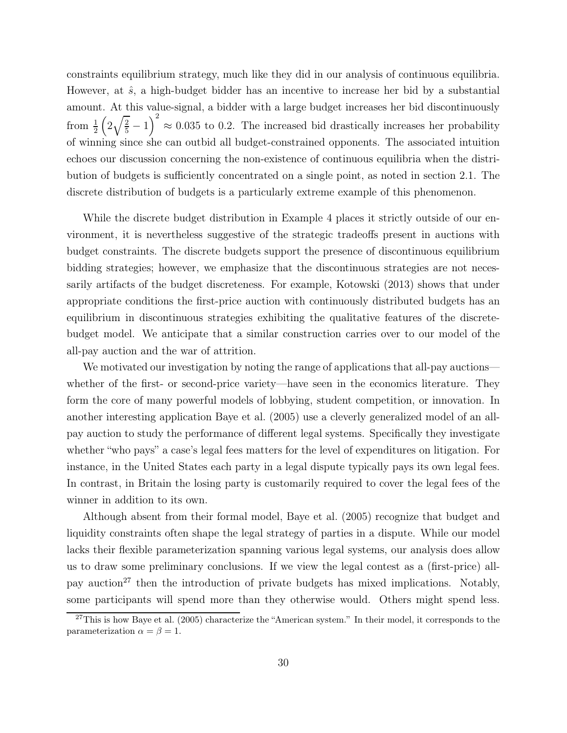constraints equilibrium strategy, much like they did in our analysis of continuous equilibria. However, at  $\hat{s}$ , a high-budget bidder has an incentive to increase her bid by a substantial amount. At this value-signal, a bidder with a large budget increases her bid discontinuously from  $\frac{1}{2}$  $\left(2\sqrt{\frac{2}{5}}-1\right)$  $\setminus^2$  $\approx 0.035$  to 0.2. The increased bid drastically increases her probability of winning since she can outbid all budget-constrained opponents. The associated intuition echoes our discussion concerning the non-existence of continuous equilibria when the distribution of budgets is sufficiently concentrated on a single point, as noted in section 2.1. The discrete distribution of budgets is a particularly extreme example of this phenomenon.

While the discrete budget distribution in Example 4 places it strictly outside of our environment, it is nevertheless suggestive of the strategic tradeoffs present in auctions with budget constraints. The discrete budgets support the presence of discontinuous equilibrium bidding strategies; however, we emphasize that the discontinuous strategies are not necessarily artifacts of the budget discreteness. For example, Kotowski (2013) shows that under appropriate conditions the first-price auction with continuously distributed budgets has an equilibrium in discontinuous strategies exhibiting the qualitative features of the discretebudget model. We anticipate that a similar construction carries over to our model of the all-pay auction and the war of attrition.

We motivated our investigation by noting the range of applications that all-pay auctions whether of the first- or second-price variety—have seen in the economics literature. They form the core of many powerful models of lobbying, student competition, or innovation. In another interesting application Baye et al. (2005) use a cleverly generalized model of an allpay auction to study the performance of different legal systems. Specifically they investigate whether "who pays" a case's legal fees matters for the level of expenditures on litigation. For instance, in the United States each party in a legal dispute typically pays its own legal fees. In contrast, in Britain the losing party is customarily required to cover the legal fees of the winner in addition to its own.

Although absent from their formal model, Baye et al. (2005) recognize that budget and liquidity constraints often shape the legal strategy of parties in a dispute. While our model lacks their flexible parameterization spanning various legal systems, our analysis does allow us to draw some preliminary conclusions. If we view the legal contest as a (first-price) allpay auction<sup>27</sup> then the introduction of private budgets has mixed implications. Notably, some participants will spend more than they otherwise would. Others might spend less.

 $27$ This is how Baye et al. (2005) characterize the "American system." In their model, it corresponds to the parameterization  $\alpha = \beta = 1$ .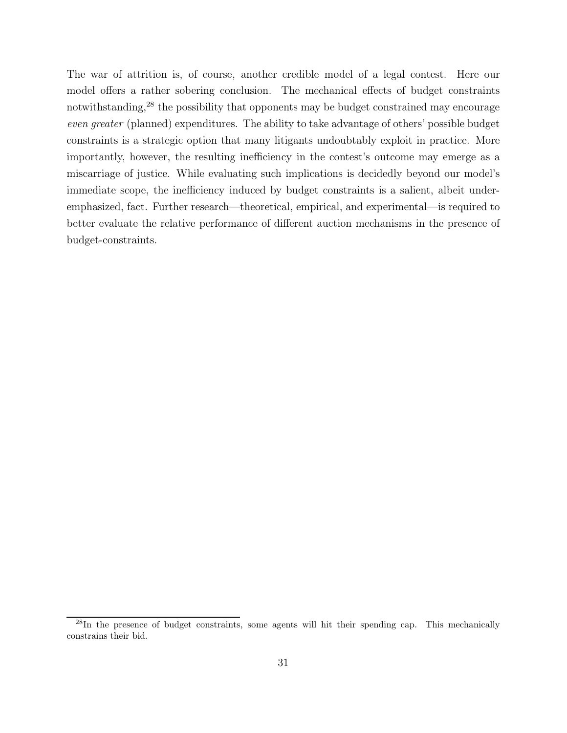The war of attrition is, of course, another credible model of a legal contest. Here our model offers a rather sobering conclusion. The mechanical effects of budget constraints notwithstanding,<sup>28</sup> the possibility that opponents may be budget constrained may encourage even greater (planned) expenditures. The ability to take advantage of others' possible budget constraints is a strategic option that many litigants undoubtably exploit in practice. More importantly, however, the resulting inefficiency in the contest's outcome may emerge as a miscarriage of justice. While evaluating such implications is decidedly beyond our model's immediate scope, the inefficiency induced by budget constraints is a salient, albeit underemphasized, fact. Further research—theoretical, empirical, and experimental—is required to better evaluate the relative performance of different auction mechanisms in the presence of budget-constraints.

 $^{28}$ In the presence of budget constraints, some agents will hit their spending cap. This mechanically constrains their bid.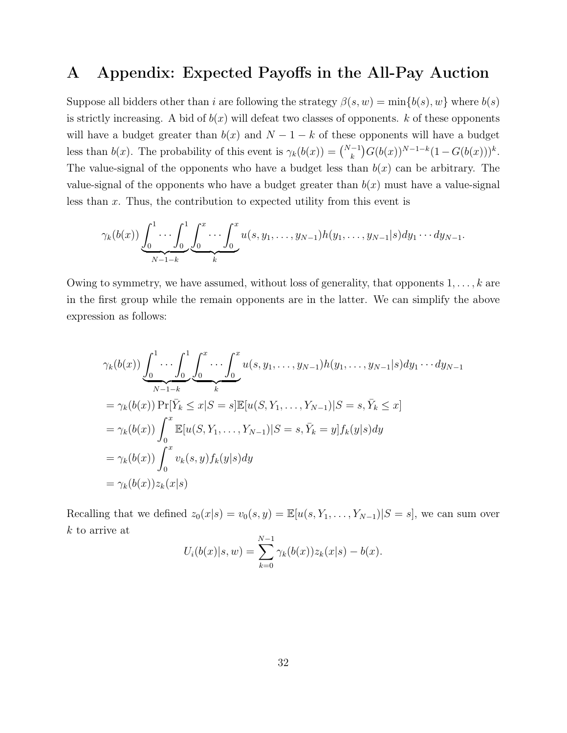### A Appendix: Expected Payoffs in the All-Pay Auction

Suppose all bidders other than i are following the strategy  $\beta(s, w) = \min\{b(s), w\}$  where  $b(s)$ is strictly increasing. A bid of  $b(x)$  will defeat two classes of opponents. k of these opponents will have a budget greater than  $b(x)$  and  $N-1-k$  of these opponents will have a budget less than  $b(x)$ . The probability of this event is  $\gamma_k(b(x)) = \binom{N-1}{k} G(b(x))^{N-1-k} (1 - G(b(x)))^k$ . The value-signal of the opponents who have a budget less than  $b(x)$  can be arbitrary. The value-signal of the opponents who have a budget greater than  $b(x)$  must have a value-signal less than x. Thus, the contribution to expected utility from this event is

$$
\gamma_k(b(x))\underbrace{\int_0^1\cdots\int_0^1}_{N-1-k}\underbrace{\int_0^x\cdots\int_0^x}_{k}u(s,y_1,\ldots,y_{N-1})h(y_1,\ldots,y_{N-1}|s)dy_1\cdots dy_{N-1}}_{k}.
$$

Owing to symmetry, we have assumed, without loss of generality, that opponents  $1, \ldots, k$  are in the first group while the remain opponents are in the latter. We can simplify the above expression as follows:

$$
\gamma_k(b(x)) \underbrace{\int_0^1 \cdots \int_0^1 \int_0^x \cdots \int_0^x u(s, y_1, \dots, y_{N-1}) h(y_1, \dots, y_{N-1}|s) dy_1 \cdots dy_{N-1}}_{N-1-k}
$$
\n
$$
= \gamma_k(b(x)) \Pr[\bar{Y}_k \le x | S = s] \mathbb{E}[u(S, Y_1, \dots, Y_{N-1}) | S = s, \bar{Y}_k \le x]
$$
\n
$$
= \gamma_k(b(x)) \int_0^x \mathbb{E}[u(S, Y_1, \dots, Y_{N-1}) | S = s, \bar{Y}_k = y] f_k(y|s) dy
$$
\n
$$
= \gamma_k(b(x)) \int_0^x v_k(s, y) f_k(y|s) dy
$$
\n
$$
= \gamma_k(b(x)) z_k(x|s)
$$

Recalling that we defined  $z_0(x|s) = v_0(s, y) = \mathbb{E}[u(s, Y_1, \dots, Y_{N-1})|S = s]$ , we can sum over k to arrive at

$$
U_i(b(x)|s, w) = \sum_{k=0}^{N-1} \gamma_k(b(x))z_k(x|s) - b(x).
$$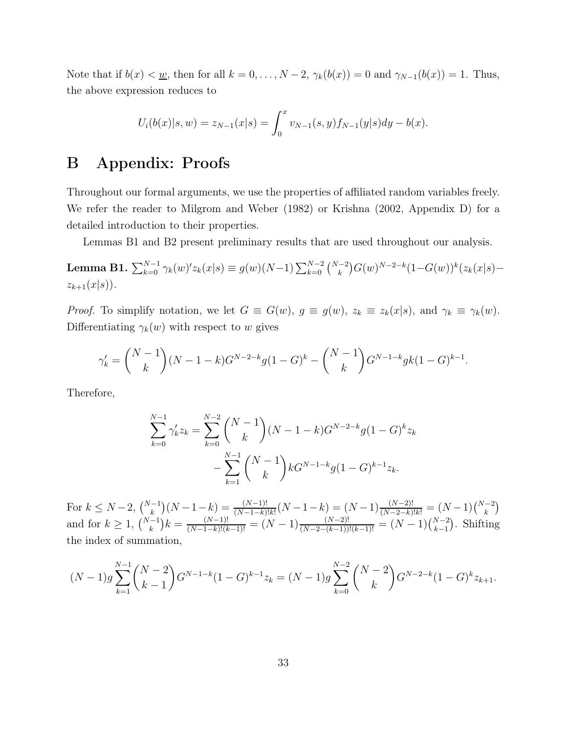Note that if  $b(x) < u$ , then for all  $k = 0, \ldots, N-2$ ,  $\gamma_k(b(x)) = 0$  and  $\gamma_{N-1}(b(x)) = 1$ . Thus, the above expression reduces to

$$
U_i(b(x)|s, w) = z_{N-1}(x|s) = \int_0^x v_{N-1}(s, y) f_{N-1}(y|s) dy - b(x).
$$

## B Appendix: Proofs

Throughout our formal arguments, we use the properties of affiliated random variables freely. We refer the reader to Milgrom and Weber (1982) or Krishna (2002, Appendix D) for a detailed introduction to their properties.

Lemmas B1 and B2 present preliminary results that are used throughout our analysis.

**Lemma B1.**  $\sum_{k=0}^{N-1} \gamma_k(w)' z_k(x|s) \equiv g(w)(N-1) \sum_{k=0}^{N-2} {N-2 \choose k} G(w)^{N-2-k} (1-G(w))^k (z_k(x|s)$  $z_{k+1}(x|s)$ ).

*Proof.* To simplify notation, we let  $G \equiv G(w)$ ,  $g \equiv g(w)$ ,  $z_k \equiv z_k(x|s)$ , and  $\gamma_k \equiv \gamma_k(w)$ . Differentiating  $\gamma_k(w)$  with respect to w gives

$$
\gamma'_{k} = \binom{N-1}{k} (N-1-k)G^{N-2-k}g(1-G)^{k} - \binom{N-1}{k}G^{N-1-k}gk(1-G)^{k-1}.
$$

Therefore,

$$
\sum_{k=0}^{N-1} \gamma'_k z_k = \sum_{k=0}^{N-2} {N-1 \choose k} (N-1-k) G^{N-2-k} g (1-G)^k z_k
$$

$$
- \sum_{k=1}^{N-1} {N-1 \choose k} k G^{N-1-k} g (1-G)^{k-1} z_k.
$$

For  $k \le N-2$ ,  $\binom{N-1}{k}(N-1-k) = \frac{(N-1)!}{(N-1-k)!k!}(N-1-k) = (N-1)\frac{(N-2)!}{(N-2-k)!k!} = (N-1)\binom{N-2}{k}$ and for  $k \ge 1$ ,  $\binom{N-1}{k} k = \frac{(N-1)!}{(N-1-k)!(k-1)!} = (N-1)\frac{(N-2)!}{(N-2-(k-1))!(k-1)!} = (N-1)\binom{N-2}{k-1}$ . Shifting the index of summation,

$$
(N-1)g\sum_{k=1}^{N-1} {N-2 \choose k-1} G^{N-1-k} (1-G)^{k-1} z_k = (N-1)g\sum_{k=0}^{N-2} {N-2 \choose k} G^{N-2-k} (1-G)^k z_{k+1}.
$$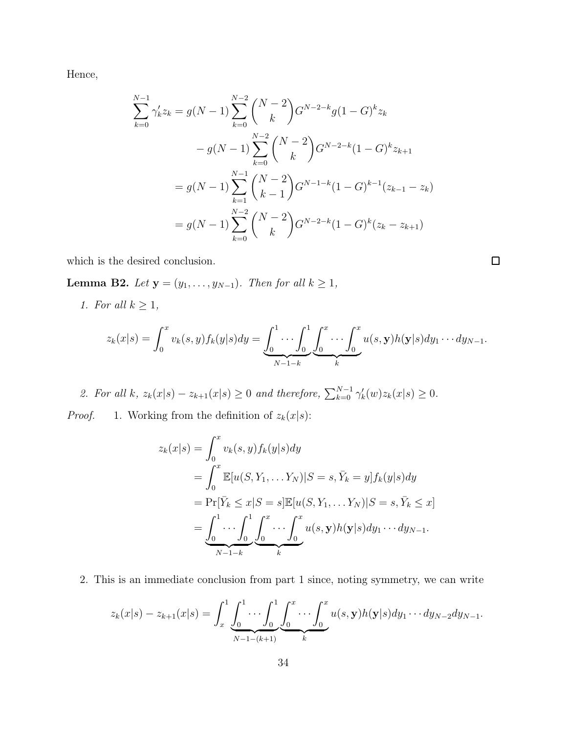Hence,

$$
\sum_{k=0}^{N-1} \gamma'_k z_k = g(N-1) \sum_{k=0}^{N-2} {N-2 \choose k} G^{N-2-k} g(1-G)^k z_k
$$
  

$$
- g(N-1) \sum_{k=0}^{N-2} {N-2 \choose k} G^{N-2-k} (1-G)^k z_{k+1}
$$
  

$$
= g(N-1) \sum_{k=1}^{N-1} {N-2 \choose k-1} G^{N-1-k} (1-G)^{k-1} (z_{k-1} - z_k)
$$
  

$$
= g(N-1) \sum_{k=0}^{N-2} {N-2 \choose k} G^{N-2-k} (1-G)^k (z_k - z_{k+1})
$$

which is the desired conclusion.

Lemma B2. Let  $y = (y_1, \ldots, y_{N-1})$ . Then for all  $k \ge 1$ ,

1. For all  $k \geq 1$ ,

$$
z_k(x|s) = \int_0^x v_k(s,y) f_k(y|s) dy = \underbrace{\int_0^1 \cdots \int_0^1}_{N-1-k} \underbrace{\int_0^x \cdots \int_0^x}_{k} u(s,\mathbf{y}) h(\mathbf{y}|s) dy_1 \cdots dy_{N-1}}_{k}.
$$

2. For all k,  $z_k(x|s) - z_{k+1}(x|s) \ge 0$  and therefore,  $\sum_{k=0}^{N-1} \gamma'_k(w) z_k(x|s) \ge 0$ .

*Proof.* 1. Working from the definition of  $z_k(x|s)$ :

$$
z_k(x|s) = \int_0^x v_k(s, y) f_k(y|s) dy
$$
  
= 
$$
\int_0^x \mathbb{E}[u(S, Y_1, \dots Y_N)|S = s, \overline{Y}_k = y] f_k(y|s) dy
$$
  
= 
$$
\Pr[\overline{Y}_k \le x|S = s] \mathbb{E}[u(S, Y_1, \dots Y_N)|S = s, \overline{Y}_k \le x]
$$
  
= 
$$
\underbrace{\int_0^1 \dots \int_0^1 \int_0^x \dots \int_0^x u(s, y) h(y|s) dy_1 \dots dy_{N-1}}_{N-1-k}
$$

2. This is an immediate conclusion from part 1 since, noting symmetry, we can write

$$
z_k(x|s) - z_{k+1}(x|s) = \int_x^1 \underbrace{\int_0^1 \cdots \int_0^1}_{N-1-(k+1)} \underbrace{\int_0^x \cdots \int_0^x}_{k} u(s, \mathbf{y}) h(\mathbf{y}|s) dy_1 \cdots dy_{N-2} dy_{N-1}.
$$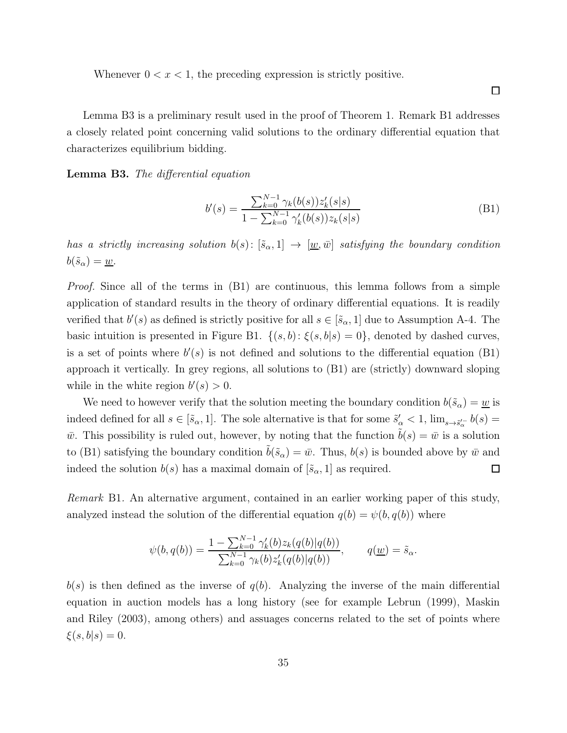Whenever  $0 < x < 1$ , the preceding expression is strictly positive.

Lemma B3 is a preliminary result used in the proof of Theorem 1. Remark B1 addresses a closely related point concerning valid solutions to the ordinary differential equation that characterizes equilibrium bidding.

Lemma B3. The differential equation

$$
b'(s) = \frac{\sum_{k=0}^{N-1} \gamma_k(b(s)) z'_k(s|s)}{1 - \sum_{k=0}^{N-1} \gamma'_k(b(s)) z_k(s|s)}
$$
(B1)

has a strictly increasing solution  $b(s)$ :  $[\tilde{s}_{\alpha}, 1] \rightarrow [\underline{w}, \overline{w}]$  satisfying the boundary condition  $b(\tilde{s}_{\alpha}) = \underline{w}.$ 

*Proof.* Since all of the terms in (B1) are continuous, this lemma follows from a simple application of standard results in the theory of ordinary differential equations. It is readily verified that  $b'(s)$  as defined is strictly positive for all  $s \in [\tilde{s}_{\alpha}, 1]$  due to Assumption A-4. The basic intuition is presented in Figure B1.  $\{(s,b): \xi(s,b|s) = 0\}$ , denoted by dashed curves, is a set of points where  $b'(s)$  is not defined and solutions to the differential equation (B1) approach it vertically. In grey regions, all solutions to (B1) are (strictly) downward sloping while in the white region  $b'(s) > 0$ .

We need to however verify that the solution meeting the boundary condition  $b(\tilde{s}_{\alpha}) = \underline{w}$  is indeed defined for all  $s \in [\tilde{s}_{\alpha}, 1]$ . The sole alternative is that for some  $\tilde{s}'_{\alpha} < 1$ ,  $\lim_{s \to \tilde{s}'_{\alpha}} b(s) =$  $\bar{w}$ . This possibility is ruled out, however, by noting that the function  $\tilde{b}(s) = \bar{w}$  is a solution to (B1) satisfying the boundary condition  $\tilde{b}(\tilde{s}_{\alpha}) = \bar{w}$ . Thus,  $b(s)$  is bounded above by  $\bar{w}$  and indeed the solution  $b(s)$  has a maximal domain of  $[\tilde{s}_{\alpha}, 1]$  as required.  $\Box$ 

Remark B1. An alternative argument, contained in an earlier working paper of this study, analyzed instead the solution of the differential equation  $q(b) = \psi(b, q(b))$  where

$$
\psi(b,q(b)) = \frac{1 - \sum_{k=0}^{N-1} \gamma'_k(b) z_k(q(b)|q(b))}{\sum_{k=0}^{N-1} \gamma_k(b) z'_k(q(b)|q(b))}, \qquad q(\underline{w}) = \tilde{s}_{\alpha}.
$$

 $b(s)$  is then defined as the inverse of  $q(b)$ . Analyzing the inverse of the main differential equation in auction models has a long history (see for example Lebrun (1999), Maskin and Riley (2003), among others) and assuages concerns related to the set of points where  $\xi(s, b|s) = 0.$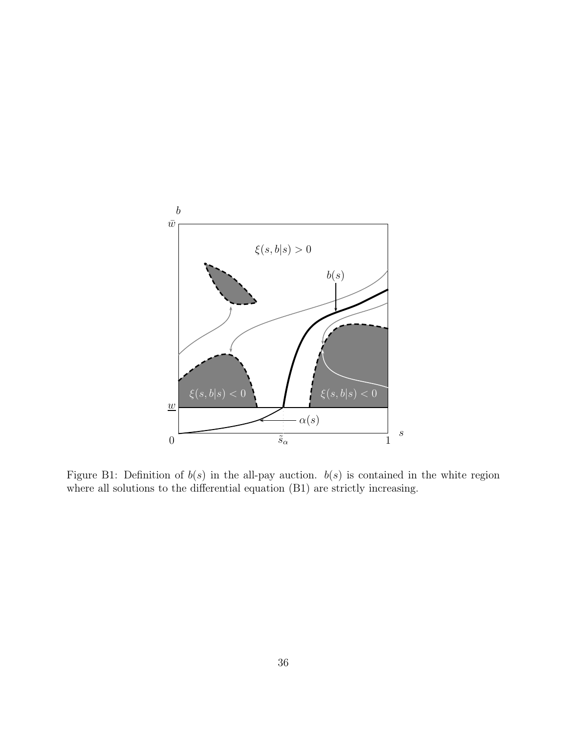

Figure B1: Definition of  $b(s)$  in the all-pay auction.  $b(s)$  is contained in the white region where all solutions to the differential equation (B1) are strictly increasing.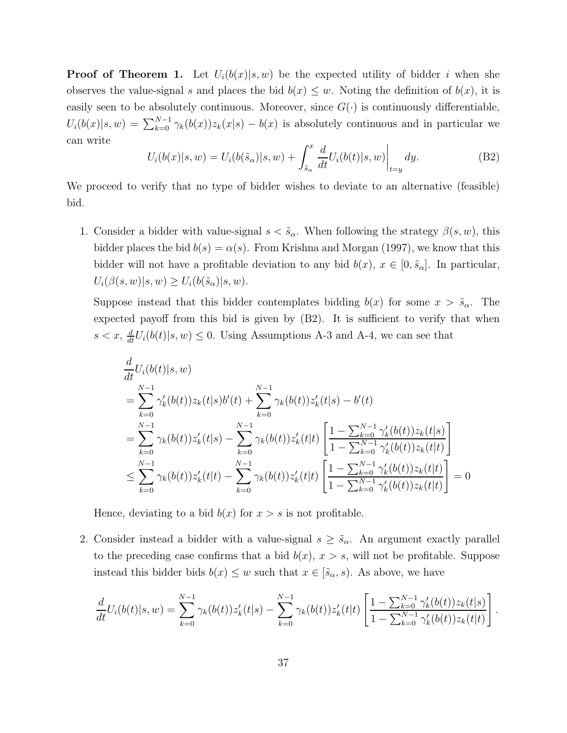**Proof of Theorem 1.** Let  $U_i(b(x)|s, w)$  be the expected utility of bidder i when she observes the value-signal s and places the bid  $b(x) \leq w$ . Noting the definition of  $b(x)$ , it is easily seen to be absolutely continuous. Moreover, since  $G(\cdot)$  is continuously differentiable,  $U_i(b(x)|s,w) = \sum_{k=0}^{N-1} \gamma_k(b(x))z_k(x|s) - b(x)$  is absolutely continuous and in particular we can write

$$
U_i(b(x)|s, w) = U_i(b(\tilde{s}_\alpha)|s, w) + \int_{\tilde{s}_\alpha}^x \frac{d}{dt} U_i(b(t)|s, w)\Big|_{t=y} dy.
$$
 (B2)

We proceed to verify that no type of bidder wishes to deviate to an alternative (feasible) bid.

1. Consider a bidder with value-signal  $s < \tilde{s}_{\alpha}$ . When following the strategy  $\beta(s, w)$ , this bidder places the bid  $b(s) = \alpha(s)$ . From Krishna and Morgan (1997), we know that this bidder will not have a profitable deviation to any bid  $b(x)$ ,  $x \in [0, \tilde{s}_{\alpha}]$ . In particular,  $U_i(\beta(s, w)|s, w) \geq U_i(b(\tilde{s}_\alpha)|s, w).$ 

Suppose instead that this bidder contemplates bidding  $b(x)$  for some  $x > \tilde{s}_{\alpha}$ . The expected payoff from this bid is given by (B2). It is sufficient to verify that when  $s < x$ ,  $\frac{d}{dt}U_i(b(t)|s, w) \leq 0$ . Using Assumptions A-3 and A-4, we can see that

$$
\frac{d}{dt}U_i(b(t)|s,w) \n= \sum_{k=0}^{N-1} \gamma'_k(b(t))z_k(t|s)b'(t) + \sum_{k=0}^{N-1} \gamma_k(b(t))z'_k(t|s) - b'(t) \n= \sum_{k=0}^{N-1} \gamma_k(b(t))z'_k(t|s) - \sum_{k=0}^{N-1} \gamma_k(b(t))z'_k(t|t) \left[ \frac{1 - \sum_{k=0}^{N-1} \gamma'_k(b(t))z_k(t|s)}{1 - \sum_{k=0}^{N-1} \gamma'_k(b(t))z_k(t|t)} \right] \n\leq \sum_{k=0}^{N-1} \gamma_k(b(t))z'_k(t|t) - \sum_{k=0}^{N-1} \gamma_k(b(t))z'_k(t|t) \left[ \frac{1 - \sum_{k=0}^{N-1} \gamma'_k(b(t))z_k(t|t)}{1 - \sum_{k=0}^{N-1} \gamma'_k(b(t))z_k(t|t)} \right] = 0
$$

Hence, deviating to a bid  $b(x)$  for  $x > s$  is not profitable.

2. Consider instead a bidder with a value-signal  $s \geq \tilde{s}_{\alpha}$ . An argument exactly parallel to the preceding case confirms that a bid  $b(x)$ ,  $x > s$ , will not be profitable. Suppose instead this bidder bids  $b(x) \leq w$  such that  $x \in [\tilde{s}_\alpha, s)$ . As above, we have

$$
\frac{d}{dt}U_i(b(t)|s,w) = \sum_{k=0}^{N-1} \gamma_k(b(t))z'_k(t|s) - \sum_{k=0}^{N-1} \gamma_k(b(t))z'_k(t|t) \left[ \frac{1 - \sum_{k=0}^{N-1} \gamma'_k(b(t))z_k(t|s)}{1 - \sum_{k=0}^{N-1} \gamma'_k(b(t))z_k(t|t)} \right]
$$

.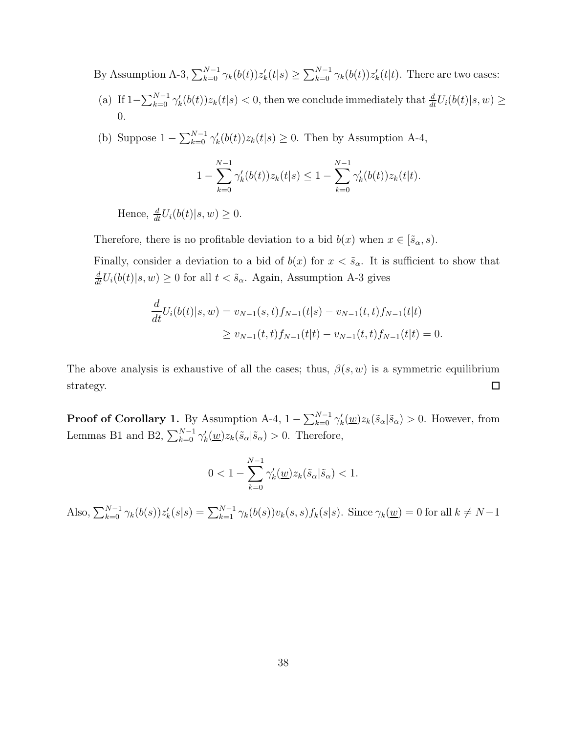By Assumption A-3,  $\sum_{k=0}^{N-1} \gamma_k(b(t))z'_k(t|s) \ge \sum_{k=0}^{N-1} \gamma_k(b(t))z'_k(t|t)$ . There are two cases:

- (a) If  $1-\sum_{k=0}^{N-1} \gamma'_k(b(t))z_k(t|s) < 0$ , then we conclude immediately that  $\frac{d}{dt}U_i(b(t)|s, w) \ge$ 0.
- (b) Suppose  $1 \sum_{k=0}^{N-1} \gamma'_k(b(t))z_k(t|s) \geq 0$ . Then by Assumption A-4,

$$
1 - \sum_{k=0}^{N-1} \gamma'_k(b(t))z_k(t|s) \le 1 - \sum_{k=0}^{N-1} \gamma'_k(b(t))z_k(t|t).
$$

Hence,  $\frac{d}{dt}U_i(b(t)|s, w) \geq 0.$ 

Therefore, there is no profitable deviation to a bid  $b(x)$  when  $x \in [\tilde{s}_{\alpha}, s)$ .

Finally, consider a deviation to a bid of  $b(x)$  for  $x < \tilde{s}_{\alpha}$ . It is sufficient to show that  $\frac{d}{dt}U_i(b(t)|s,w) \ge 0$  for all  $t < \tilde{s}_{\alpha}$ . Again, Assumption A-3 gives

$$
\frac{d}{dt}U_i(b(t)|s,w) = v_{N-1}(s,t)f_{N-1}(t|s) - v_{N-1}(t,t)f_{N-1}(t|t)
$$
\n
$$
\ge v_{N-1}(t,t)f_{N-1}(t|t) - v_{N-1}(t,t)f_{N-1}(t|t) = 0.
$$

The above analysis is exhaustive of all the cases; thus,  $\beta(s, w)$  is a symmetric equilibrium  $\Box$ strategy.

**Proof of Corollary 1.** By Assumption A-4,  $1 - \sum_{k=0}^{N-1} \gamma'_k(\underline{w}) z_k(\tilde{s}_{\alpha}|\tilde{s}_{\alpha}) > 0$ . However, from Lemmas B1 and B2,  $\sum_{k=0}^{N-1} \gamma'_k(\underline{w}) z_k(\tilde{s}_{\alpha}|\tilde{s}_{\alpha}) > 0$ . Therefore,

$$
0<1-\sum_{k=0}^{N-1}\gamma_k'(\underline{w})z_k(\tilde{s}_{\alpha}|\tilde{s}_{\alpha})<1.
$$

Also,  $\sum_{k=0}^{N-1} \gamma_k(b(s))z'_k(s|s) = \sum_{k=1}^{N-1} \gamma_k(b(s))v_k(s,s)f_k(s|s)$ . Since  $\gamma_k(\underline{w}) = 0$  for all  $k \neq N-1$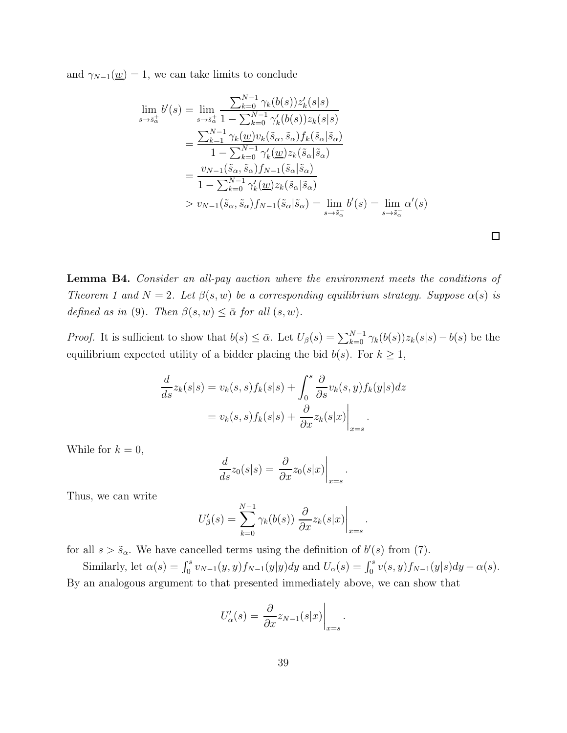and  $\gamma_{N-1}(\underline{w}) = 1$ , we can take limits to conclude

$$
\lim_{s \to \tilde{s}_{\alpha}^{+}} b'(s) = \lim_{s \to \tilde{s}_{\alpha}^{+}} \frac{\sum_{k=0}^{N-1} \gamma_{k}(b(s))z'_{k}(s|s)}{1 - \sum_{k=0}^{N-1} \gamma_{k}'(b(s))z_{k}(s|s)}
$$
\n
$$
= \frac{\sum_{k=1}^{N-1} \gamma_{k}(\underline{w})v_{k}(\tilde{s}_{\alpha}, \tilde{s}_{\alpha})f_{k}(\tilde{s}_{\alpha}|\tilde{s}_{\alpha})}{1 - \sum_{k=0}^{N-1} \gamma_{k}'(\underline{w})z_{k}(\tilde{s}_{\alpha}|\tilde{s}_{\alpha})}
$$
\n
$$
= \frac{v_{N-1}(\tilde{s}_{\alpha}, \tilde{s}_{\alpha})f_{N-1}(\tilde{s}_{\alpha}|\tilde{s}_{\alpha})}{1 - \sum_{k=0}^{N-1} \gamma_{k}'(\underline{w})z_{k}(\tilde{s}_{\alpha}|\tilde{s}_{\alpha})}
$$
\n
$$
> v_{N-1}(\tilde{s}_{\alpha}, \tilde{s}_{\alpha})f_{N-1}(\tilde{s}_{\alpha}|\tilde{s}_{\alpha}) = \lim_{s \to \tilde{s}_{\alpha}^{-}} b'(s) = \lim_{s \to \tilde{s}_{\alpha}^{-}} \alpha'(s)
$$

Lemma B4. Consider an all-pay auction where the environment meets the conditions of Theorem 1 and  $N = 2$ . Let  $\beta(s, w)$  be a corresponding equilibrium strategy. Suppose  $\alpha(s)$  is defined as in (9). Then  $\beta(s, w) \leq \bar{\alpha}$  for all  $(s, w)$ .

*Proof.* It is sufficient to show that  $b(s) \leq \bar{\alpha}$ . Let  $U_{\beta}(s) = \sum_{k=0}^{N-1} \gamma_k(b(s))z_k(s|s) - b(s)$  be the equilibrium expected utility of a bidder placing the bid  $b(s)$ . For  $k \geq 1$ ,

$$
\frac{d}{ds}z_k(s|s) = v_k(s,s)f_k(s|s) + \int_0^s \frac{\partial}{\partial s}v_k(s,y)f_k(y|s)dz
$$

$$
= v_k(s,s)f_k(s|s) + \frac{\partial}{\partial x}z_k(s|x)\Big|_{x=s}.
$$

While for  $k = 0$ ,

$$
\frac{d}{ds}z_0(s|s) = \frac{\partial}{\partial x}z_0(s|x)\bigg|_{x=s}.
$$

Thus, we can write

$$
U'_{\beta}(s) = \sum_{k=0}^{N-1} \gamma_k(b(s)) \left. \frac{\partial}{\partial x} z_k(s|x) \right|_{x=s}.
$$

for all  $s > \tilde{s}_{\alpha}$ . We have cancelled terms using the definition of  $b'(s)$  from (7).

Similarly, let  $\alpha(s) = \int_0^s v_{N-1}(y, y) f_{N-1}(y|y) dy$  and  $U_{\alpha}(s) = \int_0^s v(s, y) f_{N-1}(y|s) dy - \alpha(s)$ . By an analogous argument to that presented immediately above, we can show that

$$
U'_{\alpha}(s) = \frac{\partial}{\partial x} z_{N-1}(s|x)\Big|_{x=s}
$$

.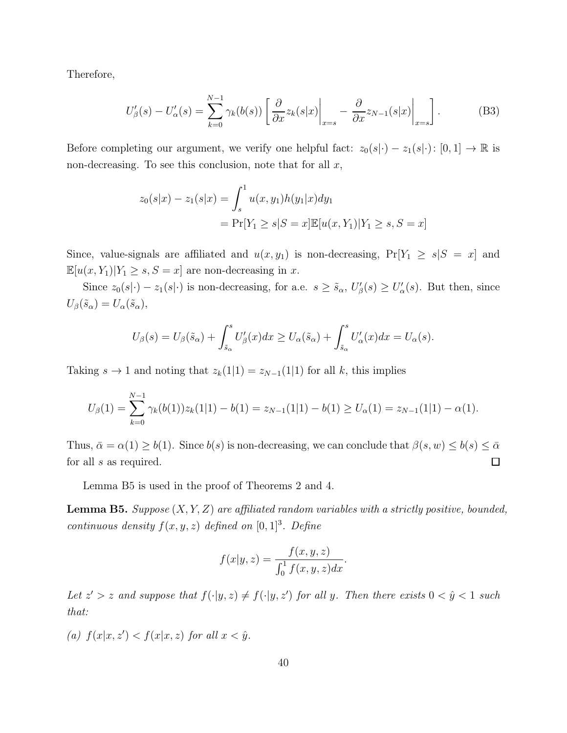Therefore,

$$
U'_{\beta}(s) - U'_{\alpha}(s) = \sum_{k=0}^{N-1} \gamma_k(b(s)) \left[ \frac{\partial}{\partial x} z_k(s|x) \Big|_{x=s} - \frac{\partial}{\partial x} z_{N-1}(s|x) \Big|_{x=s} \right].
$$
 (B3)

Before completing our argument, we verify one helpful fact:  $z_0(s|\cdot) - z_1(s|\cdot) : [0,1] \to \mathbb{R}$  is non-decreasing. To see this conclusion, note that for all  $x$ ,

$$
z_0(s|x) - z_1(s|x) = \int_s^1 u(x, y_1)h(y_1|x)dy_1
$$
  
=  $\Pr[Y_1 \ge s|S=x] \mathbb{E}[u(x, Y_1)|Y_1 \ge s, S=x]$ 

Since, value-signals are affiliated and  $u(x, y_1)$  is non-decreasing,  $Pr[Y_1 \ge s | S = x]$  and  $\mathbb{E}[u(x,Y_1)|Y_1\geq s, S=x]$  are non-decreasing in  $x.$ 

Since  $z_0(s|\cdot) - z_1(s|\cdot)$  is non-decreasing, for a.e.  $s \geq \tilde{s}_{\alpha}, U_{\beta}'(s) \geq U_{\alpha}'(s)$ . But then, since  $U_{\beta}(\tilde{s}_{\alpha}) = U_{\alpha}(\tilde{s}_{\alpha}),$ 

$$
U_{\beta}(s) = U_{\beta}(\tilde{s}_{\alpha}) + \int_{\tilde{s}_{\alpha}}^{s} U_{\beta}'(x) dx \ge U_{\alpha}(\tilde{s}_{\alpha}) + \int_{\tilde{s}_{\alpha}}^{s} U_{\alpha}'(x) dx = U_{\alpha}(s).
$$

Taking  $s \to 1$  and noting that  $z_k(1|1) = z_{N-1}(1|1)$  for all k, this implies

$$
U_{\beta}(1) = \sum_{k=0}^{N-1} \gamma_k(b(1))z_k(1|1) - b(1) = z_{N-1}(1|1) - b(1) \ge U_{\alpha}(1) = z_{N-1}(1|1) - \alpha(1).
$$

Thus,  $\bar{\alpha} = \alpha(1) \ge b(1)$ . Since  $b(s)$  is non-decreasing, we can conclude that  $\beta(s, w) \le b(s) \le \bar{\alpha}$ for all s as required.  $\Box$ 

Lemma B5 is used in the proof of Theorems 2 and 4.

**Lemma B5.** Suppose  $(X, Y, Z)$  are affiliated random variables with a strictly positive, bounded, continuous density  $f(x, y, z)$  defined on  $[0, 1]^3$ . Define

$$
f(x|y,z) = \frac{f(x,y,z)}{\int_0^1 f(x,y,z)dx}.
$$

Let  $z' > z$  and suppose that  $f(\cdot|y, z) \neq f(\cdot|y, z')$  for all y. Then there exists  $0 < \hat{y} < 1$  such that:

(a)  $f(x|x, z') < f(x|x, z)$  for all  $x < \hat{y}$ .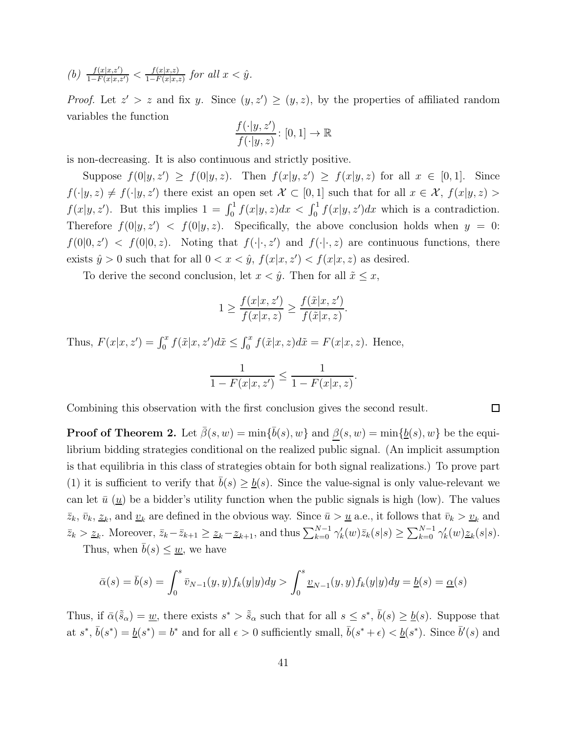(b) 
$$
\frac{f(x|x,z')}{1-F(x|x,z')} < \frac{f(x|x,z)}{1-F(x|x,z)}
$$
 for all  $x < \hat{y}$ .

*Proof.* Let  $z' > z$  and fix y. Since  $(y, z') \ge (y, z)$ , by the properties of affiliated random variables the function

$$
\frac{f(\cdot|y,z')}{f(\cdot|y,z)} \colon [0,1] \to \mathbb{R}
$$

is non-decreasing. It is also continuous and strictly positive.

Suppose  $f(0|y, z') \ge f(0|y, z)$ . Then  $f(x|y, z') \ge f(x|y, z)$  for all  $x \in [0, 1]$ . Since  $f(\cdot|y, z) \neq f(\cdot|y, z')$  there exist an open set  $\mathcal{X} \subset [0, 1]$  such that for all  $x \in \mathcal{X}$ ,  $f(x|y, z) >$  $f(x|y, z')$ . But this implies  $1 = \int_0^1 f(x|y, z) dx < \int_0^1 f(x|y, z') dx$  which is a contradiction. Therefore  $f(0|y, z') < f(0|y, z)$ . Specifically, the above conclusion holds when  $y = 0$ :  $f(0|0, z') < f(0|0, z)$ . Noting that  $f(\cdot | \cdot, z')$  and  $f(\cdot | \cdot, z)$  are continuous functions, there exists  $\hat{y} > 0$  such that for all  $0 < x < \hat{y}$ ,  $f(x|x, z') < f(x|x, z)$  as desired.

To derive the second conclusion, let  $x < \hat{y}$ . Then for all  $\tilde{x} \leq x$ ,

$$
1 \ge \frac{f(x|x, z')}{f(x|x, z)} \ge \frac{f(\tilde{x}|x, z')}{f(\tilde{x}|x, z)}.
$$

Thus,  $F(x|x, z') = \int_0^x f(\tilde{x}|x, z') d\tilde{x} \le \int_0^x f(\tilde{x}|x, z) d\tilde{x} = F(x|x, z)$ . Hence,

$$
\frac{1}{1 - F(x|x, z')} \le \frac{1}{1 - F(x|x, z)}.
$$

 $\Box$ 

Combining this observation with the first conclusion gives the second result.

**Proof of Theorem 2.** Let  $\bar{\beta}(s, w) = \min\{\bar{b}(s), w\}$  and  $\underline{\beta}(s, w) = \min\{\underline{b}(s), w\}$  be the equilibrium bidding strategies conditional on the realized public signal. (An implicit assumption is that equilibria in this class of strategies obtain for both signal realizations.) To prove part (1) it is sufficient to verify that  $\bar{b}(s) \geq \underline{b}(s)$ . Since the value-signal is only value-relevant we can let  $\bar{u}(\underline{u})$  be a bidder's utility function when the public signals is high (low). The values  $\bar{z}_k$ ,  $\bar{v}_k$ ,  $\underline{z}_k$ , and  $\underline{v}_k$  are defined in the obvious way. Since  $\bar{u} > \underline{u}$  a.e., it follows that  $\bar{v}_k > \underline{v}_k$  and  $\bar{z}_k > \underline{z}_k$ . Moreover,  $\bar{z}_k - \bar{z}_{k+1} \geq \underline{z}_k - \underline{z}_{k+1}$ , and thus  $\sum_{k=0}^{N-1} \gamma'_k(w) \bar{z}_k(s|s) \geq \sum_{k=0}^{N-1} \gamma'_k(w) \underline{z}_k(s|s)$ .

Thus, when  $\bar{b}(s) \leq \underline{w}$ , we have

$$
\bar{\alpha}(s) = \bar{b}(s) = \int_0^s \bar{v}_{N-1}(y, y) f_k(y|y) dy > \int_0^s \underline{v}_{N-1}(y, y) f_k(y|y) dy = \underline{b}(s) = \underline{\alpha}(s)
$$

Thus, if  $\bar{\alpha}(\tilde{s}_{\alpha}) = \underline{w}$ , there exists  $s^* > \tilde{s}_{\alpha}$  such that for all  $s \leq s^*$ ,  $\bar{b}(s) \geq \underline{b}(s)$ . Suppose that at  $s^*, \bar{b}(s^*) = \underline{b}(s^*) = b^*$  and for all  $\epsilon > 0$  sufficiently small,  $\bar{b}(s^* + \epsilon) < \underline{b}(s^*)$ . Since  $\bar{b}'(s)$  and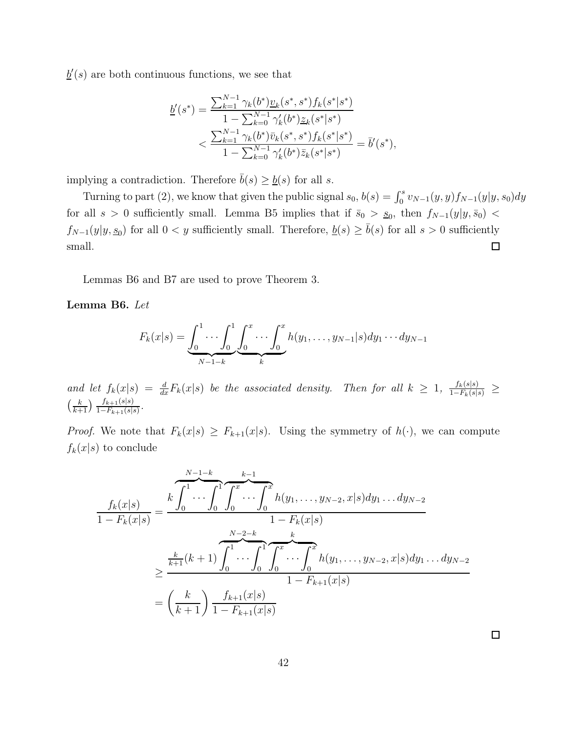$\underline{b}'(s)$  are both continuous functions, we see that

$$
\underline{b}'(s^*) = \frac{\sum_{k=1}^{N-1} \gamma_k(b^*) \underline{v}_k(s^*, s^*) f_k(s^*|s^*)}{1 - \sum_{k=0}^{N-1} \gamma'_k(b^*) \underline{z}_k(s^*|s^*)} \n< \frac{\sum_{k=1}^{N-1} \gamma_k(b^*) \bar{v}_k(s^*, s^*) f_k(s^*|s^*)}{1 - \sum_{k=0}^{N-1} \gamma'_k(b^*) \bar{z}_k(s^*|s^*)} = \bar{b}'(s^*),
$$

implying a contradiction. Therefore  $\bar{b}(s) \geq \underline{b}(s)$  for all s.

Turning to part (2), we know that given the public signal  $s_0$ ,  $b(s) = \int_0^s v_{N-1}(y, y) f_{N-1}(y|y, s_0) dy$ for all  $s > 0$  sufficiently small. Lemma B5 implies that if  $\bar{s}_0 > s_0$ , then  $f_{N-1}(y|y, \bar{s}_0)$  <  $f_{N-1}(y|y, s_0)$  for all  $0 < y$  sufficiently small. Therefore,  $\underline{b}(s) \ge \overline{b}(s)$  for all  $s > 0$  sufficiently small.  $\Box$ 

Lemmas B6 and B7 are used to prove Theorem 3.

Lemma B6. Let

$$
F_k(x|s) = \underbrace{\int_0^1 \cdots \int_0^1}_{N-1-k} \underbrace{\int_0^x \cdots \int_0^x}_{k} h(y_1, \ldots, y_{N-1}|s) dy_1 \cdots dy_{N-1}
$$

and let  $f_k(x|s) = \frac{d}{dx} F_k(x|s)$  be the associated density. Then for all  $k \geq 1$ ,  $\frac{f_k(s|s)}{1-F_k(s|s)} \geq$  $\left(\frac{k}{k+1}\right) \frac{f_{k+1}(s|s)}{1-F_{k+1}(s|s)}$ .

*Proof.* We note that  $F_k(x|s) \geq F_{k+1}(x|s)$ . Using the symmetry of  $h(\cdot)$ , we can compute  $f_k(x|s)$  to conclude

$$
\frac{f_k(x|s)}{1 - F_k(x|s)} = \frac{k \int_0^1 \cdots \int_0^1 \int_0^x \cdots \int_0^x h(y_1, \ldots, y_{N-2}, x|s) dy_1 \ldots dy_{N-2}}{1 - F_k(x|s)}
$$
\n
$$
\geq \frac{\frac{k}{k+1}(k+1) \int_0^1 \cdots \int_0^1 \int_0^x \cdots \int_0^x h(y_1, \ldots, y_{N-2}, x|s) dy_1 \ldots dy_{N-2}}{1 - F_{k+1}(x|s)}
$$
\n
$$
= \left(\frac{k}{k+1}\right) \frac{f_{k+1}(x|s)}{1 - F_{k+1}(x|s)}
$$

 $\Box$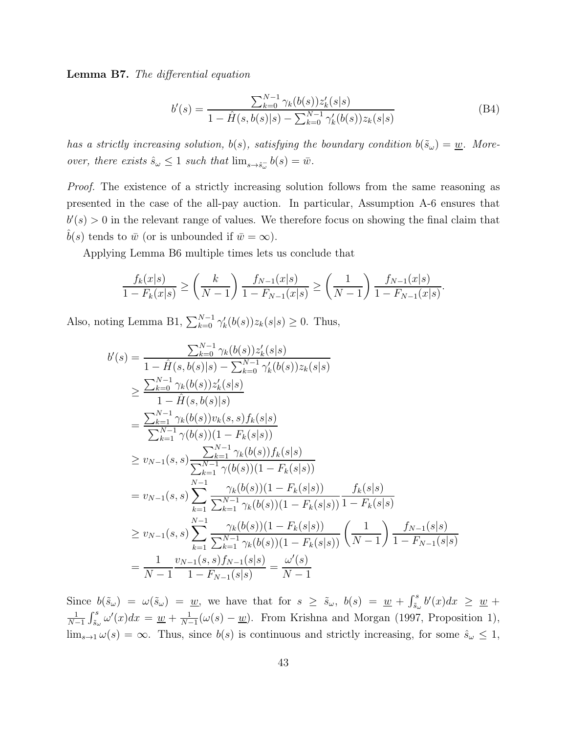Lemma B7. The differential equation

$$
b'(s) = \frac{\sum_{k=0}^{N-1} \gamma_k(b(s))z'_k(s|s)}{1 - \hat{H}(s, b(s)|s) - \sum_{k=0}^{N-1} \gamma'_k(b(s))z_k(s|s)}
$$
(B4)

.

has a strictly increasing solution,  $b(s)$ , satisfying the boundary condition  $b(\tilde{s}_{\omega}) = \underline{w}$ . Moreover, there exists  $\hat{s}_{\omega} \leq 1$  such that  $\lim_{s \to \hat{s}_{\omega}} b(s) = \bar{w}$ .

Proof. The existence of a strictly increasing solution follows from the same reasoning as presented in the case of the all-pay auction. In particular, Assumption A-6 ensures that  $b'(s) > 0$  in the relevant range of values. We therefore focus on showing the final claim that  $b(s)$  tends to  $\bar{w}$  (or is unbounded if  $\bar{w} = \infty$ ).

Applying Lemma B6 multiple times lets us conclude that

$$
\frac{f_k(x|s)}{1 - F_k(x|s)} \ge \left(\frac{k}{N-1}\right) \frac{f_{N-1}(x|s)}{1 - F_{N-1}(x|s)} \ge \left(\frac{1}{N-1}\right) \frac{f_{N-1}(x|s)}{1 - F_{N-1}(x|s)}
$$

Also, noting Lemma B1,  $\sum_{k=0}^{N-1} \gamma'_k(b(s))z_k(s|s) \ge 0$ . Thus,

$$
b'(s) = \frac{\sum_{k=0}^{N-1} \gamma_k(b(s))z'_k(s|s)}{1 - \hat{H}(s,b(s)|s) - \sum_{k=0}^{N-1} \gamma'_k(b(s))z_k(s|s)}
$$
  
\n
$$
\geq \frac{\sum_{k=0}^{N-1} \gamma_k(b(s))z'_k(s|s)}{1 - \hat{H}(s,b(s)|s)}
$$
  
\n
$$
= \frac{\sum_{k=1}^{N-1} \gamma_k(b(s))v_k(s,s)f_k(s|s)}{\sum_{k=1}^{N-1} \gamma(b(s))(1 - F_k(s|s))}
$$
  
\n
$$
\geq v_{N-1}(s,s) \frac{\sum_{k=1}^{N-1} \gamma_k(b(s))f_k(s|s)}{\sum_{k=1}^{N-1} \gamma(b(s))(1 - F_k(s|s))}
$$
  
\n
$$
= v_{N-1}(s,s) \sum_{k=1}^{N-1} \frac{\gamma_k(b(s))(1 - F_k(s|s))}{\sum_{k=1}^{N-1} \gamma_k(b(s))(1 - F_k(s|s))} \frac{f_k(s|s)}{1 - F_k(s|s)}
$$
  
\n
$$
\geq v_{N-1}(s,s) \sum_{k=1}^{N-1} \frac{\gamma_k(b(s))(1 - F_k(s|s))}{\sum_{k=1}^{N-1} \gamma_k(b(s))(1 - F_k(s|s))} \left(\frac{1}{N-1}\right) \frac{f_{N-1}(s|s)}{1 - F_{N-1}(s|s)}
$$
  
\n
$$
= \frac{1}{N-1} \frac{v_{N-1}(s,s)f_{N-1}(s|s)}{1 - F_{N-1}(s|s)} = \frac{\omega'(s)}{N-1}
$$

Since  $b(\tilde{s}_\omega) = \omega(\tilde{s}_\omega) = \underline{w}$ , we have that for  $s \geq \tilde{s}_\omega$ ,  $b(s) = \underline{w} + \int_{\tilde{s}_\omega}^s b'(x) dx \geq \underline{w} + \frac{1}{s}$ 1  $\frac{1}{N-1}\int_{\tilde{s}_\omega}^s \omega'(x)dx = \underline{w} + \frac{1}{N-1}$  $\frac{1}{N-1}(\omega(s) - \underline{w})$ . From Krishna and Morgan (1997, Proposition 1),  $\lim_{s\to 1}\omega(s)=\infty$ . Thus, since  $b(s)$  is continuous and strictly increasing, for some  $\hat{s}_{\omega}\leq 1$ ,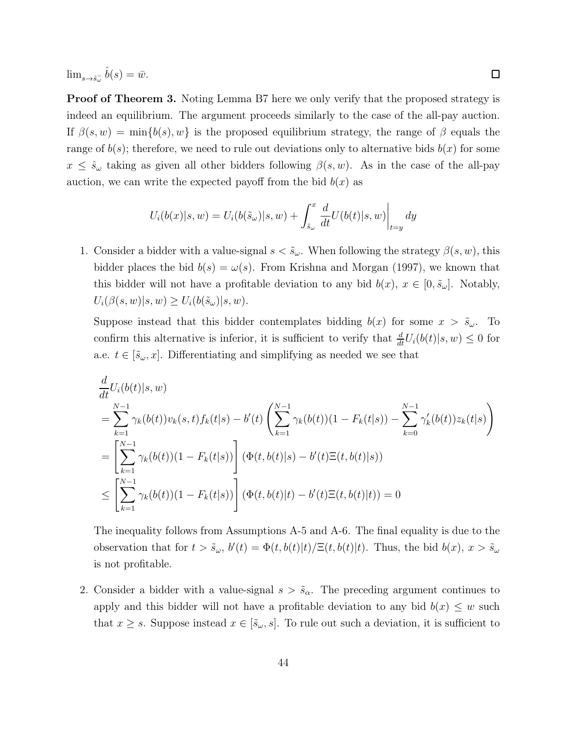$\lim_{s \to \hat{s}_\omega^-} \hat{b}(s) = \bar{w}.$ 

**Proof of Theorem 3.** Noting Lemma B7 here we only verify that the proposed strategy is indeed an equilibrium. The argument proceeds similarly to the case of the all-pay auction. If  $\beta(s, w) = \min\{b(s), w\}$  is the proposed equilibrium strategy, the range of  $\beta$  equals the range of  $b(s)$ ; therefore, we need to rule out deviations only to alternative bids  $b(x)$  for some  $x \leq \hat{s}_{\omega}$  taking as given all other bidders following  $\beta(s, w)$ . As in the case of the all-pay auction, we can write the expected payoff from the bid  $b(x)$  as

$$
U_i(b(x)|s, w) = U_i(b(\tilde{s}_\omega)|s, w) + \int_{\tilde{s}_\omega}^x \frac{d}{dt} U(b(t)|s, w)\bigg|_{t=y} dy
$$

1. Consider a bidder with a value-signal  $s < \tilde{s}_{\omega}$ . When following the strategy  $\beta(s, w)$ , this bidder places the bid  $b(s) = \omega(s)$ . From Krishna and Morgan (1997), we known that this bidder will not have a profitable deviation to any bid  $b(x)$ ,  $x \in [0, \tilde{s}_{\omega}]$ . Notably,  $U_i(\beta(s, w)|s, w) \geq U_i(b(\tilde{s}_\omega)|s, w).$ 

Suppose instead that this bidder contemplates bidding  $b(x)$  for some  $x > \tilde{s}_{\omega}$ . To confirm this alternative is inferior, it is sufficient to verify that  $\frac{d}{dt}U_i(b(t)|s, w) \leq 0$  for a.e.  $t \in [\tilde{s}_{\omega}, x]$ . Differentiating and simplifying as needed we see that

$$
\frac{d}{dt}U_i(b(t)|s, w) \n= \sum_{k=1}^{N-1} \gamma_k(b(t))v_k(s, t) f_k(t|s) - b'(t) \left( \sum_{k=1}^{N-1} \gamma_k(b(t))(1 - F_k(t|s)) - \sum_{k=0}^{N-1} \gamma'_k(b(t))z_k(t|s) \right) \n= \left[ \sum_{k=1}^{N-1} \gamma_k(b(t))(1 - F_k(t|s)) \right] (\Phi(t, b(t)|s) - b'(t)\Xi(t, b(t)|s)) \n\le \left[ \sum_{k=1}^{N-1} \gamma_k(b(t))(1 - F_k(t|s)) \right] (\Phi(t, b(t)|t) - b'(t)\Xi(t, b(t)|t)) = 0
$$

The inequality follows from Assumptions A-5 and A-6. The final equality is due to the observation that for  $t > \tilde{s}_{\omega}$ ,  $b'(t) = \Phi(t, b(t)|t) / \Xi(t, b(t)|t)$ . Thus, the bid  $b(x)$ ,  $x > \tilde{s}_{\omega}$ is not profitable.

2. Consider a bidder with a value-signal  $s > \tilde{s}_{\alpha}$ . The preceding argument continues to apply and this bidder will not have a profitable deviation to any bid  $b(x) \leq w$  such that  $x \geq s$ . Suppose instead  $x \in [\tilde{s}_{\omega}, s]$ . To rule out such a deviation, it is sufficient to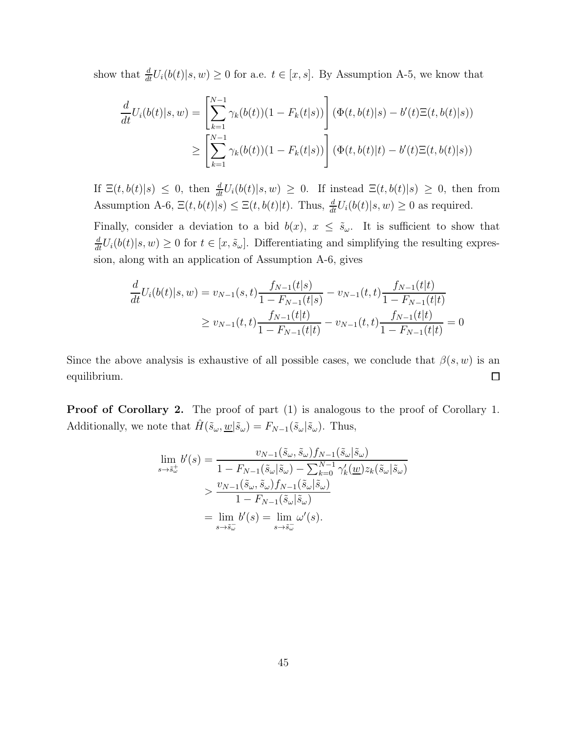show that  $\frac{d}{dt}U_i(b(t)|s, w) \ge 0$  for a.e.  $t \in [x, s]$ . By Assumption A-5, we know that

$$
\frac{d}{dt}U_i(b(t)|s,w) = \left[\sum_{k=1}^{N-1} \gamma_k(b(t))(1 - F_k(t|s))\right] \left(\Phi(t,b(t)|s) - b'(t)\Xi(t,b(t)|s)\right)
$$
\n
$$
\geq \left[\sum_{k=1}^{N-1} \gamma_k(b(t))(1 - F_k(t|s))\right] \left(\Phi(t,b(t)|t) - b'(t)\Xi(t,b(t)|s)\right)
$$

If  $\Xi(t, b(t)|s) \leq 0$ , then  $\frac{d}{dt}U_i(b(t)|s, w) \geq 0$ . If instead  $\Xi(t, b(t)|s) \geq 0$ , then from Assumption A-6,  $\Xi(t, b(t)|s) \leq \Xi(t, b(t)|t)$ . Thus,  $\frac{d}{dt}U_i(b(t)|s, w) \geq 0$  as required.

Finally, consider a deviation to a bid  $b(x)$ ,  $x \leq \tilde{s}_{\omega}$ . It is sufficient to show that  $\frac{d}{dt}U_i(b(t)|s,w) \geq 0$  for  $t \in [x, \tilde{s}_{\omega}]$ . Differentiating and simplifying the resulting expression, along with an application of Assumption A-6, gives

$$
\frac{d}{dt}U_i(b(t)|s,w) = v_{N-1}(s,t)\frac{f_{N-1}(t|s)}{1 - F_{N-1}(t|s)} - v_{N-1}(t,t)\frac{f_{N-1}(t|t)}{1 - F_{N-1}(t|t)}
$$
\n
$$
\ge v_{N-1}(t,t)\frac{f_{N-1}(t|t)}{1 - F_{N-1}(t|t)} - v_{N-1}(t,t)\frac{f_{N-1}(t|t)}{1 - F_{N-1}(t|t)} = 0
$$

Since the above analysis is exhaustive of all possible cases, we conclude that  $\beta(s, w)$  is an  $\Box$ equilibrium.

**Proof of Corollary 2.** The proof of part  $(1)$  is analogous to the proof of Corollary 1. Additionally, we note that  $\hat{H}(\tilde{s}_{\omega}, \underline{w} | \tilde{s}_{\omega}) = F_{N-1}(\tilde{s}_{\omega} | \tilde{s}_{\omega})$ . Thus,

$$
\lim_{s \to \tilde{s}_{\omega}^{+}} b'(s) = \frac{v_{N-1}(\tilde{s}_{\omega}, \tilde{s}_{\omega}) f_{N-1}(\tilde{s}_{\omega} | \tilde{s}_{\omega})}{1 - F_{N-1}(\tilde{s}_{\omega} | \tilde{s}_{\omega}) - \sum_{k=0}^{N-1} \gamma'_{k}(\underline{w}) z_{k}(\tilde{s}_{\omega} | \tilde{s}_{\omega})}
$$
\n
$$
> \frac{v_{N-1}(\tilde{s}_{\omega}, \tilde{s}_{\omega}) f_{N-1}(\tilde{s}_{\omega} | \tilde{s}_{\omega})}{1 - F_{N-1}(\tilde{s}_{\omega} | \tilde{s}_{\omega})}
$$
\n
$$
= \lim_{s \to \tilde{s}_{\omega}^{-}} b'(s) = \lim_{s \to \tilde{s}_{\omega}^{-}} \omega'(s).
$$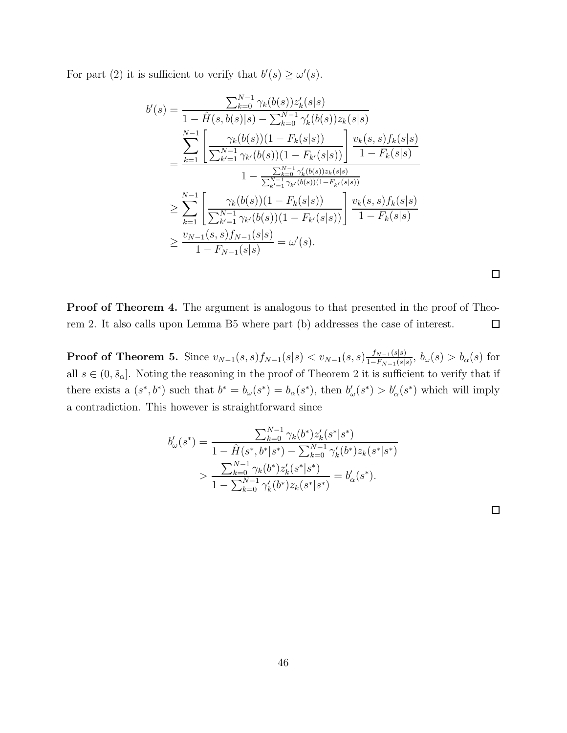For part (2) it is sufficient to verify that  $b'(s) \ge \omega'(s)$ .

$$
b'(s) = \frac{\sum_{k=0}^{N-1} \gamma_k(b(s))z'_k(s|s)}{1 - \hat{H}(s,b(s)|s) - \sum_{k=0}^{N-1} \gamma'_k(b(s))z_k(s|s)}
$$
  
\n
$$
= \frac{\sum_{k=1}^{N-1} \left[ \frac{\gamma_k(b(s))(1 - F_k(s|s))}{\sum_{k'=1}^{N-1} \gamma_{k'}(b(s))(1 - F_{k'}(s|s))} \right] \frac{v_k(s,s)f_k(s|s)}{1 - F_k(s|s)}
$$
  
\n
$$
1 - \frac{\sum_{k=0}^{N-1} \gamma'_k(b(s))z_k(s|s)}{\sum_{k'=1}^{N-1} \gamma_{k'}(b(s))(1 - F_{k'}(s|s))}
$$
  
\n
$$
\geq \sum_{k=1}^{N-1} \left[ \frac{\gamma_k(b(s))(1 - F_k(s|s))}{\sum_{k'=1}^{N-1} \gamma_{k'}(b(s))(1 - F_{k'}(s|s))} \right] \frac{v_k(s,s)f_k(s|s)}{1 - F_k(s|s)}
$$
  
\n
$$
\geq \frac{v_{N-1}(s,s)f_{N-1}(s|s)}{1 - F_{N-1}(s|s)} = \omega'(s).
$$

Proof of Theorem 4. The argument is analogous to that presented in the proof of Theorem 2. It also calls upon Lemma B5 where part (b) addresses the case of interest.  $\Box$ 

**Proof of Theorem 5.** Since  $v_{N-1}(s,s) f_{N-1}(s|s) < v_{N-1}(s,s) \frac{f_{N-1}(s|s)}{1-F_{N-1}(s|s)}$  $\frac{J_{N-1}(s|s)}{1-F_{N-1}(s|s)}, b_{\omega}(s) > b_{\alpha}(s)$  for all  $s \in (0, \tilde{s}_{\alpha}]$ . Noting the reasoning in the proof of Theorem 2 it is sufficient to verify that if there exists a  $(s^*, b^*)$  such that  $b^* = b_\omega(s^*) = b_\alpha(s^*)$ , then  $b'_\omega(s^*) > b'_\alpha(s^*)$  which will imply a contradiction. This however is straightforward since

$$
b'_{\omega}(s^*) = \frac{\sum_{k=0}^{N-1} \gamma_k(b^*) z'_k(s^* | s^*)}{1 - \hat{H}(s^*, b^* | s^*) - \sum_{k=0}^{N-1} \gamma'_k(b^*) z_k(s^* | s^*)}
$$
  
> 
$$
\frac{\sum_{k=0}^{N-1} \gamma_k(b^*) z'_k(s^* | s^*)}{1 - \sum_{k=0}^{N-1} \gamma'_k(b^*) z_k(s^* | s^*)} = b'_{\alpha}(s^*).
$$

 $\Box$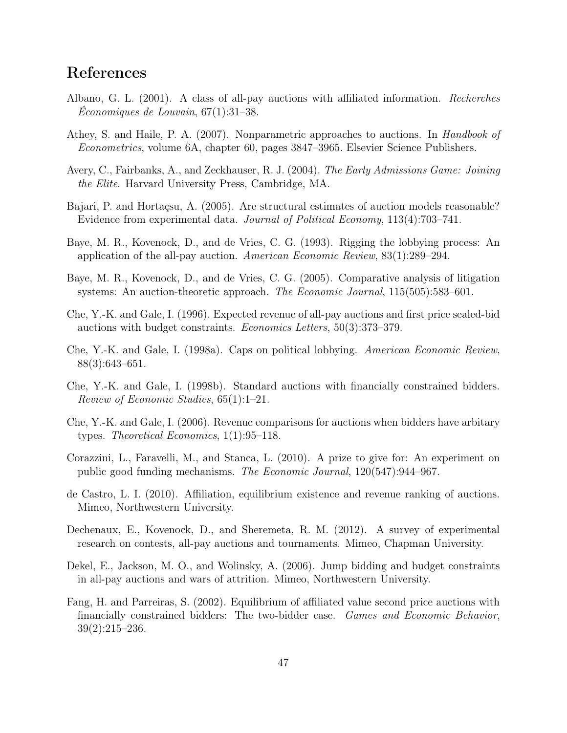# References

- Albano, G. L. (2001). A class of all-pay auctions with affiliated information. Recherches  $Economiques de Louvain, 67(1):31-38.$
- Athey, S. and Haile, P. A. (2007). Nonparametric approaches to auctions. In Handbook of Econometrics, volume 6A, chapter 60, pages 3847–3965. Elsevier Science Publishers.
- Avery, C., Fairbanks, A., and Zeckhauser, R. J. (2004). The Early Admissions Game: Joining the Elite. Harvard University Press, Cambridge, MA.
- Bajari, P. and Hortaçsu, A. (2005). Are structural estimates of auction models reasonable? Evidence from experimental data. Journal of Political Economy, 113(4):703–741.
- Baye, M. R., Kovenock, D., and de Vries, C. G. (1993). Rigging the lobbying process: An application of the all-pay auction. American Economic Review, 83(1):289–294.
- Baye, M. R., Kovenock, D., and de Vries, C. G. (2005). Comparative analysis of litigation systems: An auction-theoretic approach. The Economic Journal, 115(505):583–601.
- Che, Y.-K. and Gale, I. (1996). Expected revenue of all-pay auctions and first price sealed-bid auctions with budget constraints. Economics Letters, 50(3):373–379.
- Che, Y.-K. and Gale, I. (1998a). Caps on political lobbying. American Economic Review, 88(3):643–651.
- Che, Y.-K. and Gale, I. (1998b). Standard auctions with financially constrained bidders. Review of Economic Studies, 65(1):1–21.
- Che, Y.-K. and Gale, I. (2006). Revenue comparisons for auctions when bidders have arbitary types. Theoretical Economics, 1(1):95–118.
- Corazzini, L., Faravelli, M., and Stanca, L. (2010). A prize to give for: An experiment on public good funding mechanisms. The Economic Journal, 120(547):944–967.
- de Castro, L. I. (2010). Affiliation, equilibrium existence and revenue ranking of auctions. Mimeo, Northwestern University.
- Dechenaux, E., Kovenock, D., and Sheremeta, R. M. (2012). A survey of experimental research on contests, all-pay auctions and tournaments. Mimeo, Chapman University.
- Dekel, E., Jackson, M. O., and Wolinsky, A. (2006). Jump bidding and budget constraints in all-pay auctions and wars of attrition. Mimeo, Northwestern University.
- Fang, H. and Parreiras, S. (2002). Equilibrium of affiliated value second price auctions with financially constrained bidders: The two-bidder case. Games and Economic Behavior, 39(2):215–236.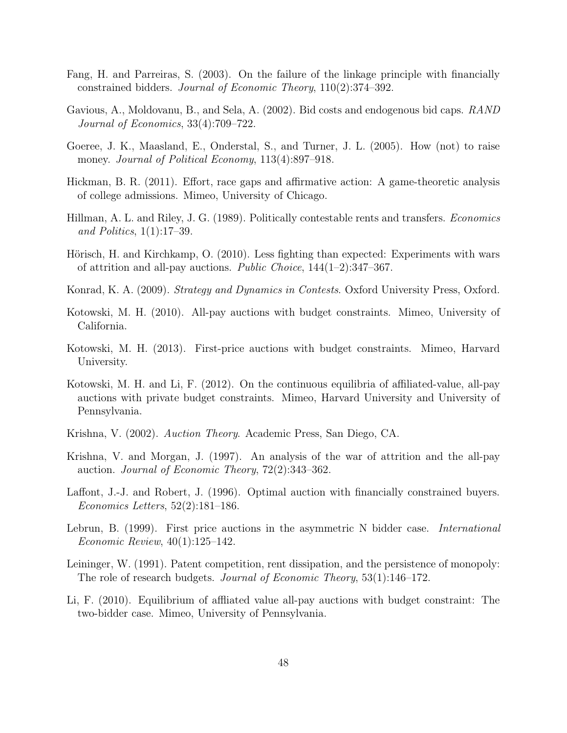- Fang, H. and Parreiras, S. (2003). On the failure of the linkage principle with financially constrained bidders. Journal of Economic Theory, 110(2):374–392.
- Gavious, A., Moldovanu, B., and Sela, A. (2002). Bid costs and endogenous bid caps. RAND Journal of Economics, 33(4):709–722.
- Goeree, J. K., Maasland, E., Onderstal, S., and Turner, J. L. (2005). How (not) to raise money. Journal of Political Economy, 113(4):897–918.
- Hickman, B. R. (2011). Effort, race gaps and affirmative action: A game-theoretic analysis of college admissions. Mimeo, University of Chicago.
- Hillman, A. L. and Riley, J. G. (1989). Politically contestable rents and transfers. Economics and Politics, 1(1):17–39.
- Hörisch, H. and Kirchkamp, O. (2010). Less fighting than expected: Experiments with wars of attrition and all-pay auctions. Public Choice,  $144(1-2)$ :347-367.
- Konrad, K. A. (2009). Strategy and Dynamics in Contests. Oxford University Press, Oxford.
- Kotowski, M. H. (2010). All-pay auctions with budget constraints. Mimeo, University of California.
- Kotowski, M. H. (2013). First-price auctions with budget constraints. Mimeo, Harvard University.
- Kotowski, M. H. and Li, F. (2012). On the continuous equilibria of affiliated-value, all-pay auctions with private budget constraints. Mimeo, Harvard University and University of Pennsylvania.
- Krishna, V. (2002). Auction Theory. Academic Press, San Diego, CA.
- Krishna, V. and Morgan, J. (1997). An analysis of the war of attrition and the all-pay auction. Journal of Economic Theory, 72(2):343–362.
- Laffont, J.-J. and Robert, J. (1996). Optimal auction with financially constrained buyers. Economics Letters, 52(2):181–186.
- Lebrun, B. (1999). First price auctions in the asymmetric N bidder case. *International* Economic Review, 40(1):125–142.
- Leininger, W. (1991). Patent competition, rent dissipation, and the persistence of monopoly: The role of research budgets. Journal of Economic Theory, 53(1):146–172.
- Li, F. (2010). Equilibrium of affliated value all-pay auctions with budget constraint: The two-bidder case. Mimeo, University of Pennsylvania.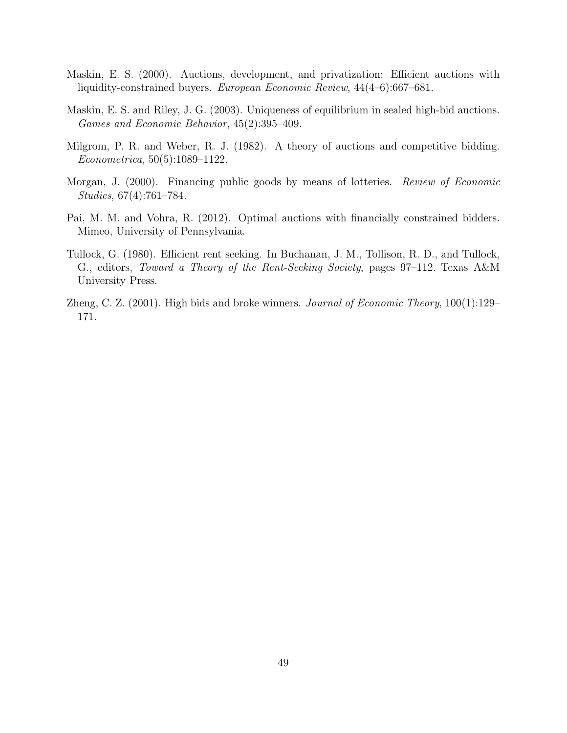- Maskin, E. S. (2000). Auctions, development, and privatization: Efficient auctions with liquidity-constrained buyers. European Economic Review, 44(4–6):667–681.
- Maskin, E. S. and Riley, J. G. (2003). Uniqueness of equilibrium in sealed high-bid auctions. Games and Economic Behavior, 45(2):395–409.
- Milgrom, P. R. and Weber, R. J. (1982). A theory of auctions and competitive bidding. Econometrica, 50(5):1089–1122.
- Morgan, J. (2000). Financing public goods by means of lotteries. *Review of Economic* Studies, 67(4):761–784.
- Pai, M. M. and Vohra, R. (2012). Optimal auctions with financially constrained bidders. Mimeo, University of Pennsylvania.
- Tullock, G. (1980). Efficient rent seeking. In Buchanan, J. M., Tollison, R. D., and Tullock, G., editors, Toward a Theory of the Rent-Seeking Society, pages 97–112. Texas A&M University Press.
- Zheng, C. Z. (2001). High bids and broke winners. *Journal of Economic Theory*,  $100(1):129-$ 171.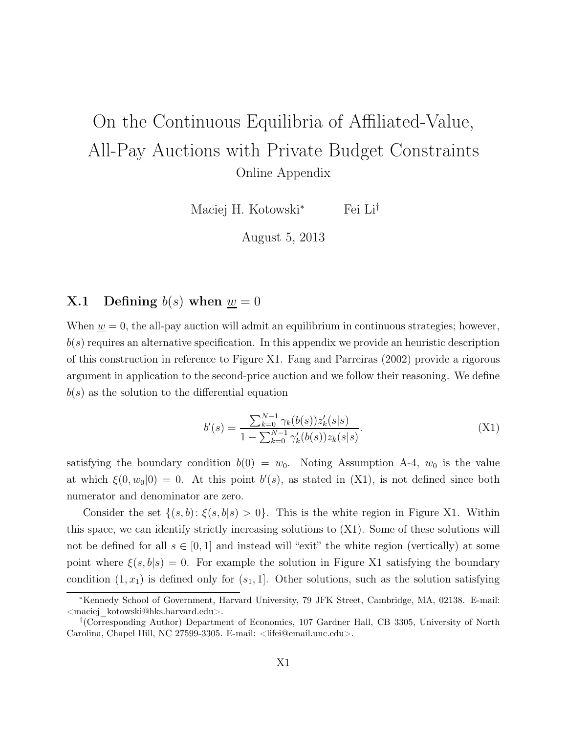# On the Continuous Equilibria of Affiliated-Value, All-Pay Auctions with Private Budget Constraints Online Appendix

Maciej H. Kotowski<sup>∗</sup> Fei Li†

August 5, 2013

### **X.1** Defining  $b(s)$  when  $w = 0$

When  $\underline{w} = 0$ , the all-pay auction will admit an equilibrium in continuous strategies; however,  $b(s)$  requires an alternative specification. In this appendix we provide an heuristic description of this construction in reference to Figure X1. Fang and Parreiras (2002) provide a rigorous argument in application to the second-price auction and we follow their reasoning. We define  $b(s)$  as the solution to the differential equation

$$
b'(s) = \frac{\sum_{k=0}^{N-1} \gamma_k(b(s)) z'_k(s|s)}{1 - \sum_{k=0}^{N-1} \gamma'_k(b(s)) z_k(s|s)}.
$$
\n(X1)

satisfying the boundary condition  $b(0) = w_0$ . Noting Assumption A-4,  $w_0$  is the value at which  $\xi(0, w_0|0) = 0$ . At this point  $b'(s)$ , as stated in (X1), is not defined since both numerator and denominator are zero.

Consider the set  $\{(s,b): \xi(s,b|s) > 0\}$ . This is the white region in Figure X1. Within this space, we can identify strictly increasing solutions to (X1). Some of these solutions will not be defined for all  $s \in [0, 1]$  and instead will "exit" the white region (vertically) at some point where  $\xi(s, b|s) = 0$ . For example the solution in Figure X1 satisfying the boundary condition  $(1, x_1)$  is defined only for  $(s_1, 1]$ . Other solutions, such as the solution satisfying

<sup>∗</sup>Kennedy School of Government, Harvard University, 79 JFK Street, Cambridge, MA, 02138. E-mail: <maciej\_kotowski@hks.harvard.edu>.

<sup>†</sup> (Corresponding Author) Department of Economics, 107 Gardner Hall, CB 3305, University of North Carolina, Chapel Hill, NC 27599-3305. E-mail: <lifei@email.unc.edu>.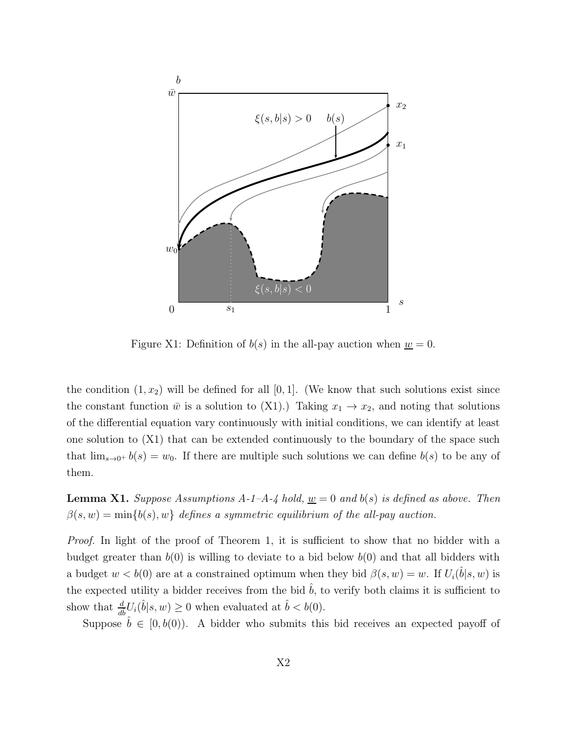

Figure X1: Definition of  $b(s)$  in the all-pay auction when  $w = 0$ .

the condition  $(1, x_2)$  will be defined for all  $[0, 1]$ . (We know that such solutions exist since the constant function  $\bar{w}$  is a solution to (X1).) Taking  $x_1 \to x_2$ , and noting that solutions of the differential equation vary continuously with initial conditions, we can identify at least one solution to  $(X1)$  that can be extended continuously to the boundary of the space such that  $\lim_{s\to 0^+} b(s) = w_0$ . If there are multiple such solutions we can define  $b(s)$  to be any of them.

**Lemma X1.** Suppose Assumptions A-1-A-4 hold,  $\underline{w} = 0$  and  $b(s)$  is defined as above. Then  $\beta(s, w) = \min\{b(s), w\}$  defines a symmetric equilibrium of the all-pay auction.

Proof. In light of the proof of Theorem 1, it is sufficient to show that no bidder with a budget greater than  $b(0)$  is willing to deviate to a bid below  $b(0)$  and that all bidders with a budget  $w < b(0)$  are at a constrained optimum when they bid  $\beta(s, w) = w$ . If  $U_i(\hat{b}|s, w)$  is the expected utility a bidder receives from the bid  $\hat{b}$ , to verify both claims it is sufficient to show that  $\frac{d}{d\hat{b}}U_i(\hat{b}|s,w) \ge 0$  when evaluated at  $\hat{b} < b(0)$ .

Suppose  $\hat{b} \in [0, b(0)]$ . A bidder who submits this bid receives an expected payoff of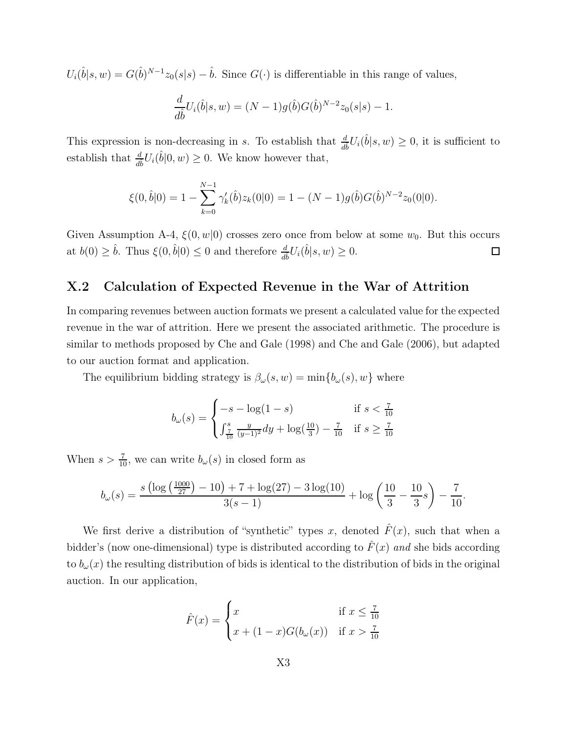$U_i(\hat{b}|s,w) = G(\hat{b})^{N-1}z_0(s|s) - \hat{b}$ . Since  $G(\cdot)$  is differentiable in this range of values,

$$
\frac{d}{d\hat{b}}U_i(\hat{b}|s,w) = (N-1)g(\hat{b})G(\hat{b})^{N-2}z_0(s|s) - 1.
$$

This expression is non-decreasing in s. To establish that  $\frac{d}{d\hat{b}}U_i(\hat{b}|s,w) \geq 0$ , it is sufficient to establish that  $\frac{d}{d\hat{b}}U_i(\hat{b}|0, w) \ge 0$ . We know however that,

$$
\xi(0,\hat{b}|0) = 1 - \sum_{k=0}^{N-1} \gamma'_k(\hat{b}) z_k(0|0) = 1 - (N-1)g(\hat{b})G(\hat{b})^{N-2} z_0(0|0).
$$

Given Assumption A-4,  $\xi(0, w|0)$  crosses zero once from below at some  $w_0$ . But this occurs at  $b(0) \geq \hat{b}$ . Thus  $\xi(0, \hat{b}|0) \leq 0$  and therefore  $\frac{d}{d\hat{b}}U_i(\hat{b}|s, w) \geq 0$ .  $\Box$ 

### X.2 Calculation of Expected Revenue in the War of Attrition

In comparing revenues between auction formats we present a calculated value for the expected revenue in the war of attrition. Here we present the associated arithmetic. The procedure is similar to methods proposed by Che and Gale (1998) and Che and Gale (2006), but adapted to our auction format and application.

The equilibrium bidding strategy is  $\beta_{\omega}(s, w) = \min\{b_{\omega}(s), w\}$  where

$$
b_{\omega}(s) = \begin{cases} -s - \log(1 - s) & \text{if } s < \frac{7}{10} \\ \int_{\frac{7}{10}}^{s} \frac{y}{(y - 1)^2} dy + \log(\frac{10}{3}) - \frac{7}{10} & \text{if } s \ge \frac{7}{10} \end{cases}
$$

When  $s > \frac{7}{10}$ , we can write  $b_{\omega}(s)$  in closed form as

$$
b_{\omega}(s) = \frac{s \left(\log\left(\frac{1000}{27}\right) - 10\right) + 7 + \log(27) - 3\log(10)}{3(s-1)} + \log\left(\frac{10}{3} - \frac{10}{3}s\right) - \frac{7}{10}.
$$

We first derive a distribution of "synthetic" types x, denoted  $\hat{F}(x)$ , such that when a bidder's (now one-dimensional) type is distributed according to  $\hat{F}(x)$  and she bids according to  $b_{\omega}(x)$  the resulting distribution of bids is identical to the distribution of bids in the original auction. In our application,

$$
\hat{F}(x) = \begin{cases} x & \text{if } x \le \frac{7}{10} \\ x + (1-x)G(b_{\omega}(x)) & \text{if } x > \frac{7}{10} \end{cases}
$$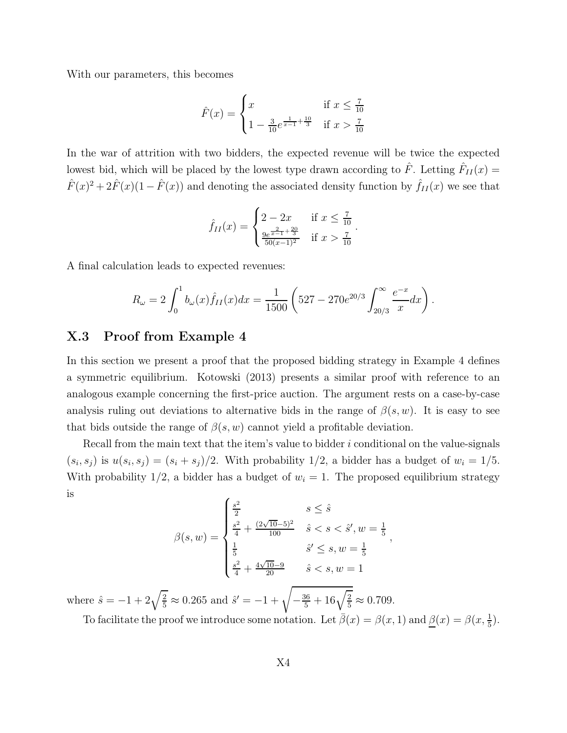With our parameters, this becomes

$$
\hat{F}(x) = \begin{cases} x & \text{if } x \le \frac{7}{10} \\ 1 - \frac{3}{10}e^{\frac{1}{x-1} + \frac{10}{3}} & \text{if } x > \frac{7}{10} \end{cases}
$$

In the war of attrition with two bidders, the expected revenue will be twice the expected lowest bid, which will be placed by the lowest type drawn according to  $\hat{F}$ . Letting  $\hat{F}_{II}(x)$  =  $\hat{F}(x)^2 + 2\hat{F}(x)(1 - \hat{F}(x))$  and denoting the associated density function by  $\hat{f}_{II}(x)$  we see that

$$
\hat{f}_{II}(x) = \begin{cases} 2 - 2x & \text{if } x \leq \frac{7}{10} \\ \frac{9e^{\frac{2}{x-1} + \frac{20}{3}}}{50(x-1)^2} & \text{if } x > \frac{7}{10} \end{cases}.
$$

A final calculation leads to expected revenues:

$$
R_{\omega} = 2 \int_0^1 b_{\omega}(x) \hat{f}_{II}(x) dx = \frac{1}{1500} \left( 527 - 270e^{20/3} \int_{20/3}^{\infty} \frac{e^{-x}}{x} dx \right).
$$

### X.3 Proof from Example 4

In this section we present a proof that the proposed bidding strategy in Example 4 defines a symmetric equilibrium. Kotowski (2013) presents a similar proof with reference to an analogous example concerning the first-price auction. The argument rests on a case-by-case analysis ruling out deviations to alternative bids in the range of  $\beta(s, w)$ . It is easy to see that bids outside the range of  $\beta(s, w)$  cannot yield a profitable deviation.

Recall from the main text that the item's value to bidder  $i$  conditional on the value-signals  $(s_i, s_j)$  is  $u(s_i, s_j) = (s_i + s_j)/2$ . With probability 1/2, a bidder has a budget of  $w_i = 1/5$ . With probability 1/2, a bidder has a budget of  $w_i = 1$ . The proposed equilibrium strategy is

$$
\beta(s, w) = \begin{cases}\n\frac{s^2}{2} & s \leq \hat{s} \\
\frac{s^2}{4} + \frac{(2\sqrt{10} - 5)^2}{100} & \hat{s} < s < \hat{s}', w = \frac{1}{5} \\
\frac{1}{5} & \hat{s}' \leq s, w = \frac{1}{5} \\
\frac{s^2}{4} + \frac{4\sqrt{10} - 9}{20} & \hat{s} < s, w = 1\n\end{cases}
$$

where  $\hat{s} = -1 + 2\sqrt{\frac{2}{5}} \approx 0.265$  and  $\hat{s}' = -1 + \sqrt{-\frac{36}{5} + 16\sqrt{\frac{2}{5}}} \approx 0.709$ .

To facilitate the proof we introduce some notation. Let  $\bar{\beta}(x) = \beta(x, 1)$  and  $\underline{\beta}(x) = \beta(x, \frac{1}{5})$ .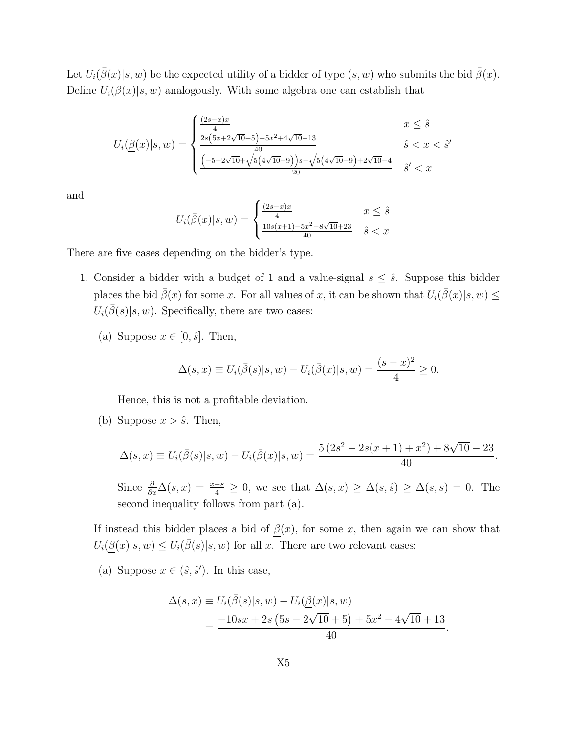Let  $U_i(\overline{\beta}(x)|s, w)$  be the expected utility of a bidder of type  $(s, w)$  who submits the bid  $\overline{\beta}(x)$ . Define  $U_i(\underline{\beta}(x)|s, w)$  analogously. With some algebra one can establish that

$$
U_i(\underline{\beta}(x)|s,w) = \begin{cases} \frac{(2s-x)x}{4} & x \leq \hat{s} \\ \frac{2s(5x+2\sqrt{10}-5)-5x^2+4\sqrt{10}-13}{40} & \hat{s} < x < \hat{s}' \\ \frac{(-5+2\sqrt{10}+\sqrt{5(4\sqrt{10}-9)})s-\sqrt{5(4\sqrt{10}-9)}+2\sqrt{10}-4}{20} & \hat{s}' < x \end{cases}
$$

and

$$
U_i(\bar{\beta}(x)|s, w) = \begin{cases} \frac{(2s-x)x}{4} & x \leq \hat{s} \\ \frac{10s(x+1) - 5x^2 - 8\sqrt{10} + 23}{40} & \hat{s} < x \end{cases}
$$

There are five cases depending on the bidder's type.

- 1. Consider a bidder with a budget of 1 and a value-signal  $s \leq \hat{s}$ . Suppose this bidder places the bid  $\bar{\beta}(x)$  for some x. For all values of x, it can be shown that  $U_i(\bar{\beta}(x)|s, w) \leq$  $U_i(\overline{\beta}(s)|s,w)$ . Specifically, there are two cases:
	- (a) Suppose  $x \in [0, \hat{s}]$ . Then,

$$
\Delta(s, x) \equiv U_i(\bar{\beta}(s)|s, w) - U_i(\bar{\beta}(x)|s, w) = \frac{(s - x)^2}{4} \ge 0.
$$

Hence, this is not a profitable deviation.

(b) Suppose  $x > \hat{s}$ . Then,

$$
\Delta(s,x) \equiv U_i(\bar{\beta}(s)|s,w) - U_i(\bar{\beta}(x)|s,w) = \frac{5(2s^2 - 2s(x+1) + x^2) + 8\sqrt{10 - 23}}{40}.
$$

Since  $\frac{\partial}{\partial x}\Delta(s,x) = \frac{x-s}{4} \geq 0$ , we see that  $\Delta(s,x) \geq \Delta(s,\hat{s}) \geq \Delta(s,s) = 0$ . The second inequality follows from part (a).

If instead this bidder places a bid of  $\beta(x)$ , for some x, then again we can show that  $U_i(\underline{\beta}(x)|s,w) \leq U_i(\overline{\beta}(s)|s,w)$  for all x. There are two relevant cases:

(a) Suppose  $x \in (\hat{s}, \hat{s}')$ . In this case,

$$
\Delta(s, x) \equiv U_i(\bar{\beta}(s)|s, w) - U_i(\underline{\beta}(x)|s, w)
$$
  
= 
$$
\frac{-10sx + 2s(5s - 2\sqrt{10} + 5) + 5x^2 - 4\sqrt{10} + 13}{40}
$$

.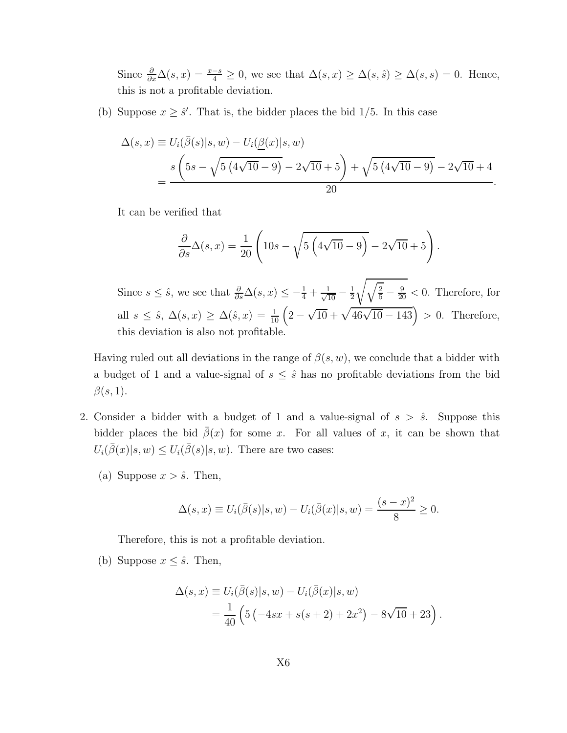Since  $\frac{\partial}{\partial x}\Delta(s,x)=\frac{x-s}{4}\geq 0$ , we see that  $\Delta(s,x)\geq \Delta(s,\hat{s})\geq \Delta(s,s)=0$ . Hence, this is not a profitable deviation.

(b) Suppose  $x \geq \hat{s}'$ . That is, the bidder places the bid 1/5. In this case

$$
\Delta(s, x) \equiv U_i(\bar{\beta}(s)|s, w) - U_i(\underline{\beta}(x)|s, w)
$$
  
= 
$$
\frac{s\left(5s - \sqrt{5(4\sqrt{10} - 9)} - 2\sqrt{10} + 5\right) + \sqrt{5(4\sqrt{10} - 9)} - 2\sqrt{10} + 4}{20}.
$$

It can be verified that

$$
\frac{\partial}{\partial s}\Delta(s,x) = \frac{1}{20}\left(10s - \sqrt{5\left(4\sqrt{10} - 9\right)} - 2\sqrt{10} + 5\right).
$$

Since  $s \leq \hat{s}$ , we see that  $\frac{\partial}{\partial s}\Delta(s, x) \leq -\frac{1}{4} + \frac{1}{\sqrt{10}} - \frac{1}{2}$ 2  $\sqrt{\sqrt{\frac{2}{5}} - \frac{9}{20}} < 0$ . Therefore, for all  $s \leq \hat{s}$ ,  $\Delta(s, x) \geq \Delta(\hat{s}, x) = \frac{1}{10} \left( 2 - \sqrt{10} + \sqrt{46\sqrt{10} - 143} \right) > 0$ . Therefore, this deviation is also not profitable.

Having ruled out all deviations in the range of  $\beta(s, w)$ , we conclude that a bidder with a budget of 1 and a value-signal of  $s \leq \hat{s}$  has no profitable deviations from the bid  $\beta(s,1).$ 

- 2. Consider a bidder with a budget of 1 and a value-signal of  $s > \hat{s}$ . Suppose this bidder places the bid  $\bar{\beta}(x)$  for some x. For all values of x, it can be shown that  $U_i(\overline{\beta}(x)|s,w) \leq U_i(\overline{\beta}(s)|s,w)$ . There are two cases:
	- (a) Suppose  $x > \hat{s}$ . Then,

$$
\Delta(s, x) \equiv U_i(\bar{\beta}(s)|s, w) - U_i(\bar{\beta}(x)|s, w) = \frac{(s - x)^2}{8} \ge 0.
$$

Therefore, this is not a profitable deviation.

(b) Suppose  $x \leq \hat{s}$ . Then,

$$
\Delta(s, x) \equiv U_i(\bar{\beta}(s)|s, w) - U_i(\bar{\beta}(x)|s, w) \n= \frac{1}{40} \left( 5 \left( -4sx + s(s+2) + 2x^2 \right) - 8\sqrt{10} + 23 \right).
$$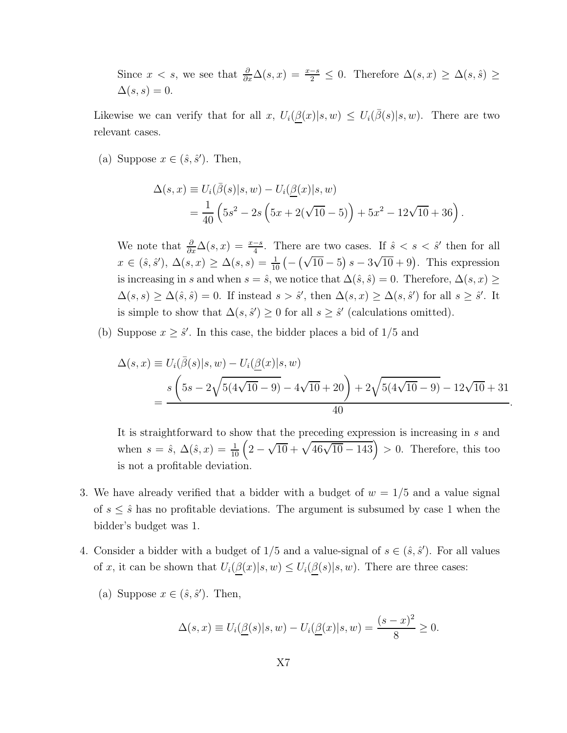Since  $x < s$ , we see that  $\frac{\partial}{\partial x}\Delta(s,x) = \frac{x-s}{2} \leq 0$ . Therefore  $\Delta(s,x) \geq \Delta(s,\hat{s}) \geq$  $\Delta(s,s)=0.$ 

Likewise we can verify that for all x,  $U_i(\underline{\beta}(x)|s,w) \leq U_i(\overline{\beta}(s)|s,w)$ . There are two relevant cases.

(a) Suppose  $x \in (\hat{s}, \hat{s}')$ . Then,

$$
\Delta(s, x) \equiv U_i(\bar{\beta}(s)|s, w) - U_i(\underline{\beta}(x)|s, w)
$$
  
=  $\frac{1}{40} \left(5s^2 - 2s \left(5x + 2(\sqrt{10} - 5)\right) + 5x^2 - 12\sqrt{10} + 36\right).$ 

We note that  $\frac{\partial}{\partial x}\Delta(s,x)=\frac{x-s}{4}$ . There are two cases. If  $\hat{s} < s < \hat{s}'$  then for all  $x \in (\hat{s}, \hat{s}'), \Delta(s, x) \ge \Delta(s, s) = \frac{1}{10} \left( -(\sqrt{10} - 5) s - 3\sqrt{10} + 9 \right)$ . This expression is increasing in s and when  $s = \hat{s}$ , we notice that  $\Delta(\hat{s}, \hat{s}) = 0$ . Therefore,  $\Delta(s, x) \geq$  $\Delta(s,s) \geq \Delta(\hat{s},\hat{s}) = 0$ . If instead  $s > \hat{s}'$ , then  $\Delta(s,x) \geq \Delta(s,\hat{s}')$  for all  $s \geq \hat{s}'$ . It is simple to show that  $\Delta(s, \hat{s}') \geq 0$  for all  $s \geq \hat{s}'$  (calculations omitted).

(b) Suppose  $x \geq \hat{s}'$ . In this case, the bidder places a bid of  $1/5$  and

$$
\Delta(s, x) \equiv U_i(\bar{\beta}(s)|s, w) - U_i(\underline{\beta}(x)|s, w)
$$
  
= 
$$
\frac{s\left(5s - 2\sqrt{5(4\sqrt{10} - 9)} - 4\sqrt{10} + 20\right) + 2\sqrt{5(4\sqrt{10} - 9)} - 12\sqrt{10} + 31}{40}.
$$

It is straightforward to show that the preceding expression is increasing in s and when  $s = \hat{s}$ ,  $\Delta(\hat{s}, x) = \frac{1}{10} \left( 2 - \sqrt{10} + \sqrt{46\sqrt{10} - 143} \right) > 0$ . Therefore, this too is not a profitable deviation.

- 3. We have already verified that a bidder with a budget of  $w = 1/5$  and a value signal of  $s \leq \hat{s}$  has no profitable deviations. The argument is subsumed by case 1 when the bidder's budget was 1.
- 4. Consider a bidder with a budget of  $1/5$  and a value-signal of  $s \in (\hat{s}, \hat{s}')$ . For all values of x, it can be shown that  $U_i(\underline{\beta}(x)|s,w) \leq U_i(\underline{\beta}(s)|s,w)$ . There are three cases:
	- (a) Suppose  $x \in (\hat{s}, \hat{s}')$ . Then,

$$
\Delta(s,x) \equiv U_i(\underline{\beta}(s)|s,w) - U_i(\underline{\beta}(x)|s,w) = \frac{(s-x)^2}{8} \ge 0.
$$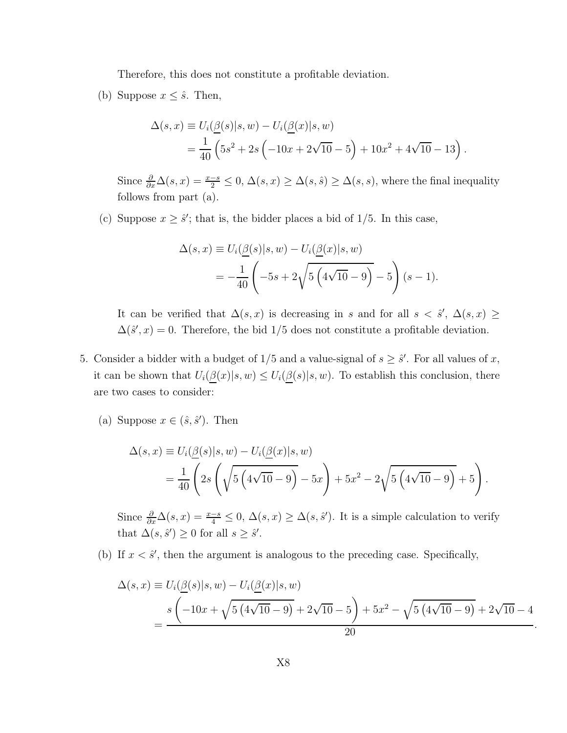Therefore, this does not constitute a profitable deviation.

(b) Suppose  $x \leq \hat{s}$ . Then,

$$
\Delta(s, x) \equiv U_i(\underline{\beta}(s)|s, w) - U_i(\underline{\beta}(x)|s, w)
$$
  
=  $\frac{1}{40} \left( 5s^2 + 2s \left( -10x + 2\sqrt{10} - 5 \right) + 10x^2 + 4\sqrt{10} - 13 \right).$ 

Since  $\frac{\partial}{\partial x}\Delta(s,x)=\frac{x-s}{2}\leq 0, \Delta(s,x)\geq \Delta(s,\hat{s})\geq \Delta(s,s)$ , where the final inequality follows from part (a).

(c) Suppose  $x \geq \hat{s}'$ ; that is, the bidder places a bid of 1/5. In this case,

$$
\Delta(s, x) \equiv U_i(\underline{\beta}(s)|s, w) - U_i(\underline{\beta}(x)|s, w)
$$
  
=  $-\frac{1}{40} \left( -5s + 2\sqrt{5 \left(4\sqrt{10} - 9\right)} - 5 \right) (s - 1).$ 

It can be verified that  $\Delta(s, x)$  is decreasing in s and for all  $s < \hat{s}'$ ,  $\Delta(s, x) \geq$  $\Delta(\hat{s}', x) = 0$ . Therefore, the bid 1/5 does not constitute a profitable deviation.

- 5. Consider a bidder with a budget of  $1/5$  and a value-signal of  $s \geq \hat{s}'$ . For all values of x, it can be shown that  $U_i(\underline{\beta}(x)|s, w) \leq U_i(\underline{\beta}(s)|s, w)$ . To establish this conclusion, there are two cases to consider:
	- (a) Suppose  $x \in (\hat{s}, \hat{s}')$ . Then

$$
\Delta(s, x) \equiv U_i(\underline{\beta}(s)|s, w) - U_i(\underline{\beta}(x)|s, w) \n= \frac{1}{40} \left( 2s \left( \sqrt{5 \left( 4\sqrt{10} - 9 \right)} - 5x \right) + 5x^2 - 2\sqrt{5 \left( 4\sqrt{10} - 9 \right)} + 5 \right).
$$

Since  $\frac{\partial}{\partial x}\Delta(s,x)=\frac{x-s}{4}\leq 0$ ,  $\Delta(s,x)\geq \Delta(s,\hat{s}')$ . It is a simple calculation to verify that  $\Delta(s, \hat{s}') \geq 0$  for all  $s \geq \hat{s}'$ .

(b) If  $x < \hat{s}'$ , then the argument is analogous to the preceding case. Specifically,

$$
\Delta(s, x) \equiv U_i(\underline{\beta}(s)|s, w) - U_i(\underline{\beta}(x)|s, w)
$$
  
= 
$$
\frac{s(-10x + \sqrt{5(4\sqrt{10} - 9)} + 2\sqrt{10} - 5) + 5x^2 - \sqrt{5(4\sqrt{10} - 9)} + 2\sqrt{10} - 4}{20}
$$

.